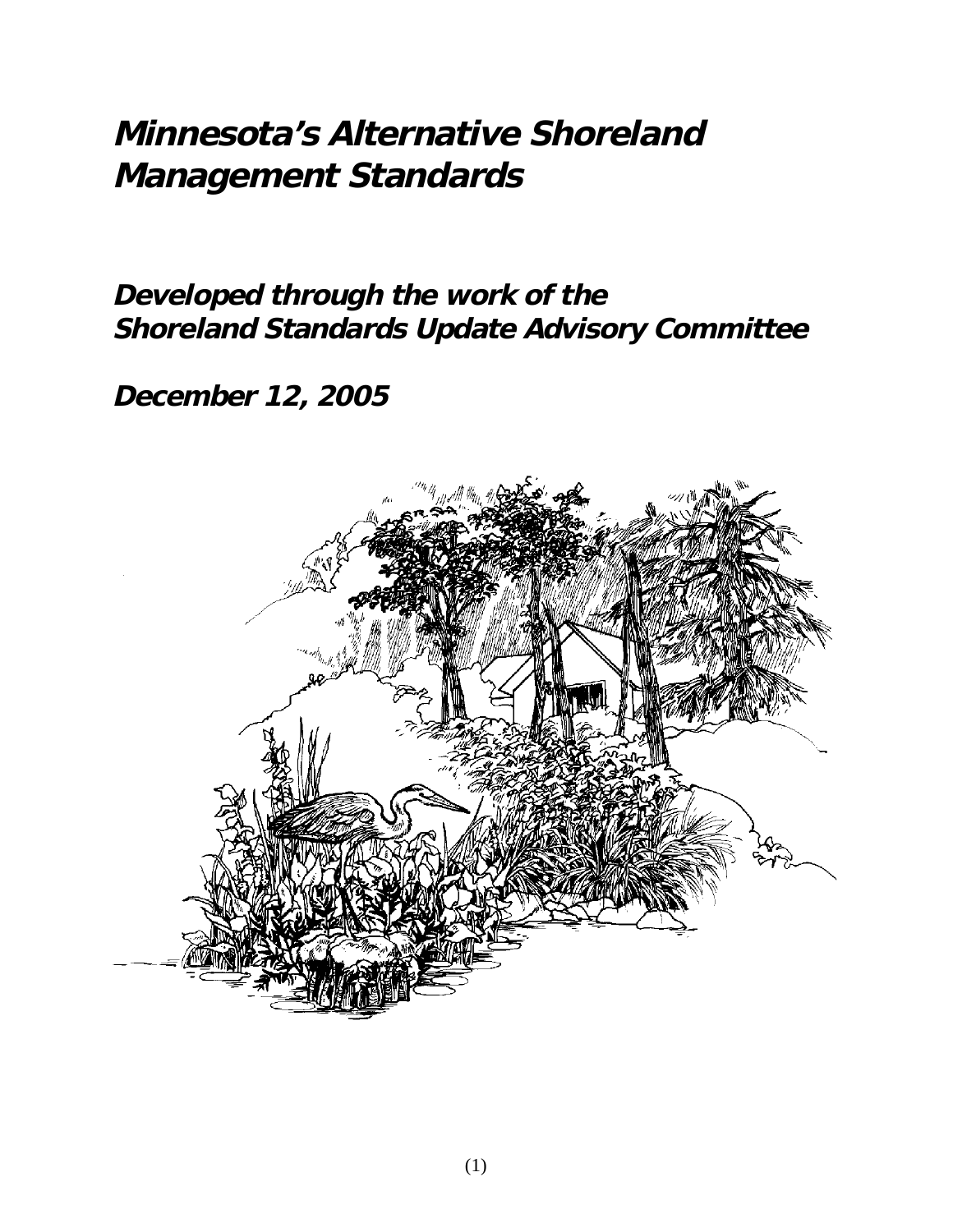# **Minnesota's Alternative Shoreland Management Standards**

## **Developed through the work of the Shoreland Standards Update Advisory Committee**

**December 12, 2005** 

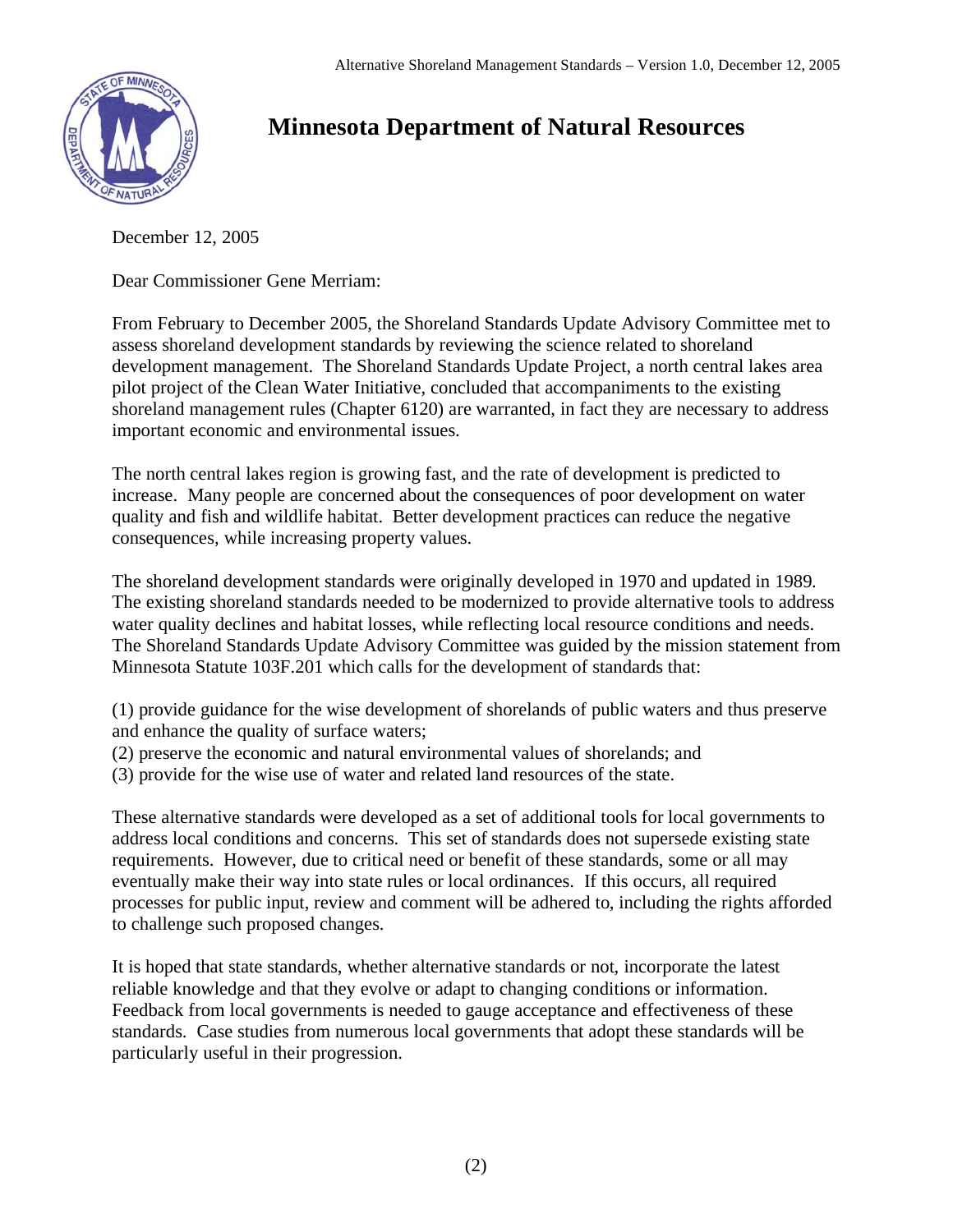

## **Minnesota Department of Natural Resources**

December 12, 2005

Dear Commissioner Gene Merriam:

From February to December 2005, the Shoreland Standards Update Advisory Committee met to assess shoreland development standards by reviewing the science related to shoreland development management. The Shoreland Standards Update Project, a north central lakes area pilot project of the Clean Water Initiative, concluded that accompaniments to the existing shoreland management rules (Chapter 6120) are warranted, in fact they are necessary to address important economic and environmental issues.

The north central lakes region is growing fast, and the rate of development is predicted to increase. Many people are concerned about the consequences of poor development on water quality and fish and wildlife habitat. Better development practices can reduce the negative consequences, while increasing property values.

The shoreland development standards were originally developed in 1970 and updated in 1989. The existing shoreland standards needed to be modernized to provide alternative tools to address water quality declines and habitat losses, while reflecting local resource conditions and needs. The Shoreland Standards Update Advisory Committee was guided by the mission statement from Minnesota Statute 103F.201 which calls for the development of standards that:

(1) provide guidance for the wise development of shorelands of public waters and thus preserve and enhance the quality of surface waters;

- (2) preserve the economic and natural environmental values of shorelands; and
- (3) provide for the wise use of water and related land resources of the state.

These alternative standards were developed as a set of additional tools for local governments to address local conditions and concerns. This set of standards does not supersede existing state requirements. However, due to critical need or benefit of these standards, some or all may eventually make their way into state rules or local ordinances. If this occurs, all required processes for public input, review and comment will be adhered to, including the rights afforded to challenge such proposed changes.

It is hoped that state standards, whether alternative standards or not, incorporate the latest reliable knowledge and that they evolve or adapt to changing conditions or information. Feedback from local governments is needed to gauge acceptance and effectiveness of these standards. Case studies from numerous local governments that adopt these standards will be particularly useful in their progression.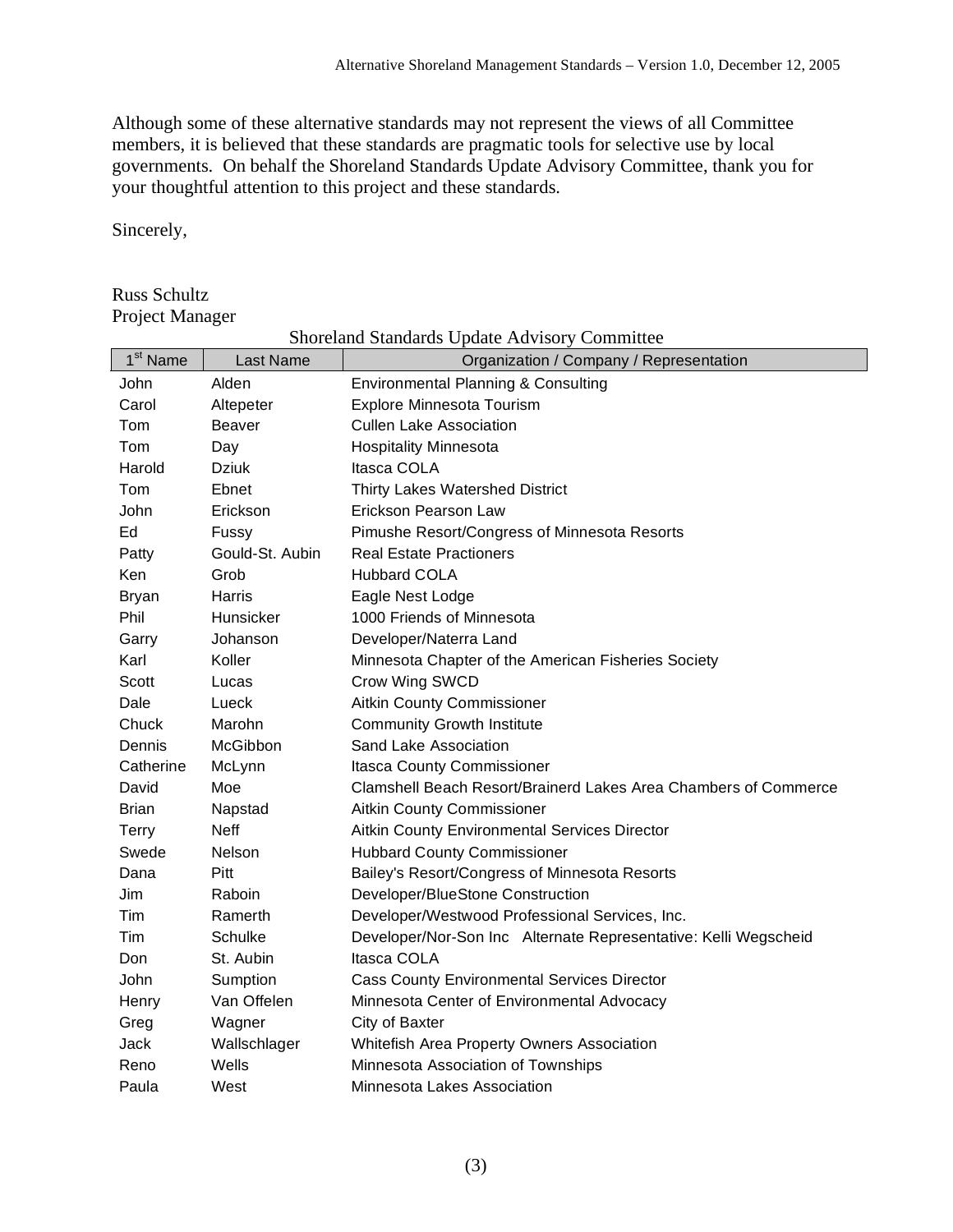Although some of these alternative standards may not represent the views of all Committee members, it is believed that these standards are pragmatic tools for selective use by local governments. On behalf the Shoreland Standards Update Advisory Committee, thank you for your thoughtful attention to this project and these standards.

Sincerely,

Russ Schultz Project Manager

|                      | Shoreland Standards Update Advisory Committee |                                                                 |  |  |  |  |  |
|----------------------|-----------------------------------------------|-----------------------------------------------------------------|--|--|--|--|--|
| 1 <sup>st</sup> Name | <b>Last Name</b>                              | Organization / Company / Representation                         |  |  |  |  |  |
| John                 | Alden                                         | Environmental Planning & Consulting                             |  |  |  |  |  |
| Carol                | Altepeter                                     | Explore Minnesota Tourism                                       |  |  |  |  |  |
| Tom                  | Beaver                                        | <b>Cullen Lake Association</b>                                  |  |  |  |  |  |
| Tom                  | Day                                           | <b>Hospitality Minnesota</b>                                    |  |  |  |  |  |
| Harold               | <b>Dziuk</b>                                  | Itasca COLA                                                     |  |  |  |  |  |
| Tom                  | Ebnet                                         | Thirty Lakes Watershed District                                 |  |  |  |  |  |
| John                 | Erickson                                      | Erickson Pearson Law                                            |  |  |  |  |  |
| Ed                   | Fussy                                         | Pimushe Resort/Congress of Minnesota Resorts                    |  |  |  |  |  |
| Patty                | Gould-St. Aubin                               | <b>Real Estate Practioners</b>                                  |  |  |  |  |  |
| Ken                  | Grob                                          | <b>Hubbard COLA</b>                                             |  |  |  |  |  |
| <b>Bryan</b>         | Harris                                        | Eagle Nest Lodge                                                |  |  |  |  |  |
| Phil                 | Hunsicker                                     | 1000 Friends of Minnesota                                       |  |  |  |  |  |
| Garry                | Johanson                                      | Developer/Naterra Land                                          |  |  |  |  |  |
| Karl                 | Koller                                        | Minnesota Chapter of the American Fisheries Society             |  |  |  |  |  |
| Scott                | Lucas                                         | Crow Wing SWCD                                                  |  |  |  |  |  |
| Dale                 | Lueck                                         | Aitkin County Commissioner                                      |  |  |  |  |  |
| Chuck                | Marohn                                        | <b>Community Growth Institute</b>                               |  |  |  |  |  |
| Dennis               | McGibbon                                      | Sand Lake Association                                           |  |  |  |  |  |
| Catherine            | McLynn                                        | Itasca County Commissioner                                      |  |  |  |  |  |
| David                | Moe                                           | Clamshell Beach Resort/Brainerd Lakes Area Chambers of Commerce |  |  |  |  |  |
| <b>Brian</b>         | Napstad                                       | Aitkin County Commissioner                                      |  |  |  |  |  |
| <b>Terry</b>         | <b>Neff</b>                                   | Aitkin County Environmental Services Director                   |  |  |  |  |  |
| Swede                | Nelson                                        | <b>Hubbard County Commissioner</b>                              |  |  |  |  |  |
| Dana                 | Pitt                                          | Bailey's Resort/Congress of Minnesota Resorts                   |  |  |  |  |  |
| Jim                  | Raboin                                        | Developer/BlueStone Construction                                |  |  |  |  |  |
| Tim                  | Ramerth                                       | Developer/Westwood Professional Services, Inc.                  |  |  |  |  |  |
| Tim                  | Schulke                                       | Developer/Nor-Son Inc Alternate Representative: Kelli Wegscheid |  |  |  |  |  |
| Don                  | St. Aubin                                     | Itasca COLA                                                     |  |  |  |  |  |
| John                 | Sumption                                      | <b>Cass County Environmental Services Director</b>              |  |  |  |  |  |
| Henry                | Van Offelen                                   | Minnesota Center of Environmental Advocacy                      |  |  |  |  |  |
| Greg                 | Wagner                                        | City of Baxter                                                  |  |  |  |  |  |
| Jack                 | Wallschlager                                  | Whitefish Area Property Owners Association                      |  |  |  |  |  |
| Reno                 | Wells                                         | Minnesota Association of Townships                              |  |  |  |  |  |
| Paula                | West                                          | Minnesota Lakes Association                                     |  |  |  |  |  |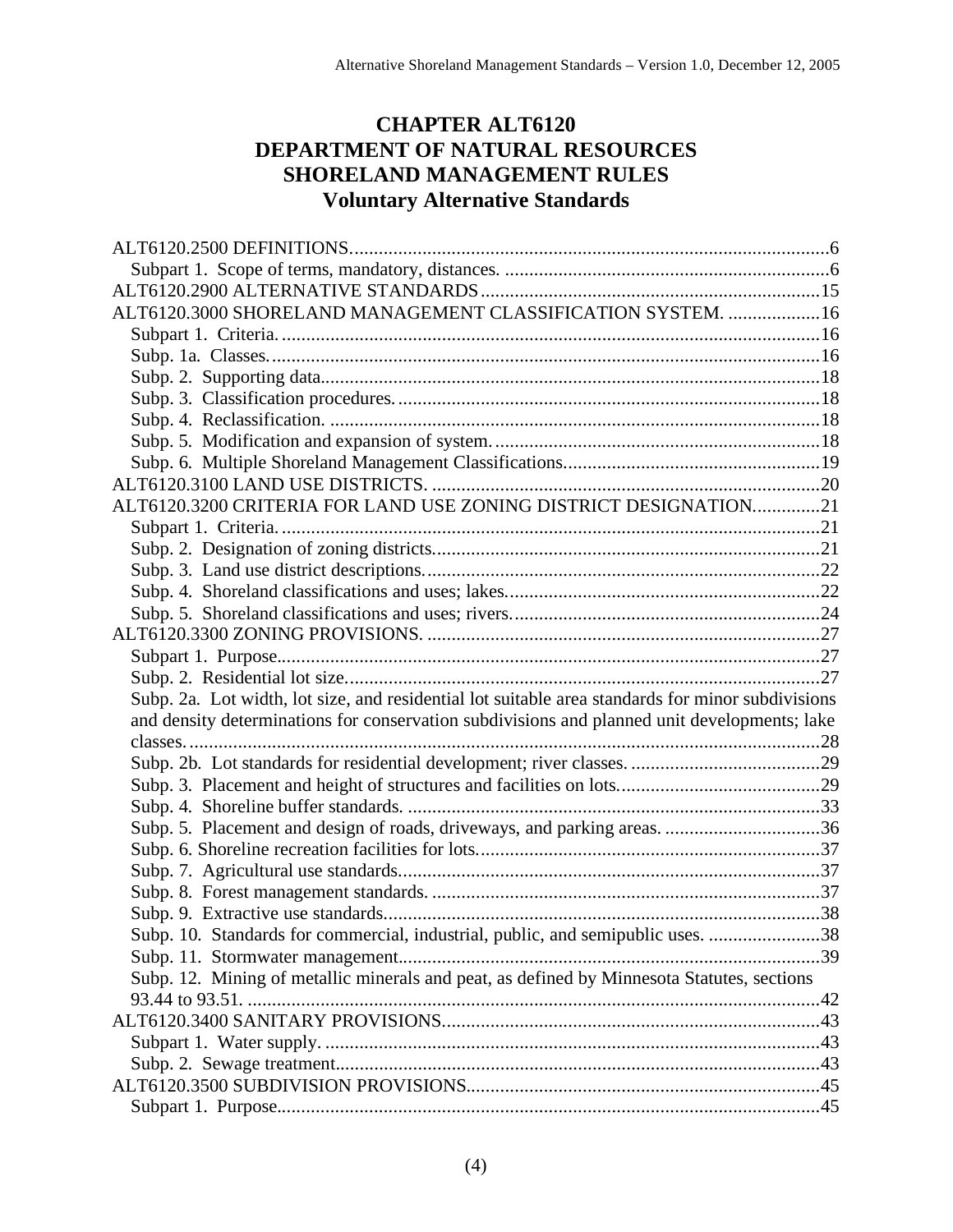## **CHAPTER ALT6120 DEPARTMENT OF NATURAL RESOURCES SHORELAND MANAGEMENT RULES Voluntary Alternative Standards**

| ALT6120.3000 SHORELAND MANAGEMENT CLASSIFICATION SYSTEM. 16                                       |  |
|---------------------------------------------------------------------------------------------------|--|
|                                                                                                   |  |
|                                                                                                   |  |
|                                                                                                   |  |
|                                                                                                   |  |
|                                                                                                   |  |
|                                                                                                   |  |
|                                                                                                   |  |
|                                                                                                   |  |
| ALT6120.3200 CRITERIA FOR LAND USE ZONING DISTRICT DESIGNATION21                                  |  |
|                                                                                                   |  |
|                                                                                                   |  |
|                                                                                                   |  |
|                                                                                                   |  |
|                                                                                                   |  |
|                                                                                                   |  |
|                                                                                                   |  |
|                                                                                                   |  |
| Subp. 2a. Lot width, lot size, and residential lot suitable area standards for minor subdivisions |  |
| and density determinations for conservation subdivisions and planned unit developments; lake      |  |
|                                                                                                   |  |
|                                                                                                   |  |
|                                                                                                   |  |
|                                                                                                   |  |
| Subp. 5. Placement and design of roads, driveways, and parking areas. 36                          |  |
|                                                                                                   |  |
|                                                                                                   |  |
|                                                                                                   |  |
|                                                                                                   |  |
| Subp. 10. Standards for commercial, industrial, public, and semipublic uses. 38                   |  |
|                                                                                                   |  |
| Subp. 12. Mining of metallic minerals and peat, as defined by Minnesota Statutes, sections        |  |
|                                                                                                   |  |
|                                                                                                   |  |
|                                                                                                   |  |
|                                                                                                   |  |
|                                                                                                   |  |
|                                                                                                   |  |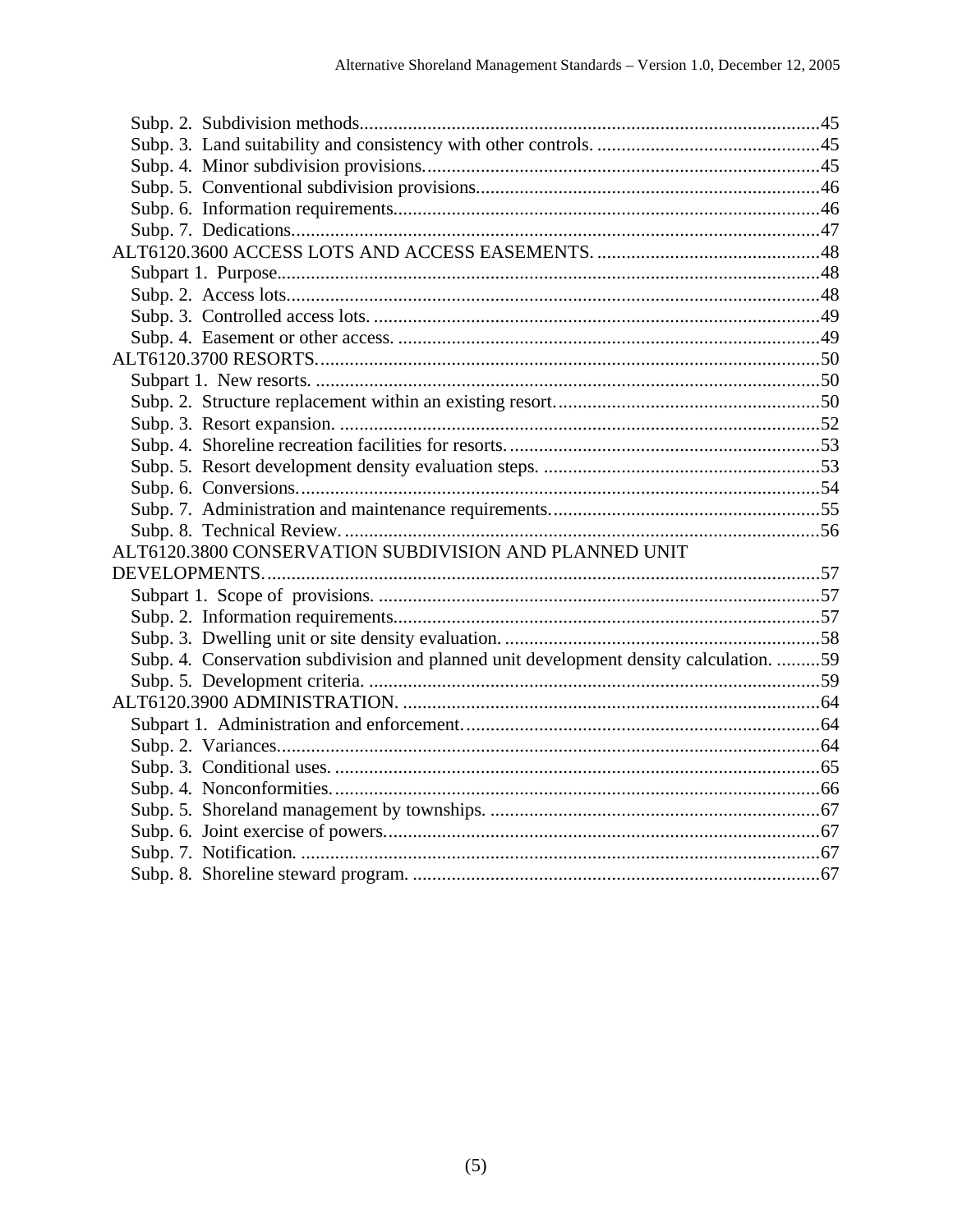| ALT6120.3800 CONSERVATION SUBDIVISION AND PLANNED UNIT                                 |  |
|----------------------------------------------------------------------------------------|--|
|                                                                                        |  |
|                                                                                        |  |
|                                                                                        |  |
|                                                                                        |  |
| Subp. 4. Conservation subdivision and planned unit development density calculation. 59 |  |
|                                                                                        |  |
|                                                                                        |  |
|                                                                                        |  |
|                                                                                        |  |
|                                                                                        |  |
|                                                                                        |  |
|                                                                                        |  |
|                                                                                        |  |
|                                                                                        |  |
|                                                                                        |  |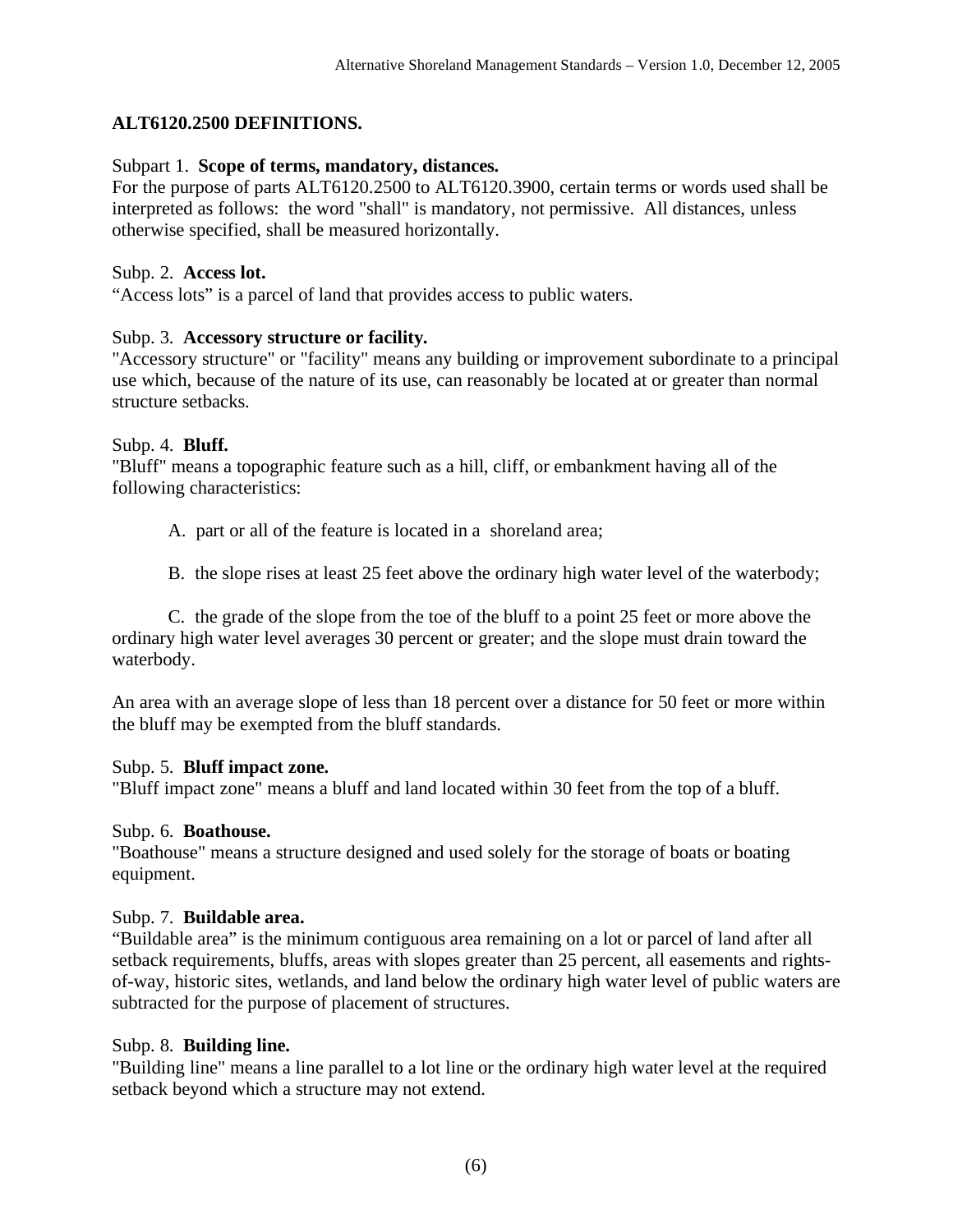## **ALT6120.2500 DEFINITIONS.**

#### Subpart 1. **Scope of terms, mandatory, distances.**

For the purpose of parts ALT6120.2500 to ALT6120.3900, certain terms or words used shall be interpreted as follows: the word "shall" is mandatory, not permissive. All distances, unless otherwise specified, shall be measured horizontally.

#### Subp. 2. **Access lot.**

"Access lots" is a parcel of land that provides access to public waters.

## Subp. 3. **Accessory structure or facility.**

"Accessory structure" or "facility" means any building or improvement subordinate to a principal use which, because of the nature of its use, can reasonably be located at or greater than normal structure setbacks.

#### Subp. 4. **Bluff.**

"Bluff" means a topographic feature such as a hill, cliff, or embankment having all of the following characteristics:

A. part or all of the feature is located in a shoreland area;

B. the slope rises at least 25 feet above the ordinary high water level of the waterbody;

 C. the grade of the slope from the toe of the bluff to a point 25 feet or more above the ordinary high water level averages 30 percent or greater; and the slope must drain toward the waterbody.

An area with an average slope of less than 18 percent over a distance for 50 feet or more within the bluff may be exempted from the bluff standards.

#### Subp. 5. **Bluff impact zone.**

"Bluff impact zone" means a bluff and land located within 30 feet from the top of a bluff.

## Subp. 6. **Boathouse.**

"Boathouse" means a structure designed and used solely for the storage of boats or boating equipment.

## Subp. 7. **Buildable area.**

"Buildable area" is the minimum contiguous area remaining on a lot or parcel of land after all setback requirements, bluffs, areas with slopes greater than 25 percent, all easements and rightsof-way, historic sites, wetlands, and land below the ordinary high water level of public waters are subtracted for the purpose of placement of structures.

## Subp. 8. **Building line.**

"Building line" means a line parallel to a lot line or the ordinary high water level at the required setback beyond which a structure may not extend.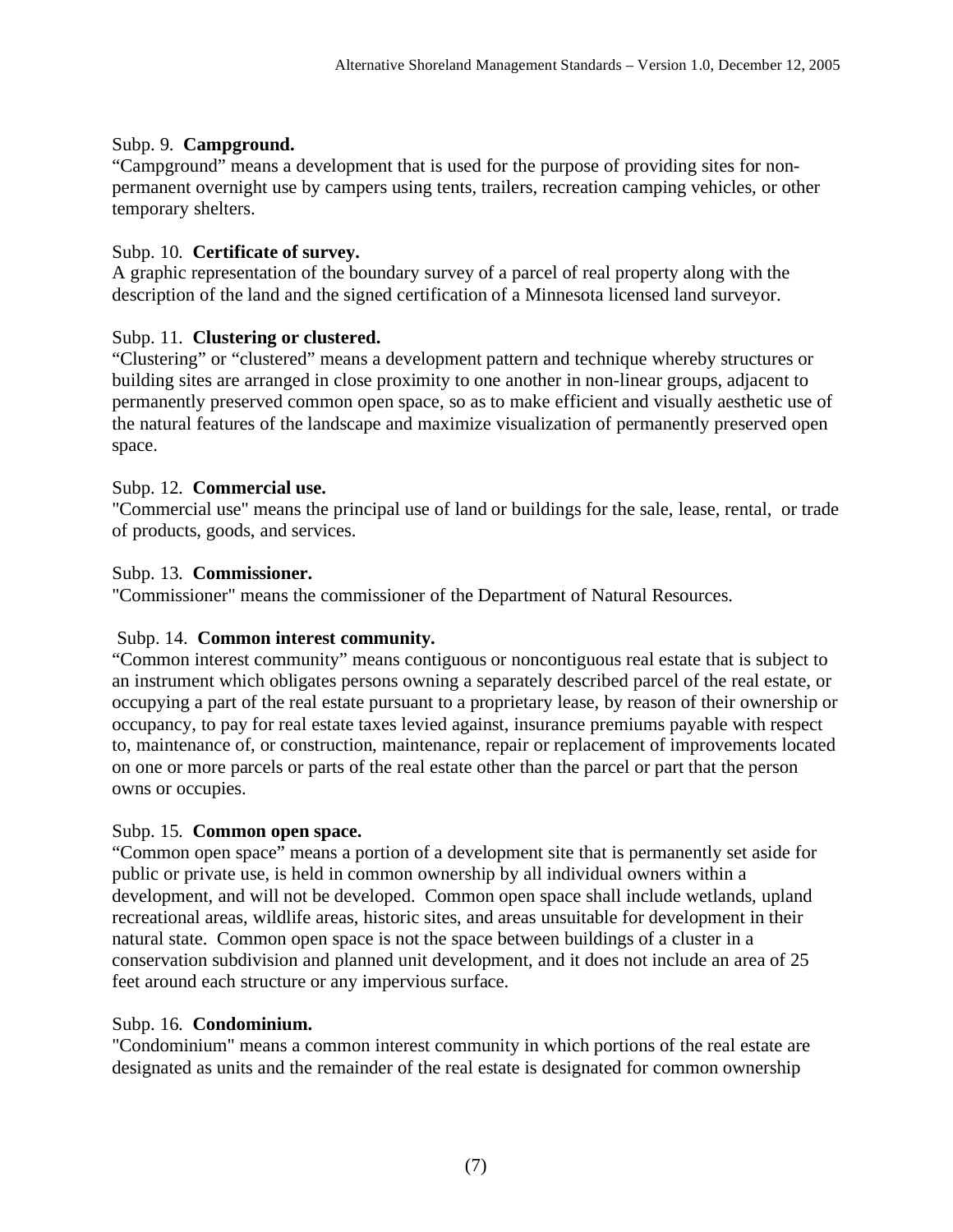## Subp. 9. **Campground.**

"Campground" means a development that is used for the purpose of providing sites for nonpermanent overnight use by campers using tents, trailers, recreation camping vehicles, or other temporary shelters.

## Subp. 10. **Certificate of survey.**

A graphic representation of the boundary survey of a parcel of real property along with the description of the land and the signed certification of a Minnesota licensed land surveyor.

## Subp. 11. **Clustering or clustered.**

"Clustering" or "clustered" means a development pattern and technique whereby structures or building sites are arranged in close proximity to one another in non-linear groups, adjacent to permanently preserved common open space, so as to make efficient and visually aesthetic use of the natural features of the landscape and maximize visualization of permanently preserved open space.

## Subp. 12. **Commercial use.**

"Commercial use" means the principal use of land or buildings for the sale, lease, rental, or trade of products, goods, and services.

## Subp. 13. **Commissioner.**

"Commissioner" means the commissioner of the Department of Natural Resources.

## Subp. 14. **Common interest community.**

"Common interest community" means contiguous or noncontiguous real estate that is subject to an instrument which obligates persons owning a separately described parcel of the real estate, or occupying a part of the real estate pursuant to a proprietary lease, by reason of their ownership or occupancy, to pay for real estate taxes levied against, insurance premiums payable with respect to, maintenance of, or construction, maintenance, repair or replacement of improvements located on one or more parcels or parts of the real estate other than the parcel or part that the person owns or occupies.

## Subp. 15. **Common open space.**

"Common open space" means a portion of a development site that is permanently set aside for public or private use, is held in common ownership by all individual owners within a development, and will not be developed. Common open space shall include wetlands, upland recreational areas, wildlife areas, historic sites, and areas unsuitable for development in their natural state. Common open space is not the space between buildings of a cluster in a conservation subdivision and planned unit development, and it does not include an area of 25 feet around each structure or any impervious surface.

## Subp. 16. **Condominium.**

"Condominium" means a common interest community in which portions of the real estate are designated as units and the remainder of the real estate is designated for common ownership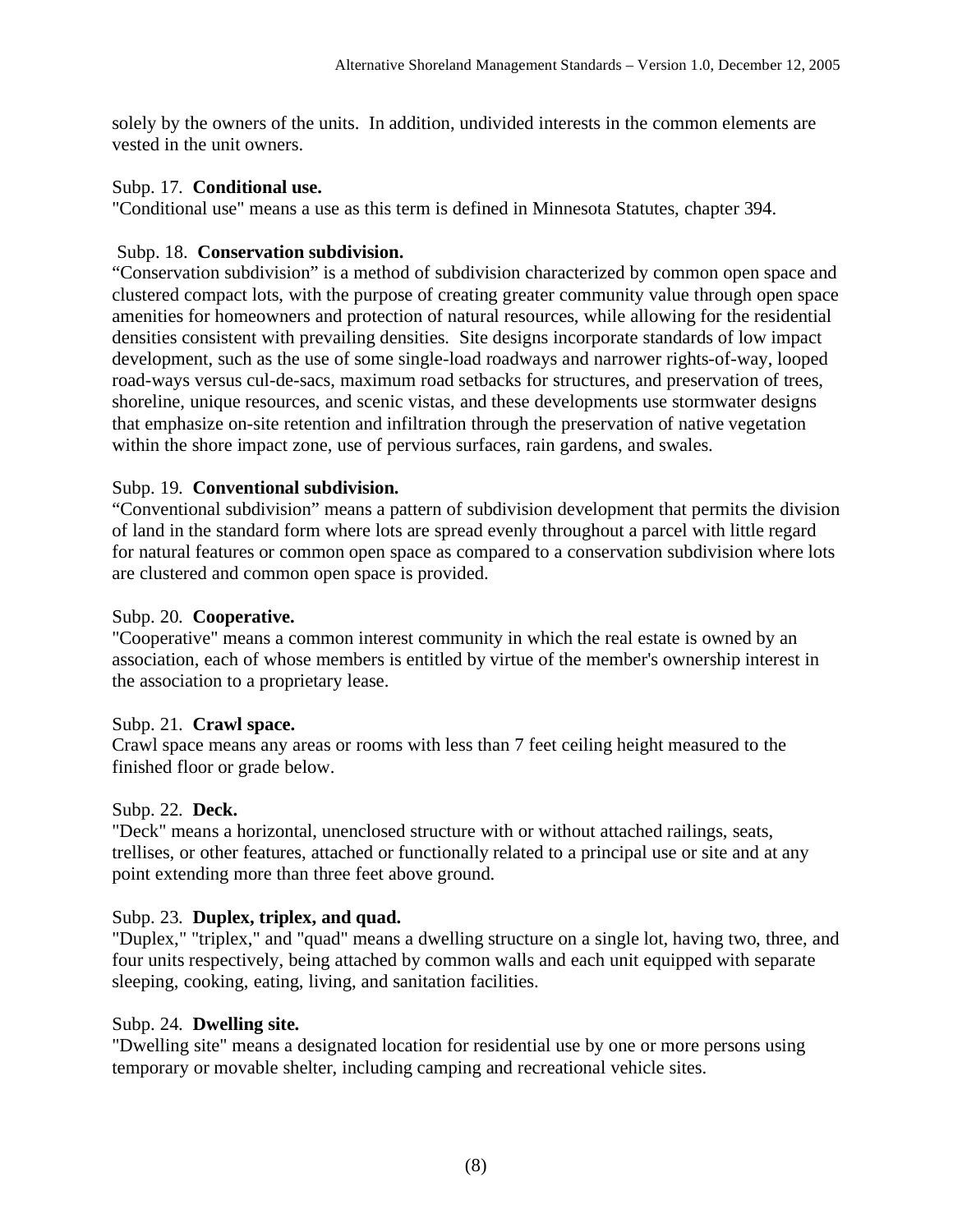solely by the owners of the units. In addition, undivided interests in the common elements are vested in the unit owners.

#### Subp. 17. **Conditional use.**

"Conditional use" means a use as this term is defined in Minnesota Statutes, chapter 394.

#### Subp. 18. **Conservation subdivision.**

"Conservation subdivision" is a method of subdivision characterized by common open space and clustered compact lots, with the purpose of creating greater community value through open space amenities for homeowners and protection of natural resources, while allowing for the residential densities consistent with prevailing densities. Site designs incorporate standards of low impact development, such as the use of some single-load roadways and narrower rights-of-way, looped road-ways versus cul-de-sacs, maximum road setbacks for structures, and preservation of trees, shoreline, unique resources, and scenic vistas, and these developments use stormwater designs that emphasize on-site retention and infiltration through the preservation of native vegetation within the shore impact zone, use of pervious surfaces, rain gardens, and swales.

#### Subp. 19. **Conventional subdivision.**

"Conventional subdivision" means a pattern of subdivision development that permits the division of land in the standard form where lots are spread evenly throughout a parcel with little regard for natural features or common open space as compared to a conservation subdivision where lots are clustered and common open space is provided.

#### Subp. 20. **Cooperative.**

"Cooperative" means a common interest community in which the real estate is owned by an association, each of whose members is entitled by virtue of the member's ownership interest in the association to a proprietary lease.

#### Subp. 21. **Crawl space.**

Crawl space means any areas or rooms with less than 7 feet ceiling height measured to the finished floor or grade below.

#### Subp. 22. **Deck.**

"Deck" means a horizontal, unenclosed structure with or without attached railings, seats, trellises, or other features, attached or functionally related to a principal use or site and at any point extending more than three feet above ground.

## Subp. 23. **Duplex, triplex, and quad.**

"Duplex," "triplex," and "quad" means a dwelling structure on a single lot, having two, three, and four units respectively, being attached by common walls and each unit equipped with separate sleeping, cooking, eating, living, and sanitation facilities.

#### Subp. 24. **Dwelling site.**

"Dwelling site" means a designated location for residential use by one or more persons using temporary or movable shelter, including camping and recreational vehicle sites.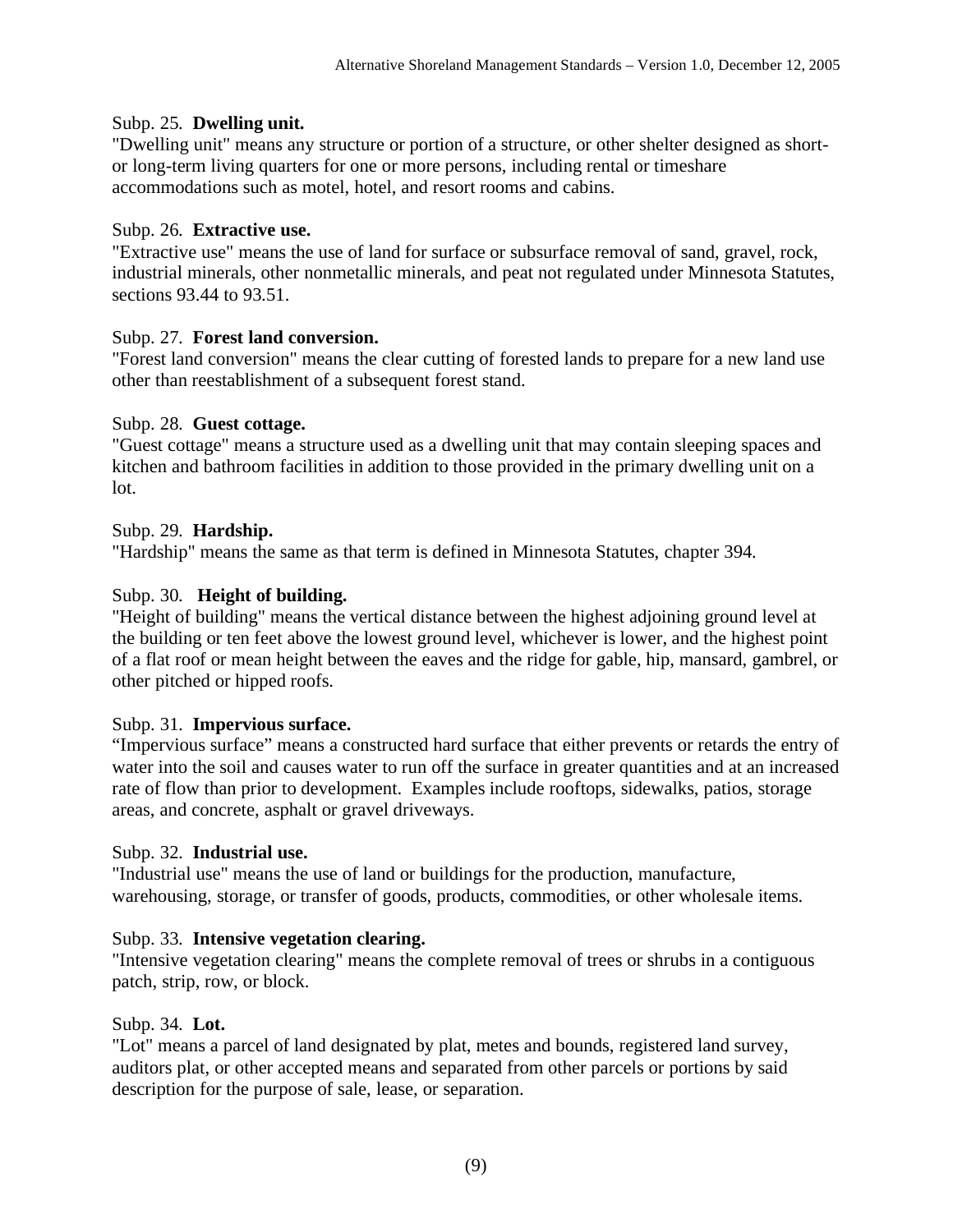## Subp. 25. **Dwelling unit.**

"Dwelling unit" means any structure or portion of a structure, or other shelter designed as shortor long-term living quarters for one or more persons, including rental or timeshare accommodations such as motel, hotel, and resort rooms and cabins.

#### Subp. 26. **Extractive use.**

"Extractive use" means the use of land for surface or subsurface removal of sand, gravel, rock, industrial minerals, other nonmetallic minerals, and peat not regulated under Minnesota Statutes, sections 93.44 to 93.51.

#### Subp. 27. **Forest land conversion.**

"Forest land conversion" means the clear cutting of forested lands to prepare for a new land use other than reestablishment of a subsequent forest stand.

#### Subp. 28. **Guest cottage.**

"Guest cottage" means a structure used as a dwelling unit that may contain sleeping spaces and kitchen and bathroom facilities in addition to those provided in the primary dwelling unit on a lot.

#### Subp. 29. **Hardship.**

"Hardship" means the same as that term is defined in Minnesota Statutes, chapter 394.

## Subp. 30. **Height of building.**

"Height of building" means the vertical distance between the highest adjoining ground level at the building or ten feet above the lowest ground level, whichever is lower, and the highest point of a flat roof or mean height between the eaves and the ridge for gable, hip, mansard, gambrel, or other pitched or hipped roofs.

#### Subp. 31. **Impervious surface.**

"Impervious surface" means a constructed hard surface that either prevents or retards the entry of water into the soil and causes water to run off the surface in greater quantities and at an increased rate of flow than prior to development. Examples include rooftops, sidewalks, patios, storage areas, and concrete, asphalt or gravel driveways.

#### Subp. 32. **Industrial use.**

"Industrial use" means the use of land or buildings for the production, manufacture, warehousing, storage, or transfer of goods, products, commodities, or other wholesale items.

#### Subp. 33. **Intensive vegetation clearing.**

"Intensive vegetation clearing" means the complete removal of trees or shrubs in a contiguous patch, strip, row, or block.

#### Subp. 34. **Lot.**

"Lot" means a parcel of land designated by plat, metes and bounds, registered land survey, auditors plat, or other accepted means and separated from other parcels or portions by said description for the purpose of sale, lease, or separation.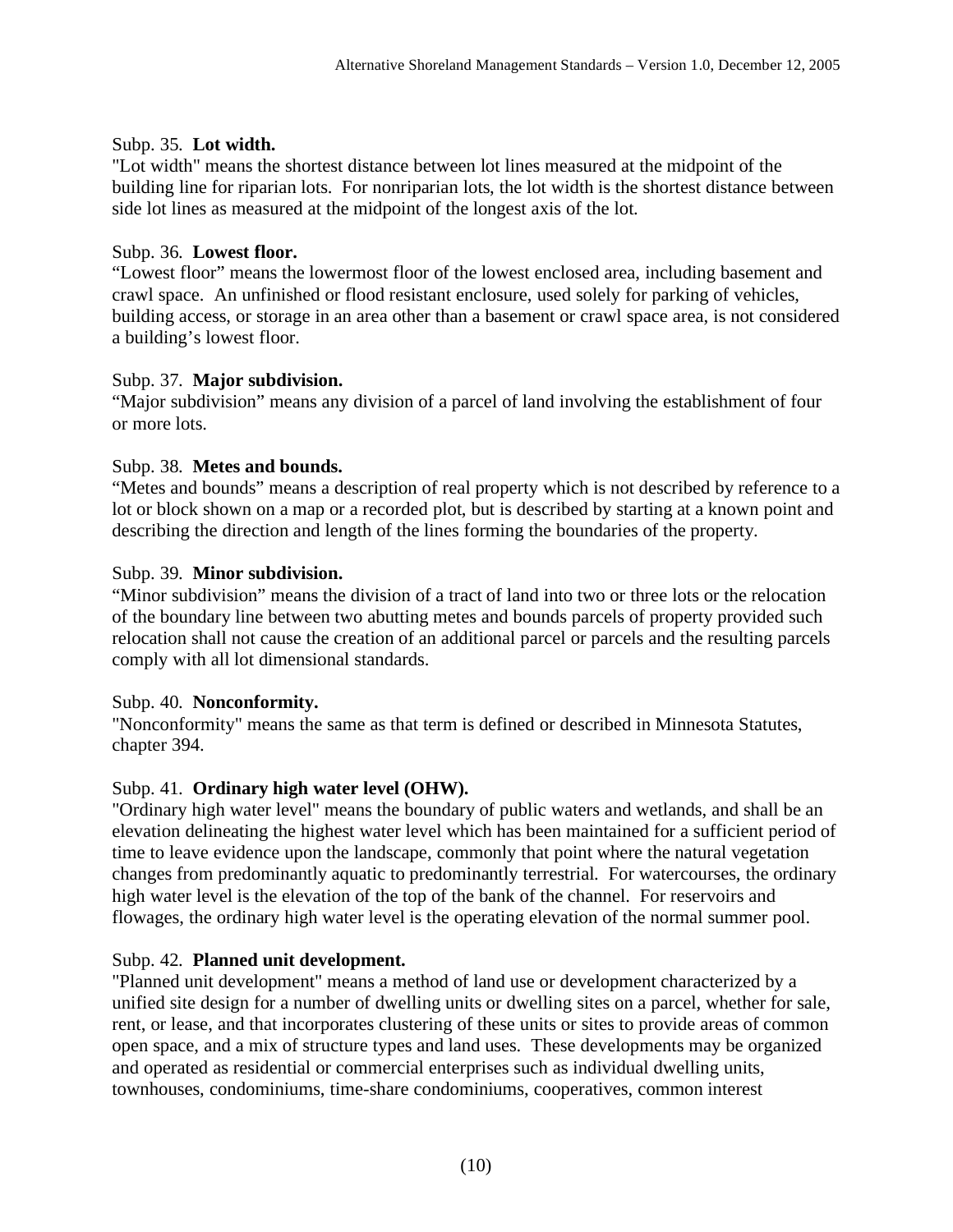## Subp. 35. **Lot width.**

"Lot width" means the shortest distance between lot lines measured at the midpoint of the building line for riparian lots. For nonriparian lots, the lot width is the shortest distance between side lot lines as measured at the midpoint of the longest axis of the lot.

## Subp. 36. **Lowest floor.**

"Lowest floor" means the lowermost floor of the lowest enclosed area, including basement and crawl space. An unfinished or flood resistant enclosure, used solely for parking of vehicles, building access, or storage in an area other than a basement or crawl space area, is not considered a building's lowest floor.

## Subp. 37. **Major subdivision.**

"Major subdivision" means any division of a parcel of land involving the establishment of four or more lots.

## Subp. 38. **Metes and bounds.**

"Metes and bounds" means a description of real property which is not described by reference to a lot or block shown on a map or a recorded plot, but is described by starting at a known point and describing the direction and length of the lines forming the boundaries of the property.

## Subp. 39. **Minor subdivision.**

"Minor subdivision" means the division of a tract of land into two or three lots or the relocation of the boundary line between two abutting metes and bounds parcels of property provided such relocation shall not cause the creation of an additional parcel or parcels and the resulting parcels comply with all lot dimensional standards.

## Subp. 40. **Nonconformity.**

"Nonconformity" means the same as that term is defined or described in Minnesota Statutes, chapter 394.

## Subp. 41. **Ordinary high water level (OHW).**

"Ordinary high water level" means the boundary of public waters and wetlands, and shall be an elevation delineating the highest water level which has been maintained for a sufficient period of time to leave evidence upon the landscape, commonly that point where the natural vegetation changes from predominantly aquatic to predominantly terrestrial. For watercourses, the ordinary high water level is the elevation of the top of the bank of the channel. For reservoirs and flowages, the ordinary high water level is the operating elevation of the normal summer pool.

## Subp. 42. **Planned unit development.**

"Planned unit development" means a method of land use or development characterized by a unified site design for a number of dwelling units or dwelling sites on a parcel, whether for sale, rent, or lease, and that incorporates clustering of these units or sites to provide areas of common open space, and a mix of structure types and land uses. These developments may be organized and operated as residential or commercial enterprises such as individual dwelling units, townhouses, condominiums, time-share condominiums, cooperatives, common interest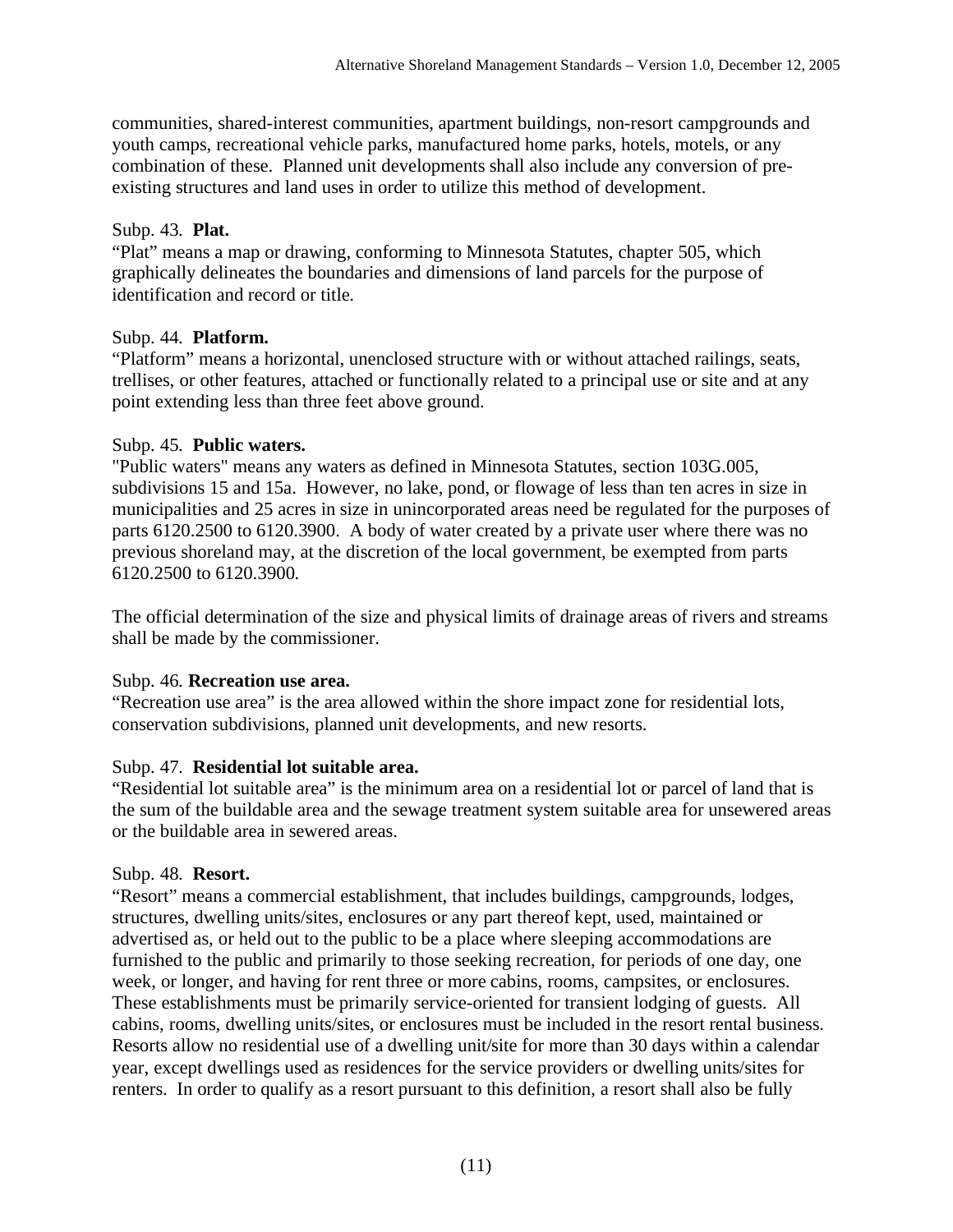communities, shared-interest communities, apartment buildings, non-resort campgrounds and youth camps, recreational vehicle parks, manufactured home parks, hotels, motels, or any combination of these. Planned unit developments shall also include any conversion of preexisting structures and land uses in order to utilize this method of development.

## Subp. 43. **Plat.**

"Plat" means a map or drawing, conforming to Minnesota Statutes, chapter 505, which graphically delineates the boundaries and dimensions of land parcels for the purpose of identification and record or title.

## Subp. 44. **Platform.**

"Platform" means a horizontal, unenclosed structure with or without attached railings, seats, trellises, or other features, attached or functionally related to a principal use or site and at any point extending less than three feet above ground.

## Subp. 45. **Public waters.**

"Public waters" means any waters as defined in Minnesota Statutes, section 103G.005, subdivisions 15 and 15a. However, no lake, pond, or flowage of less than ten acres in size in municipalities and 25 acres in size in unincorporated areas need be regulated for the purposes of parts 6120.2500 to 6120.3900. A body of water created by a private user where there was no previous shoreland may, at the discretion of the local government, be exempted from parts 6120.2500 to 6120.3900.

The official determination of the size and physical limits of drainage areas of rivers and streams shall be made by the commissioner.

## Subp. 46. **Recreation use area.**

"Recreation use area" is the area allowed within the shore impact zone for residential lots, conservation subdivisions, planned unit developments, and new resorts.

## Subp. 47. **Residential lot suitable area.**

"Residential lot suitable area" is the minimum area on a residential lot or parcel of land that is the sum of the buildable area and the sewage treatment system suitable area for unsewered areas or the buildable area in sewered areas.

## Subp. 48. **Resort.**

"Resort" means a commercial establishment, that includes buildings, campgrounds, lodges, structures, dwelling units/sites, enclosures or any part thereof kept, used, maintained or advertised as, or held out to the public to be a place where sleeping accommodations are furnished to the public and primarily to those seeking recreation, for periods of one day, one week, or longer, and having for rent three or more cabins, rooms, campsites, or enclosures. These establishments must be primarily service-oriented for transient lodging of guests. All cabins, rooms, dwelling units/sites, or enclosures must be included in the resort rental business. Resorts allow no residential use of a dwelling unit/site for more than 30 days within a calendar year, except dwellings used as residences for the service providers or dwelling units/sites for renters. In order to qualify as a resort pursuant to this definition, a resort shall also be fully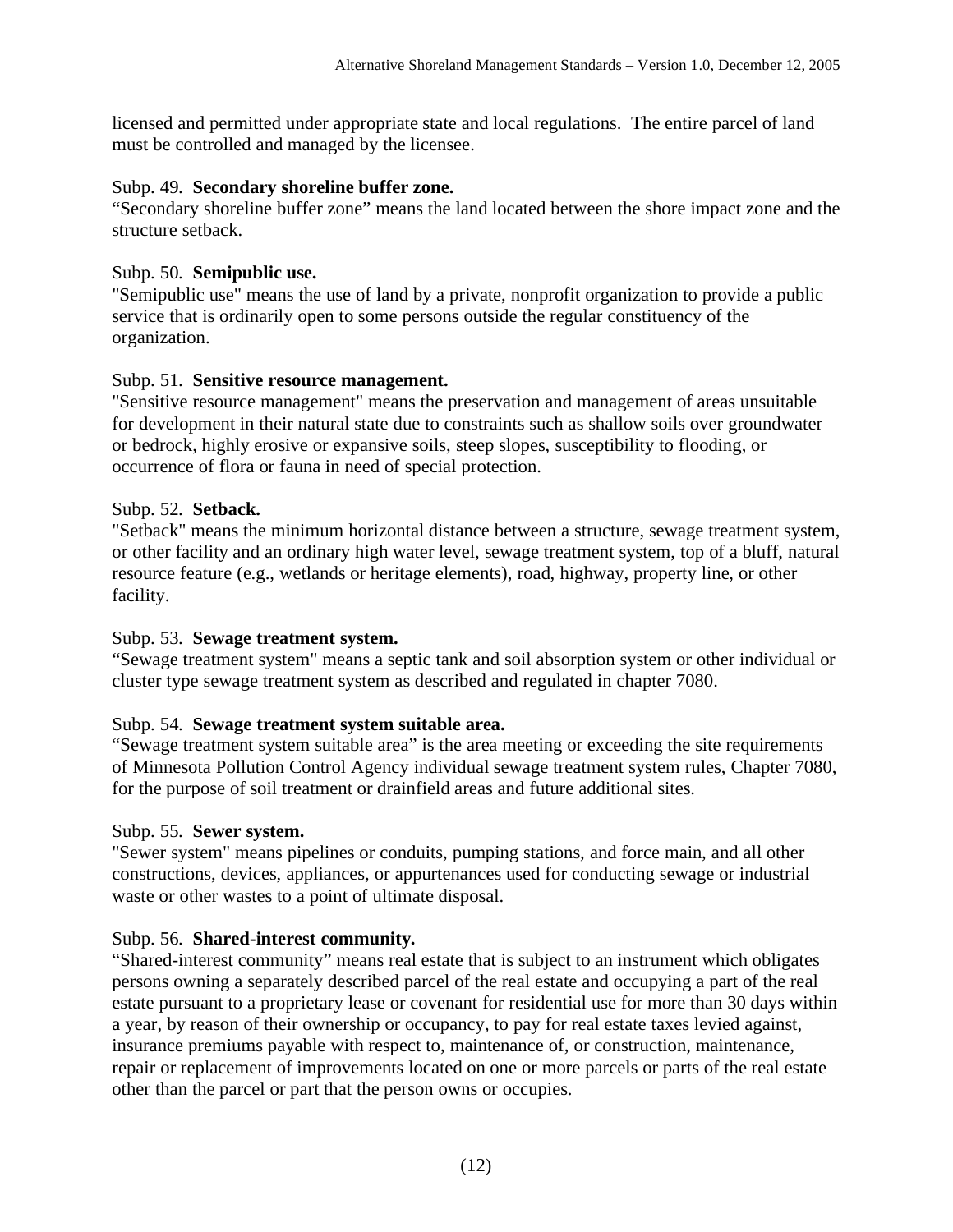licensed and permitted under appropriate state and local regulations. The entire parcel of land must be controlled and managed by the licensee.

#### Subp. 49. **Secondary shoreline buffer zone.**

"Secondary shoreline buffer zone" means the land located between the shore impact zone and the structure setback.

## Subp. 50. **Semipublic use.**

"Semipublic use" means the use of land by a private, nonprofit organization to provide a public service that is ordinarily open to some persons outside the regular constituency of the organization.

## Subp. 51. **Sensitive resource management.**

"Sensitive resource management" means the preservation and management of areas unsuitable for development in their natural state due to constraints such as shallow soils over groundwater or bedrock, highly erosive or expansive soils, steep slopes, susceptibility to flooding, or occurrence of flora or fauna in need of special protection.

## Subp. 52. **Setback.**

"Setback" means the minimum horizontal distance between a structure, sewage treatment system, or other facility and an ordinary high water level, sewage treatment system, top of a bluff, natural resource feature (e.g., wetlands or heritage elements), road, highway, property line, or other facility.

## Subp. 53. **Sewage treatment system.**

"Sewage treatment system" means a septic tank and soil absorption system or other individual or cluster type sewage treatment system as described and regulated in chapter 7080.

## Subp. 54. **Sewage treatment system suitable area.**

"Sewage treatment system suitable area" is the area meeting or exceeding the site requirements of Minnesota Pollution Control Agency individual sewage treatment system rules, Chapter 7080, for the purpose of soil treatment or drainfield areas and future additional sites.

## Subp. 55. **Sewer system.**

"Sewer system" means pipelines or conduits, pumping stations, and force main, and all other constructions, devices, appliances, or appurtenances used for conducting sewage or industrial waste or other wastes to a point of ultimate disposal.

## Subp. 56. **Shared-interest community.**

"Shared-interest community" means real estate that is subject to an instrument which obligates persons owning a separately described parcel of the real estate and occupying a part of the real estate pursuant to a proprietary lease or covenant for residential use for more than 30 days within a year, by reason of their ownership or occupancy, to pay for real estate taxes levied against, insurance premiums payable with respect to, maintenance of, or construction, maintenance, repair or replacement of improvements located on one or more parcels or parts of the real estate other than the parcel or part that the person owns or occupies.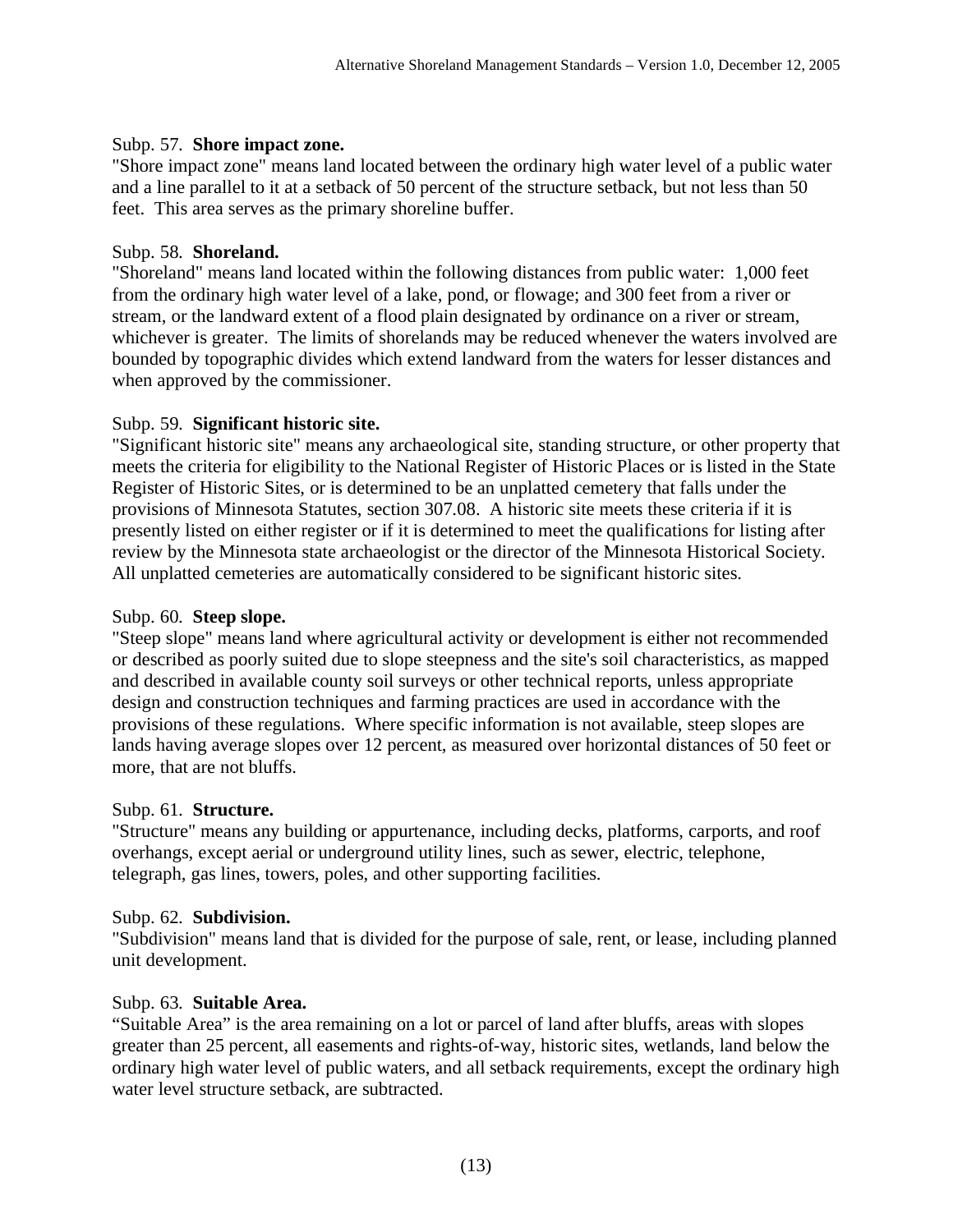#### Subp. 57. **Shore impact zone.**

"Shore impact zone" means land located between the ordinary high water level of a public water and a line parallel to it at a setback of 50 percent of the structure setback, but not less than 50 feet. This area serves as the primary shoreline buffer.

#### Subp. 58. **Shoreland.**

"Shoreland" means land located within the following distances from public water: 1,000 feet from the ordinary high water level of a lake, pond, or flowage; and 300 feet from a river or stream, or the landward extent of a flood plain designated by ordinance on a river or stream, whichever is greater. The limits of shorelands may be reduced whenever the waters involved are bounded by topographic divides which extend landward from the waters for lesser distances and when approved by the commissioner.

#### Subp. 59. **Significant historic site.**

"Significant historic site" means any archaeological site, standing structure, or other property that meets the criteria for eligibility to the National Register of Historic Places or is listed in the State Register of Historic Sites, or is determined to be an unplatted cemetery that falls under the provisions of Minnesota Statutes, section 307.08. A historic site meets these criteria if it is presently listed on either register or if it is determined to meet the qualifications for listing after review by the Minnesota state archaeologist or the director of the Minnesota Historical Society. All unplatted cemeteries are automatically considered to be significant historic sites.

#### Subp. 60. **Steep slope.**

"Steep slope" means land where agricultural activity or development is either not recommended or described as poorly suited due to slope steepness and the site's soil characteristics, as mapped and described in available county soil surveys or other technical reports, unless appropriate design and construction techniques and farming practices are used in accordance with the provisions of these regulations. Where specific information is not available, steep slopes are lands having average slopes over 12 percent, as measured over horizontal distances of 50 feet or more, that are not bluffs.

#### Subp. 61. **Structure.**

"Structure" means any building or appurtenance, including decks, platforms, carports, and roof overhangs, except aerial or underground utility lines, such as sewer, electric, telephone, telegraph, gas lines, towers, poles, and other supporting facilities.

#### Subp. 62. **Subdivision.**

"Subdivision" means land that is divided for the purpose of sale, rent, or lease, including planned unit development.

#### Subp. 63. **Suitable Area.**

"Suitable Area" is the area remaining on a lot or parcel of land after bluffs, areas with slopes greater than 25 percent, all easements and rights-of-way, historic sites, wetlands, land below the ordinary high water level of public waters, and all setback requirements, except the ordinary high water level structure setback, are subtracted.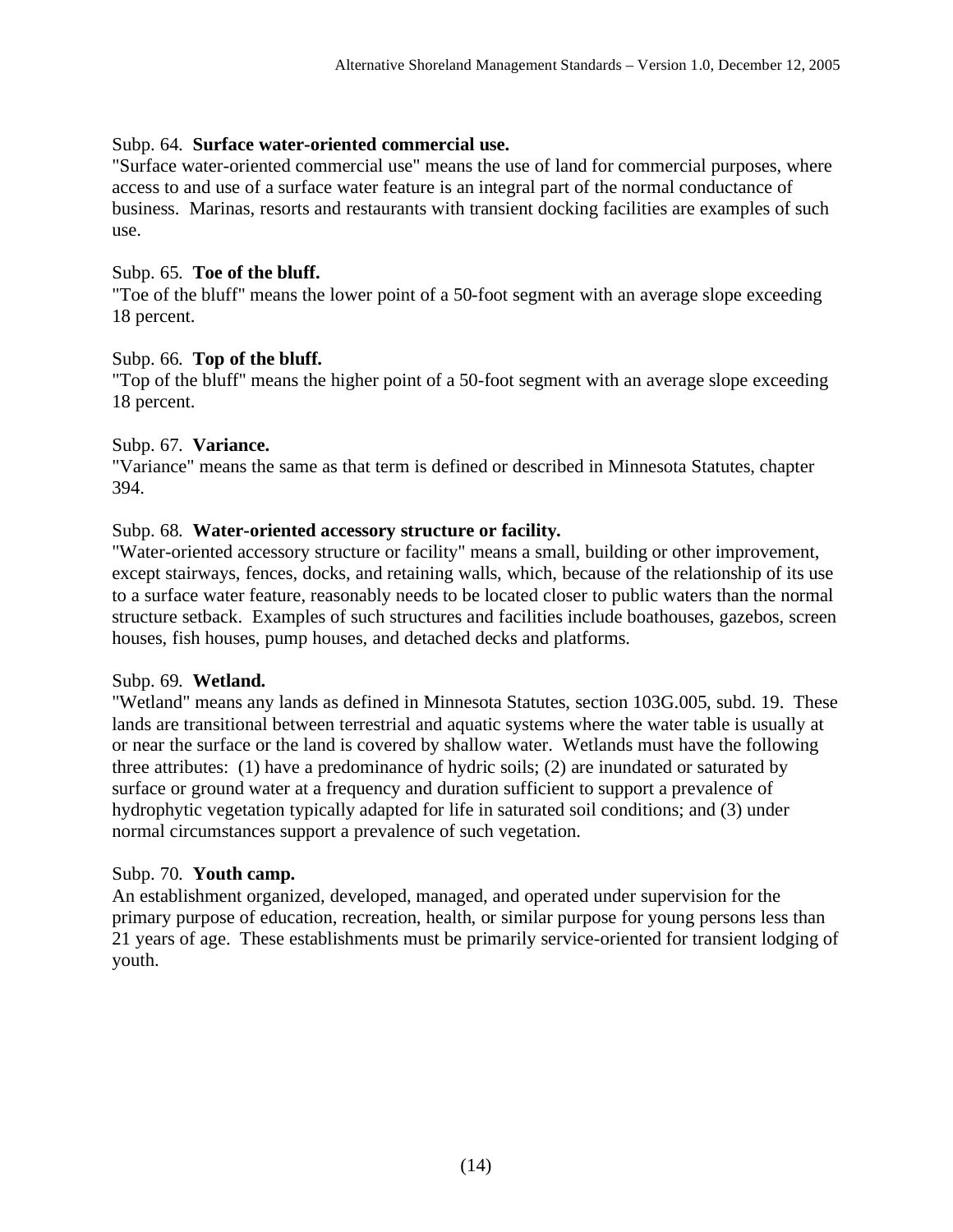#### Subp. 64. **Surface water-oriented commercial use.**

"Surface water-oriented commercial use" means the use of land for commercial purposes, where access to and use of a surface water feature is an integral part of the normal conductance of business. Marinas, resorts and restaurants with transient docking facilities are examples of such use.

#### Subp. 65. **Toe of the bluff.**

"Toe of the bluff" means the lower point of a 50-foot segment with an average slope exceeding 18 percent.

#### Subp. 66. **Top of the bluff.**

"Top of the bluff" means the higher point of a 50-foot segment with an average slope exceeding 18 percent.

#### Subp. 67. **Variance.**

"Variance" means the same as that term is defined or described in Minnesota Statutes, chapter 394.

#### Subp. 68. **Water-oriented accessory structure or facility.**

"Water-oriented accessory structure or facility" means a small, building or other improvement, except stairways, fences, docks, and retaining walls, which, because of the relationship of its use to a surface water feature, reasonably needs to be located closer to public waters than the normal structure setback. Examples of such structures and facilities include boathouses, gazebos, screen houses, fish houses, pump houses, and detached decks and platforms.

#### Subp. 69. **Wetland.**

"Wetland" means any lands as defined in Minnesota Statutes, section 103G.005, subd. 19. These lands are transitional between terrestrial and aquatic systems where the water table is usually at or near the surface or the land is covered by shallow water. Wetlands must have the following three attributes: (1) have a predominance of hydric soils; (2) are inundated or saturated by surface or ground water at a frequency and duration sufficient to support a prevalence of hydrophytic vegetation typically adapted for life in saturated soil conditions; and (3) under normal circumstances support a prevalence of such vegetation.

#### Subp. 70. **Youth camp.**

An establishment organized, developed, managed, and operated under supervision for the primary purpose of education, recreation, health, or similar purpose for young persons less than 21 years of age. These establishments must be primarily service-oriented for transient lodging of youth.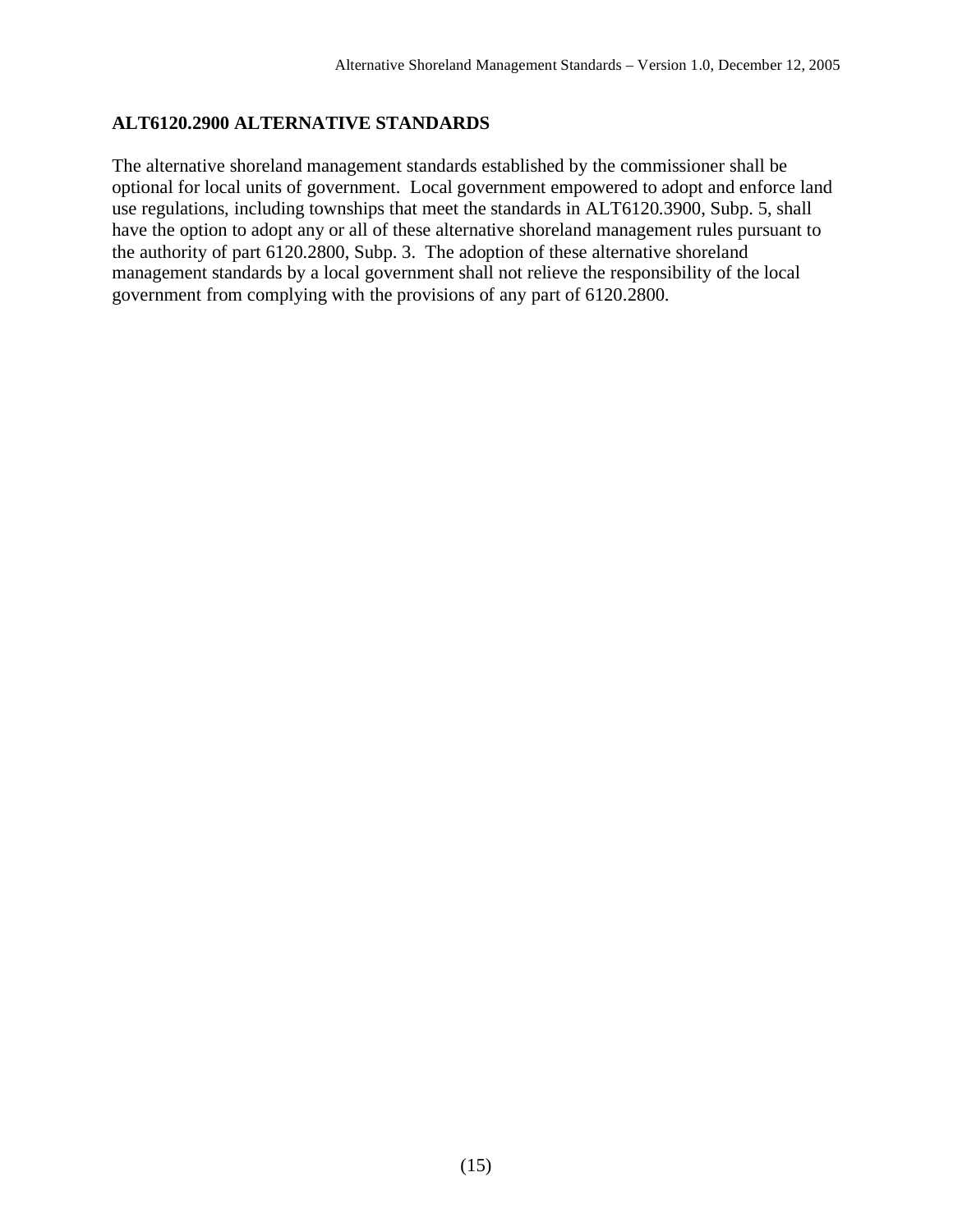## **ALT6120.2900 ALTERNATIVE STANDARDS**

The alternative shoreland management standards established by the commissioner shall be optional for local units of government. Local government empowered to adopt and enforce land use regulations, including townships that meet the standards in ALT6120.3900, Subp. 5, shall have the option to adopt any or all of these alternative shoreland management rules pursuant to the authority of part 6120.2800, Subp. 3. The adoption of these alternative shoreland management standards by a local government shall not relieve the responsibility of the local government from complying with the provisions of any part of 6120.2800.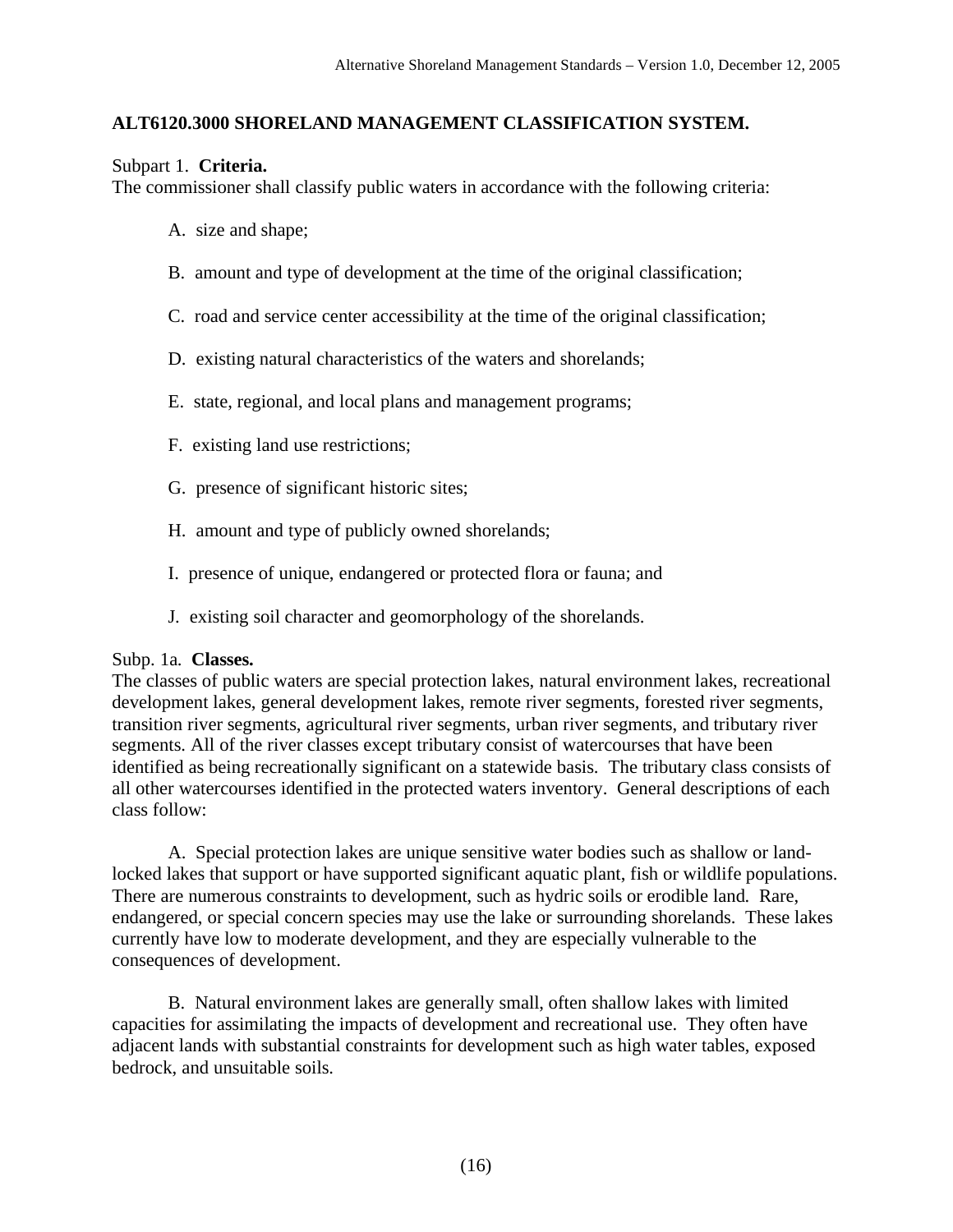#### **ALT6120.3000 SHORELAND MANAGEMENT CLASSIFICATION SYSTEM.**

#### Subpart 1. **Criteria.**

The commissioner shall classify public waters in accordance with the following criteria:

- A. size and shape;
- B. amount and type of development at the time of the original classification;
- C. road and service center accessibility at the time of the original classification;
- D. existing natural characteristics of the waters and shorelands;
- E. state, regional, and local plans and management programs;
- F. existing land use restrictions;
- G. presence of significant historic sites;
- H. amount and type of publicly owned shorelands;
- I. presence of unique, endangered or protected flora or fauna; and
- J. existing soil character and geomorphology of the shorelands.

#### Subp. 1a. **Classes.**

The classes of public waters are special protection lakes, natural environment lakes, recreational development lakes, general development lakes, remote river segments, forested river segments, transition river segments, agricultural river segments, urban river segments, and tributary river segments. All of the river classes except tributary consist of watercourses that have been identified as being recreationally significant on a statewide basis. The tributary class consists of all other watercourses identified in the protected waters inventory. General descriptions of each class follow:

 A. Special protection lakes are unique sensitive water bodies such as shallow or landlocked lakes that support or have supported significant aquatic plant, fish or wildlife populations. There are numerous constraints to development, such as hydric soils or erodible land. Rare, endangered, or special concern species may use the lake or surrounding shorelands. These lakes currently have low to moderate development, and they are especially vulnerable to the consequences of development.

 B. Natural environment lakes are generally small, often shallow lakes with limited capacities for assimilating the impacts of development and recreational use. They often have adjacent lands with substantial constraints for development such as high water tables, exposed bedrock, and unsuitable soils.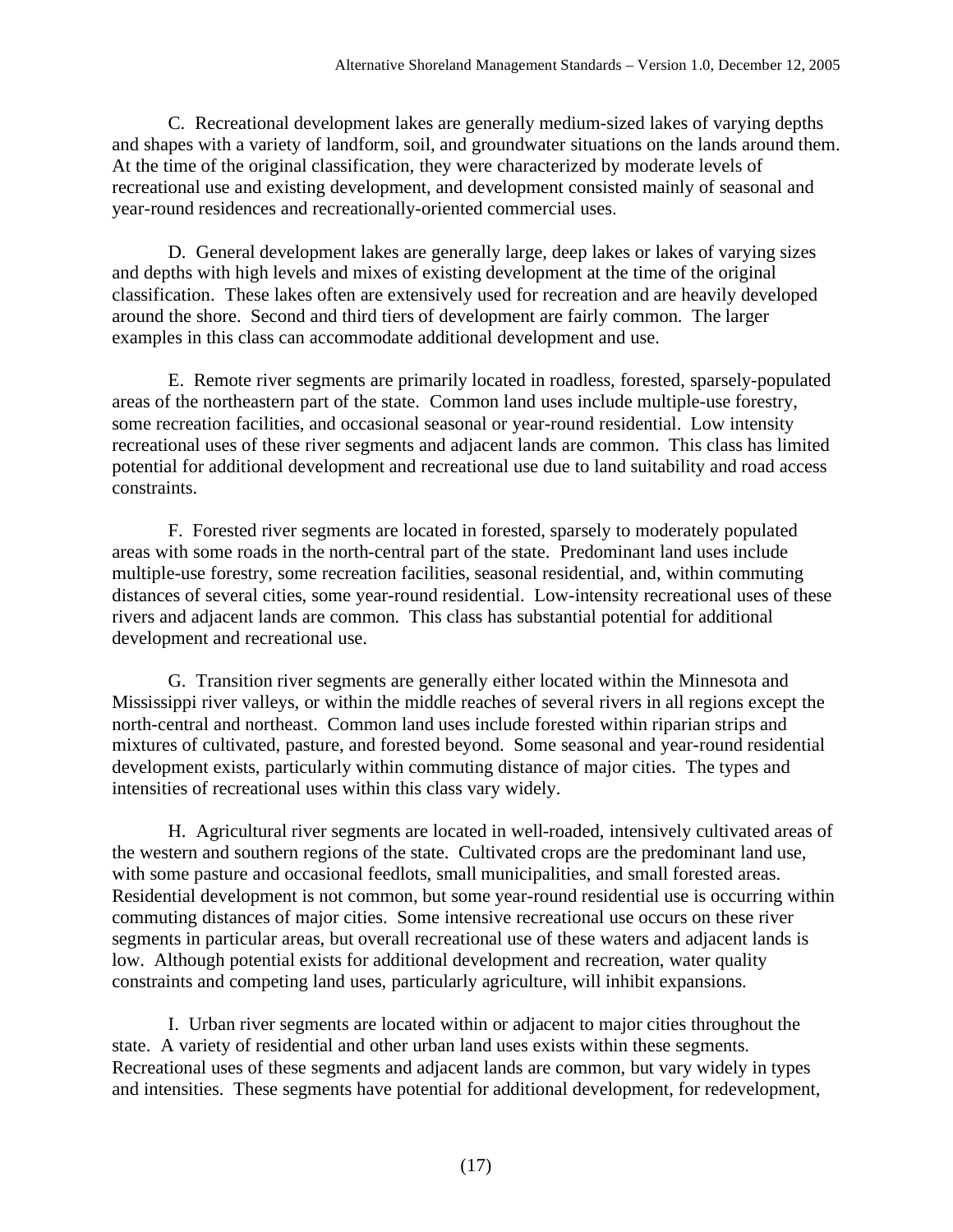C. Recreational development lakes are generally medium-sized lakes of varying depths and shapes with a variety of landform, soil, and groundwater situations on the lands around them. At the time of the original classification, they were characterized by moderate levels of recreational use and existing development, and development consisted mainly of seasonal and year-round residences and recreationally-oriented commercial uses.

 D. General development lakes are generally large, deep lakes or lakes of varying sizes and depths with high levels and mixes of existing development at the time of the original classification. These lakes often are extensively used for recreation and are heavily developed around the shore. Second and third tiers of development are fairly common. The larger examples in this class can accommodate additional development and use.

 E. Remote river segments are primarily located in roadless, forested, sparsely-populated areas of the northeastern part of the state. Common land uses include multiple-use forestry, some recreation facilities, and occasional seasonal or year-round residential. Low intensity recreational uses of these river segments and adjacent lands are common. This class has limited potential for additional development and recreational use due to land suitability and road access constraints.

 F. Forested river segments are located in forested, sparsely to moderately populated areas with some roads in the north-central part of the state. Predominant land uses include multiple-use forestry, some recreation facilities, seasonal residential, and, within commuting distances of several cities, some year-round residential. Low-intensity recreational uses of these rivers and adjacent lands are common. This class has substantial potential for additional development and recreational use.

 G. Transition river segments are generally either located within the Minnesota and Mississippi river valleys, or within the middle reaches of several rivers in all regions except the north-central and northeast. Common land uses include forested within riparian strips and mixtures of cultivated, pasture, and forested beyond. Some seasonal and year-round residential development exists, particularly within commuting distance of major cities. The types and intensities of recreational uses within this class vary widely.

 H. Agricultural river segments are located in well-roaded, intensively cultivated areas of the western and southern regions of the state. Cultivated crops are the predominant land use, with some pasture and occasional feedlots, small municipalities, and small forested areas. Residential development is not common, but some year-round residential use is occurring within commuting distances of major cities. Some intensive recreational use occurs on these river segments in particular areas, but overall recreational use of these waters and adjacent lands is low. Although potential exists for additional development and recreation, water quality constraints and competing land uses, particularly agriculture, will inhibit expansions.

 I. Urban river segments are located within or adjacent to major cities throughout the state. A variety of residential and other urban land uses exists within these segments. Recreational uses of these segments and adjacent lands are common, but vary widely in types and intensities. These segments have potential for additional development, for redevelopment,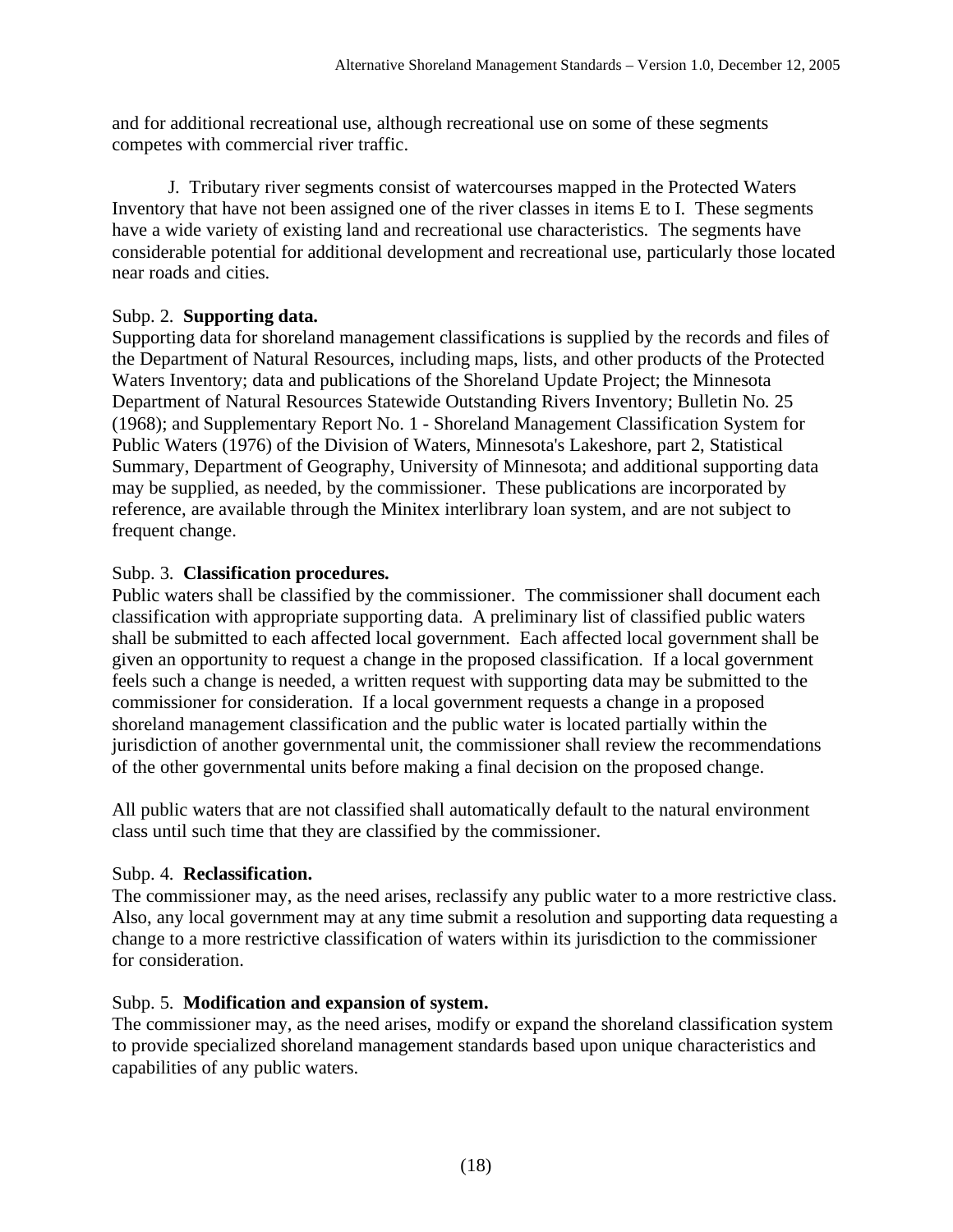and for additional recreational use, although recreational use on some of these segments competes with commercial river traffic.

 J. Tributary river segments consist of watercourses mapped in the Protected Waters Inventory that have not been assigned one of the river classes in items E to I. These segments have a wide variety of existing land and recreational use characteristics. The segments have considerable potential for additional development and recreational use, particularly those located near roads and cities.

## Subp. 2. **Supporting data.**

Supporting data for shoreland management classifications is supplied by the records and files of the Department of Natural Resources, including maps, lists, and other products of the Protected Waters Inventory; data and publications of the Shoreland Update Project; the Minnesota Department of Natural Resources Statewide Outstanding Rivers Inventory; Bulletin No. 25 (1968); and Supplementary Report No. 1 - Shoreland Management Classification System for Public Waters (1976) of the Division of Waters, Minnesota's Lakeshore, part 2, Statistical Summary, Department of Geography, University of Minnesota; and additional supporting data may be supplied, as needed, by the commissioner. These publications are incorporated by reference, are available through the Minitex interlibrary loan system, and are not subject to frequent change.

## Subp. 3. **Classification procedures.**

Public waters shall be classified by the commissioner. The commissioner shall document each classification with appropriate supporting data. A preliminary list of classified public waters shall be submitted to each affected local government. Each affected local government shall be given an opportunity to request a change in the proposed classification. If a local government feels such a change is needed, a written request with supporting data may be submitted to the commissioner for consideration. If a local government requests a change in a proposed shoreland management classification and the public water is located partially within the jurisdiction of another governmental unit, the commissioner shall review the recommendations of the other governmental units before making a final decision on the proposed change.

All public waters that are not classified shall automatically default to the natural environment class until such time that they are classified by the commissioner.

## Subp. 4. **Reclassification.**

The commissioner may, as the need arises, reclassify any public water to a more restrictive class. Also, any local government may at any time submit a resolution and supporting data requesting a change to a more restrictive classification of waters within its jurisdiction to the commissioner for consideration.

## Subp. 5. **Modification and expansion of system.**

The commissioner may, as the need arises, modify or expand the shoreland classification system to provide specialized shoreland management standards based upon unique characteristics and capabilities of any public waters.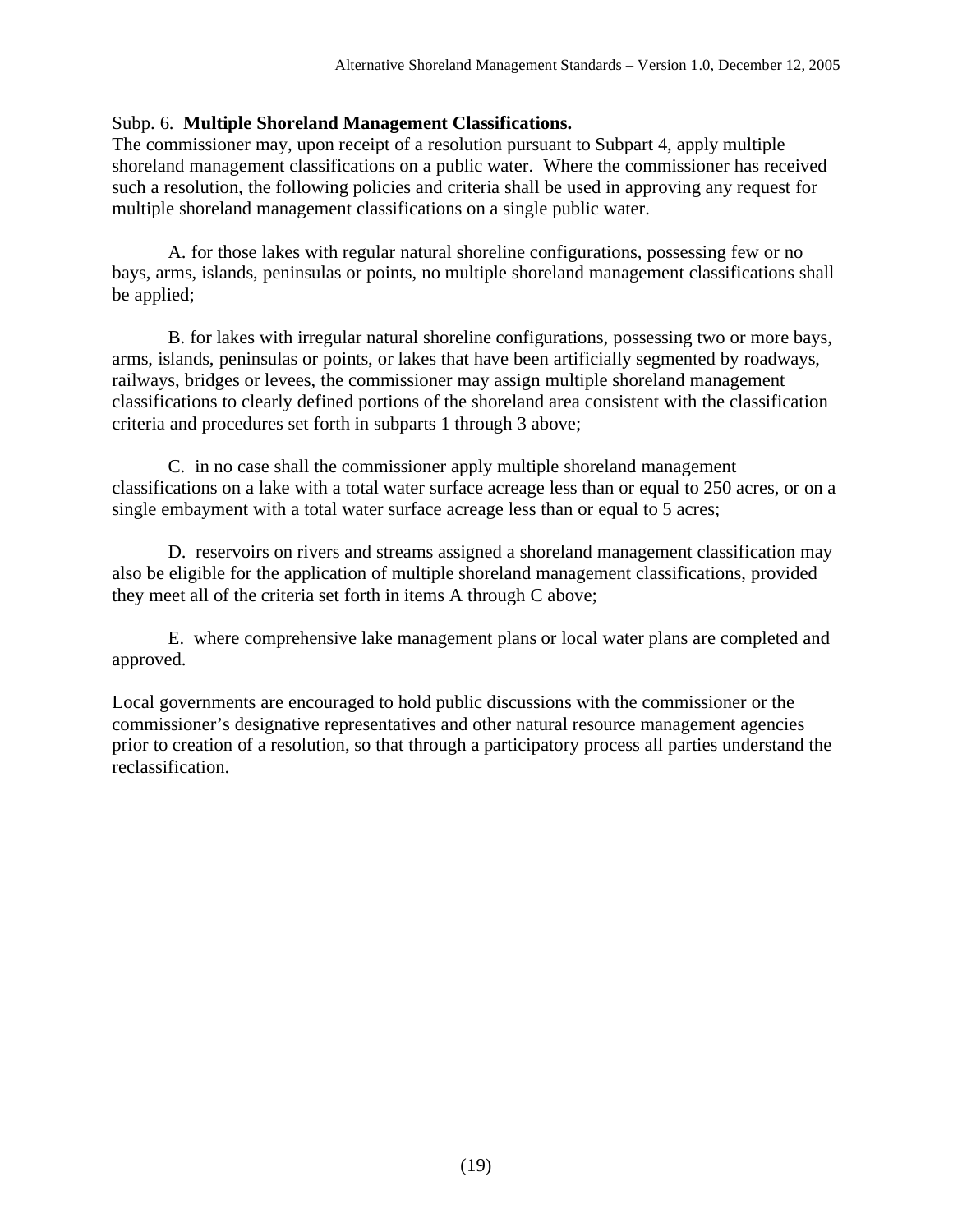## Subp. 6. **Multiple Shoreland Management Classifications.**

The commissioner may, upon receipt of a resolution pursuant to Subpart 4, apply multiple shoreland management classifications on a public water. Where the commissioner has received such a resolution, the following policies and criteria shall be used in approving any request for multiple shoreland management classifications on a single public water.

 A. for those lakes with regular natural shoreline configurations, possessing few or no bays, arms, islands, peninsulas or points, no multiple shoreland management classifications shall be applied;

 B. for lakes with irregular natural shoreline configurations, possessing two or more bays, arms, islands, peninsulas or points, or lakes that have been artificially segmented by roadways, railways, bridges or levees, the commissioner may assign multiple shoreland management classifications to clearly defined portions of the shoreland area consistent with the classification criteria and procedures set forth in subparts 1 through 3 above;

 C. in no case shall the commissioner apply multiple shoreland management classifications on a lake with a total water surface acreage less than or equal to 250 acres, or on a single embayment with a total water surface acreage less than or equal to 5 acres;

 D. reservoirs on rivers and streams assigned a shoreland management classification may also be eligible for the application of multiple shoreland management classifications, provided they meet all of the criteria set forth in items A through C above;

 E. where comprehensive lake management plans or local water plans are completed and approved.

Local governments are encouraged to hold public discussions with the commissioner or the commissioner's designative representatives and other natural resource management agencies prior to creation of a resolution, so that through a participatory process all parties understand the reclassification.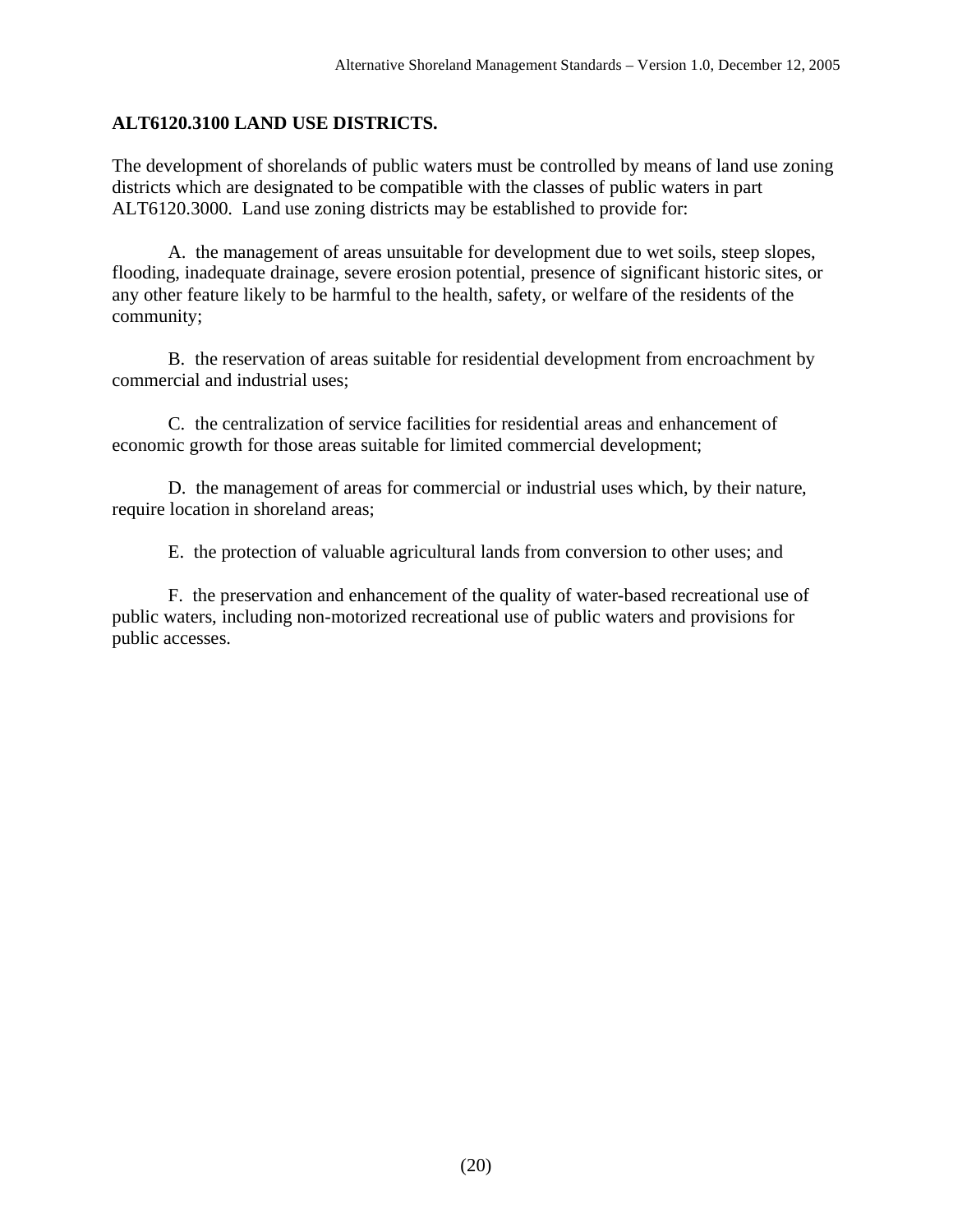#### **ALT6120.3100 LAND USE DISTRICTS.**

The development of shorelands of public waters must be controlled by means of land use zoning districts which are designated to be compatible with the classes of public waters in part ALT6120.3000. Land use zoning districts may be established to provide for:

 A. the management of areas unsuitable for development due to wet soils, steep slopes, flooding, inadequate drainage, severe erosion potential, presence of significant historic sites, or any other feature likely to be harmful to the health, safety, or welfare of the residents of the community;

 B. the reservation of areas suitable for residential development from encroachment by commercial and industrial uses;

 C. the centralization of service facilities for residential areas and enhancement of economic growth for those areas suitable for limited commercial development;

 D. the management of areas for commercial or industrial uses which, by their nature, require location in shoreland areas;

E. the protection of valuable agricultural lands from conversion to other uses; and

 F. the preservation and enhancement of the quality of water-based recreational use of public waters, including non-motorized recreational use of public waters and provisions for public accesses.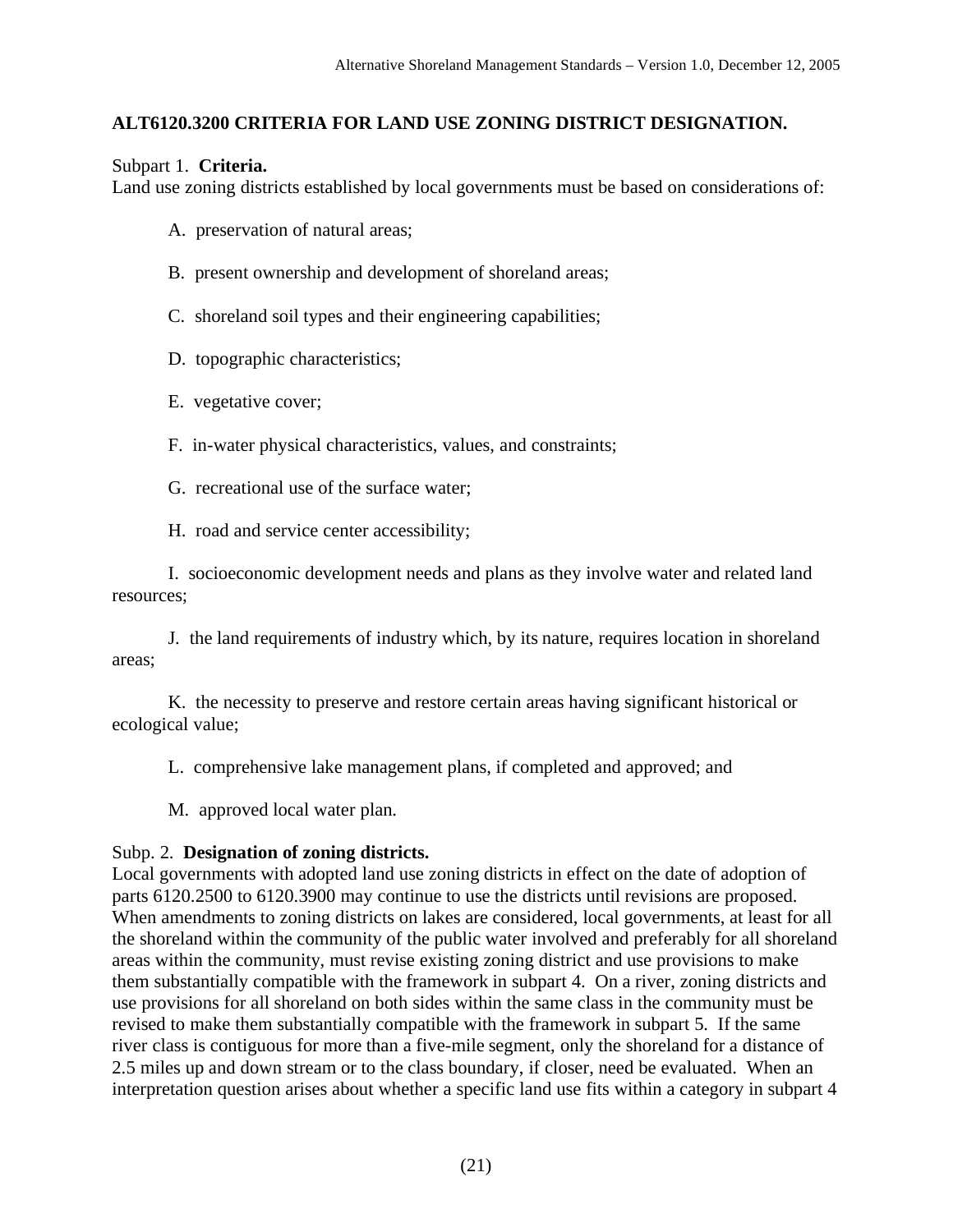## **ALT6120.3200 CRITERIA FOR LAND USE ZONING DISTRICT DESIGNATION.**

Subpart 1. **Criteria.** 

Land use zoning districts established by local governments must be based on considerations of:

- A. preservation of natural areas;
- B. present ownership and development of shoreland areas;

C. shoreland soil types and their engineering capabilities;

- D. topographic characteristics;
- E. vegetative cover;
- F. in-water physical characteristics, values, and constraints;
- G. recreational use of the surface water;
- H. road and service center accessibility;

 I. socioeconomic development needs and plans as they involve water and related land resources;

 J. the land requirements of industry which, by its nature, requires location in shoreland areas;

 K. the necessity to preserve and restore certain areas having significant historical or ecological value;

L. comprehensive lake management plans, if completed and approved; and

M. approved local water plan.

## Subp. 2. **Designation of zoning districts.**

Local governments with adopted land use zoning districts in effect on the date of adoption of parts 6120.2500 to 6120.3900 may continue to use the districts until revisions are proposed. When amendments to zoning districts on lakes are considered, local governments, at least for all the shoreland within the community of the public water involved and preferably for all shoreland areas within the community, must revise existing zoning district and use provisions to make them substantially compatible with the framework in subpart 4. On a river, zoning districts and use provisions for all shoreland on both sides within the same class in the community must be revised to make them substantially compatible with the framework in subpart 5. If the same river class is contiguous for more than a five-mile segment, only the shoreland for a distance of 2.5 miles up and down stream or to the class boundary, if closer, need be evaluated. When an interpretation question arises about whether a specific land use fits within a category in subpart 4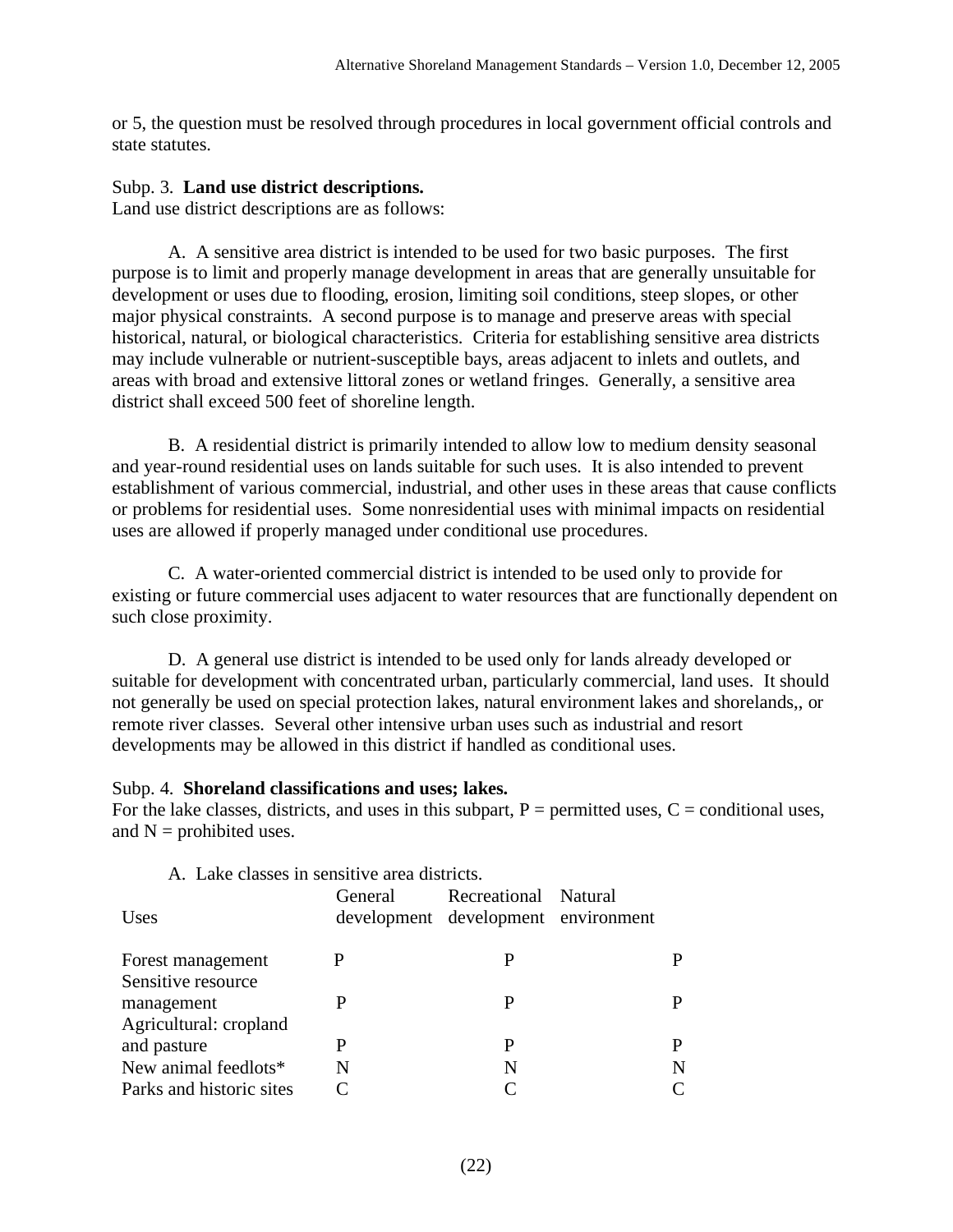or 5, the question must be resolved through procedures in local government official controls and state statutes.

## Subp. 3. **Land use district descriptions.**

Land use district descriptions are as follows:

 A. A sensitive area district is intended to be used for two basic purposes. The first purpose is to limit and properly manage development in areas that are generally unsuitable for development or uses due to flooding, erosion, limiting soil conditions, steep slopes, or other major physical constraints. A second purpose is to manage and preserve areas with special historical, natural, or biological characteristics. Criteria for establishing sensitive area districts may include vulnerable or nutrient-susceptible bays, areas adjacent to inlets and outlets, and areas with broad and extensive littoral zones or wetland fringes. Generally, a sensitive area district shall exceed 500 feet of shoreline length.

 B. A residential district is primarily intended to allow low to medium density seasonal and year-round residential uses on lands suitable for such uses. It is also intended to prevent establishment of various commercial, industrial, and other uses in these areas that cause conflicts or problems for residential uses. Some nonresidential uses with minimal impacts on residential uses are allowed if properly managed under conditional use procedures.

 C. A water-oriented commercial district is intended to be used only to provide for existing or future commercial uses adjacent to water resources that are functionally dependent on such close proximity.

 D. A general use district is intended to be used only for lands already developed or suitable for development with concentrated urban, particularly commercial, land uses. It should not generally be used on special protection lakes, natural environment lakes and shorelands,, or remote river classes. Several other intensive urban uses such as industrial and resort developments may be allowed in this district if handled as conditional uses.

## Subp. 4. **Shoreland classifications and uses; lakes.**

For the lake classes, districts, and uses in this subpart,  $P =$  permitted uses,  $C =$  conditional uses, and  $N =$  prohibited uses.

| Uses                                    | General | Recreational Natural<br>development development environment |   |
|-----------------------------------------|---------|-------------------------------------------------------------|---|
| Forest management<br>Sensitive resource |         | Р                                                           |   |
| management<br>Agricultural: cropland    | P       | P                                                           |   |
| and pasture                             | P       | Р                                                           | р |
| New animal feedlots*                    | N       | N                                                           | N |
| Parks and historic sites                |         |                                                             |   |

|  | A. Lake classes in sensitive area districts. |
|--|----------------------------------------------|
|  |                                              |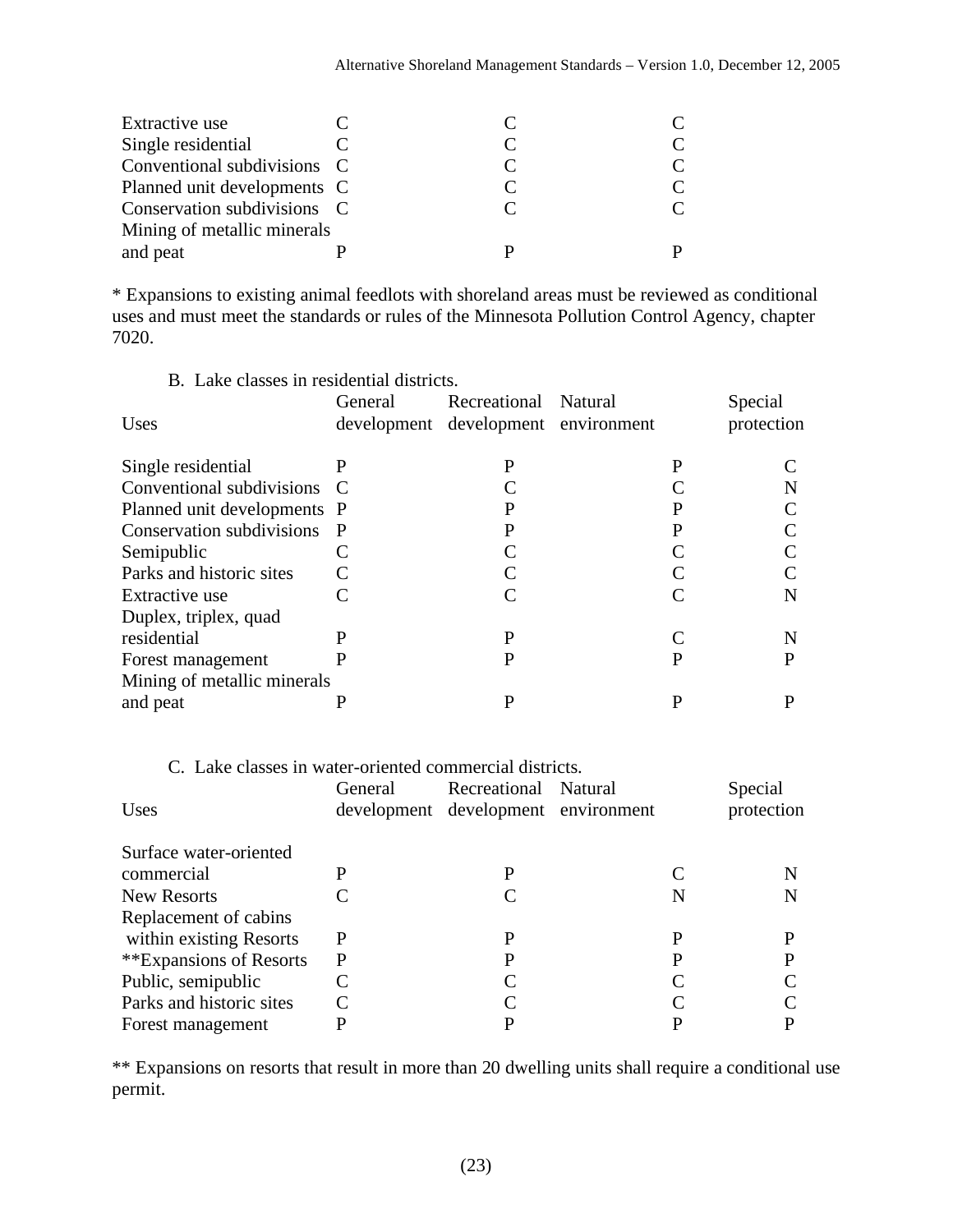| Extractive use              |  |  |
|-----------------------------|--|--|
| Single residential          |  |  |
| Conventional subdivisions C |  |  |
| Planned unit developments C |  |  |
| Conservation subdivisions C |  |  |
| Mining of metallic minerals |  |  |
| and peat                    |  |  |

\* Expansions to existing animal feedlots with shoreland areas must be reviewed as conditional uses and must meet the standards or rules of the Minnesota Pollution Control Agency, chapter 7020.

| B. Lake classes in residential districts. |              |                                     |  |   |            |  |  |  |
|-------------------------------------------|--------------|-------------------------------------|--|---|------------|--|--|--|
|                                           | General      | Recreational Natural                |  |   | Special    |  |  |  |
| Uses                                      |              | development development environment |  |   | protection |  |  |  |
|                                           |              |                                     |  |   |            |  |  |  |
| Single residential                        | P            | P                                   |  | P |            |  |  |  |
| Conventional subdivisions C               |              |                                     |  |   | N          |  |  |  |
| Planned unit developments P               |              | P                                   |  | P |            |  |  |  |
| Conservation subdivisions                 | $\mathbf{P}$ | P                                   |  | P |            |  |  |  |
| Semipublic                                |              | $\subset$                           |  |   |            |  |  |  |
| Parks and historic sites                  |              |                                     |  |   |            |  |  |  |
| Extractive use                            | $\subset$    | $\subset$                           |  |   | N          |  |  |  |
| Duplex, triplex, quad                     |              |                                     |  |   |            |  |  |  |
| residential                               | P            | P                                   |  |   | N          |  |  |  |
| Forest management                         | P            | P                                   |  | P | P          |  |  |  |
| Mining of metallic minerals               |              |                                     |  |   |            |  |  |  |
| and peat                                  | P            | P                                   |  | P | P          |  |  |  |

C. Lake classes in water-oriented commercial districts.

| Uses                     | General | Recreational Natural<br>development development environment |   | Special<br>protection |
|--------------------------|---------|-------------------------------------------------------------|---|-----------------------|
| Surface water-oriented   |         |                                                             |   |                       |
| commercial               | P       | P                                                           |   | N                     |
| New Resorts              |         |                                                             | N |                       |
| Replacement of cabins    |         |                                                             |   |                       |
| within existing Resorts  | P       | P                                                           | P | P                     |
| **Expansions of Resorts  | P       | P                                                           | P | P                     |
| Public, semipublic       |         |                                                             |   |                       |
| Parks and historic sites |         |                                                             |   |                       |
| Forest management        | P       | P                                                           | P | P                     |

\*\* Expansions on resorts that result in more than 20 dwelling units shall require a conditional use permit.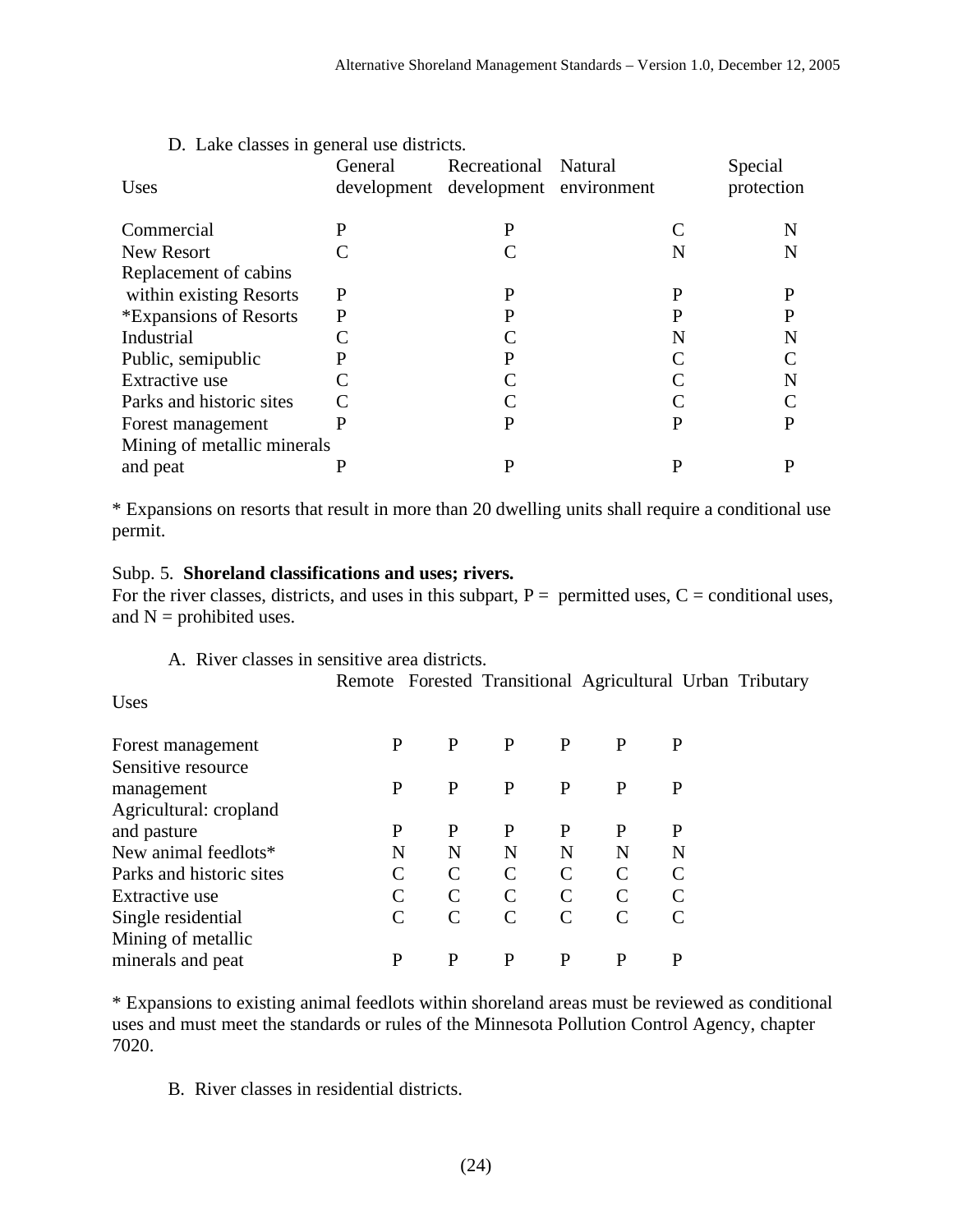| Uses                        | General      | Recreational Natural<br>development development environment |   | Special<br>protection |
|-----------------------------|--------------|-------------------------------------------------------------|---|-----------------------|
| Commercial                  | P            | P                                                           |   | N                     |
| <b>New Resort</b>           | $\subset$    |                                                             | N | N                     |
| Replacement of cabins       |              |                                                             |   |                       |
| within existing Resorts     | P            | P                                                           | P | P                     |
| *Expansions of Resorts      | $\mathbf{P}$ | P                                                           | P | P                     |
| Industrial                  | $\subset$    |                                                             | N | N                     |
| Public, semipublic          | P            | P                                                           |   |                       |
| Extractive use              | $\subset$    |                                                             |   | N                     |
| Parks and historic sites    |              |                                                             |   |                       |
| Forest management           | P            | P                                                           | P | P                     |
| Mining of metallic minerals |              |                                                             |   |                       |
| and peat                    | P            | P                                                           | P | P                     |

D. Lake classes in general use districts.

\* Expansions on resorts that result in more than 20 dwelling units shall require a conditional use permit.

#### Subp. 5. **Shoreland classifications and uses; rivers.**

For the river classes, districts, and uses in this subpart,  $P =$  permitted uses,  $C =$  conditional uses, and  $N =$  prohibited uses.

A. River classes in sensitive area districts.

Remote Forested Transitional Agricultural Urban Tributary

Uses

| Forest management        | P | P | Р | р             | p | P |
|--------------------------|---|---|---|---------------|---|---|
| Sensitive resource       |   |   |   |               |   |   |
| management               | P | P | P | P             | P | P |
| Agricultural: cropland   |   |   |   |               |   |   |
| and pasture              | P | P | P | P             | P | P |
| New animal feedlots*     | N | N | N | N             | N | N |
| Parks and historic sites |   | C |   | $\mathcal{C}$ | C |   |
| Extractive use           |   | C |   |               | C |   |
| Single residential       |   | C |   | $\subset$     | C |   |
| Mining of metallic       |   |   |   |               |   |   |
| minerals and peat        | p | р | р | р             | р |   |

\* Expansions to existing animal feedlots within shoreland areas must be reviewed as conditional uses and must meet the standards or rules of the Minnesota Pollution Control Agency, chapter 7020.

B. River classes in residential districts.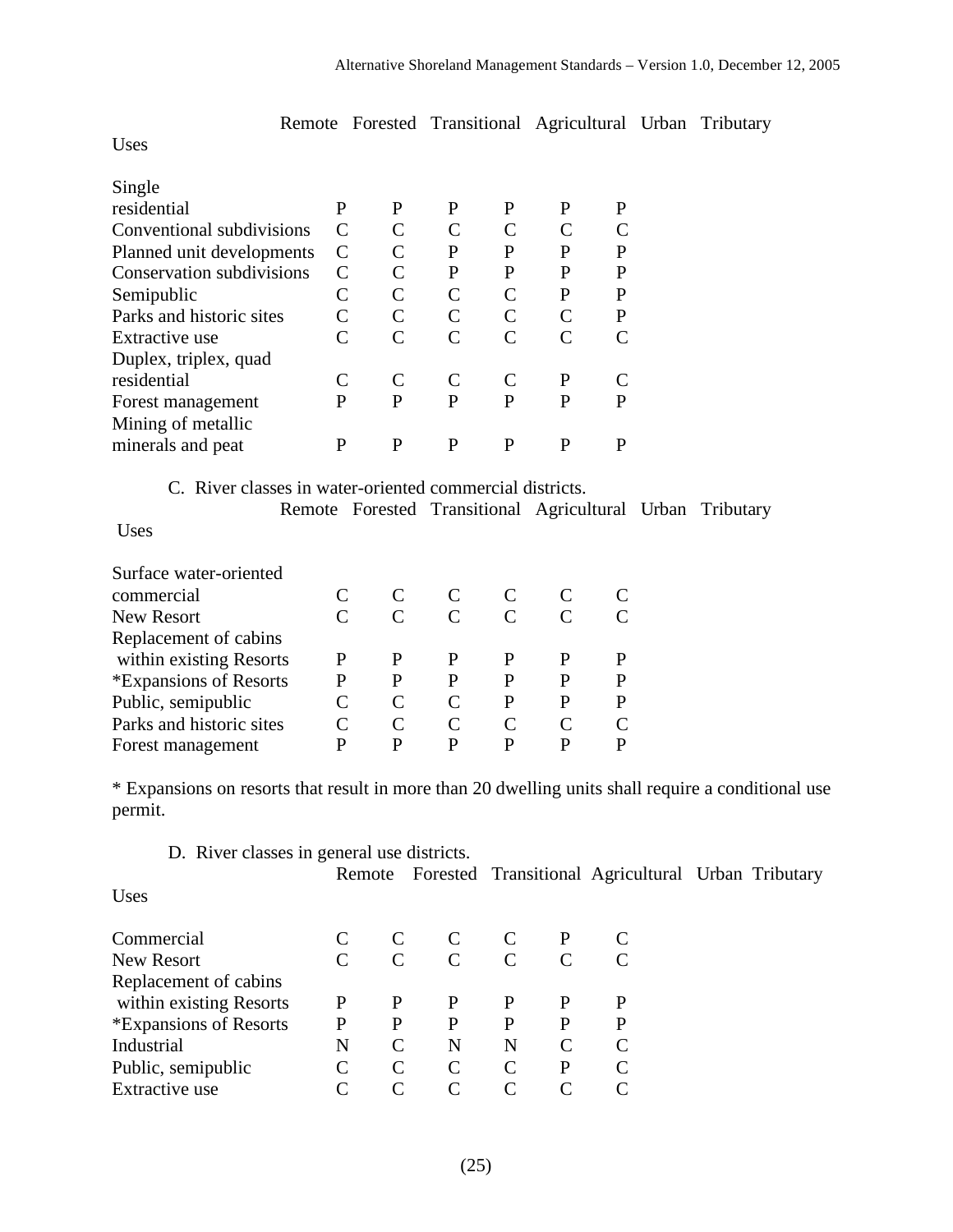Remote Forested Transitional Agricultural Urban Tributary

Uses

| P | P | P | P | P | P |
|---|---|---|---|---|---|
|   |   |   |   |   |   |
|   |   | P | P | P | P |
|   |   | P | P | P | P |
|   |   |   |   | P | P |
|   |   |   |   |   | P |
|   |   |   |   |   |   |
|   |   |   |   |   |   |
|   |   |   |   | P |   |
| р | Р | р | р | р |   |
|   |   |   |   |   |   |
|   | Р | P |   | P |   |
|   |   |   |   |   |   |

 C. River classes in water-oriented commercial districts. Remote Forested Transitional Agricultural Urban Tributary

Uses

| Surface water-oriented   |   |   |                             |   |   |   |
|--------------------------|---|---|-----------------------------|---|---|---|
| commercial               |   |   |                             |   |   |   |
| New Resort               |   |   | $\Gamma$                    |   |   |   |
| Replacement of cabins    |   |   |                             |   |   |   |
| within existing Resorts  | P | P | P                           |   |   |   |
| *Expansions of Resorts   | P | P | P                           | P |   |   |
| Public, semipublic       |   | C | $\mathcal{C}_{\mathcal{C}}$ | р | D | D |
| Parks and historic sites |   | C | C                           |   |   |   |
| Forest management        | D | D | D                           | D | D |   |

\* Expansions on resorts that result in more than 20 dwelling units shall require a conditional use permit.

D. River classes in general use districts.

|                         | Remote |               |           |               |               | Forested Transitional Agricultural Urban Tributary |  |
|-------------------------|--------|---------------|-----------|---------------|---------------|----------------------------------------------------|--|
| Uses                    |        |               |           |               |               |                                                    |  |
| Commercial              |        |               |           |               |               |                                                    |  |
| New Resort              |        | C             | C         | C             |               |                                                    |  |
| Replacement of cabins   |        |               |           |               |               |                                                    |  |
| within existing Resorts | P      | P             | P         | P             |               | P                                                  |  |
| *Expansions of Resorts  | P      | P             | P         | P             | P             | P                                                  |  |
| Industrial              | N      | $\mathcal{C}$ | N         | N             | $\mathcal{C}$ | C                                                  |  |
| Public, semipublic      |        | $\mathcal{C}$ | C         | $\mathcal{C}$ | P             |                                                    |  |
| Extractive use          | C      | C             | $\subset$ | $\subset$     | $\subset$     | $\curvearrowright$                                 |  |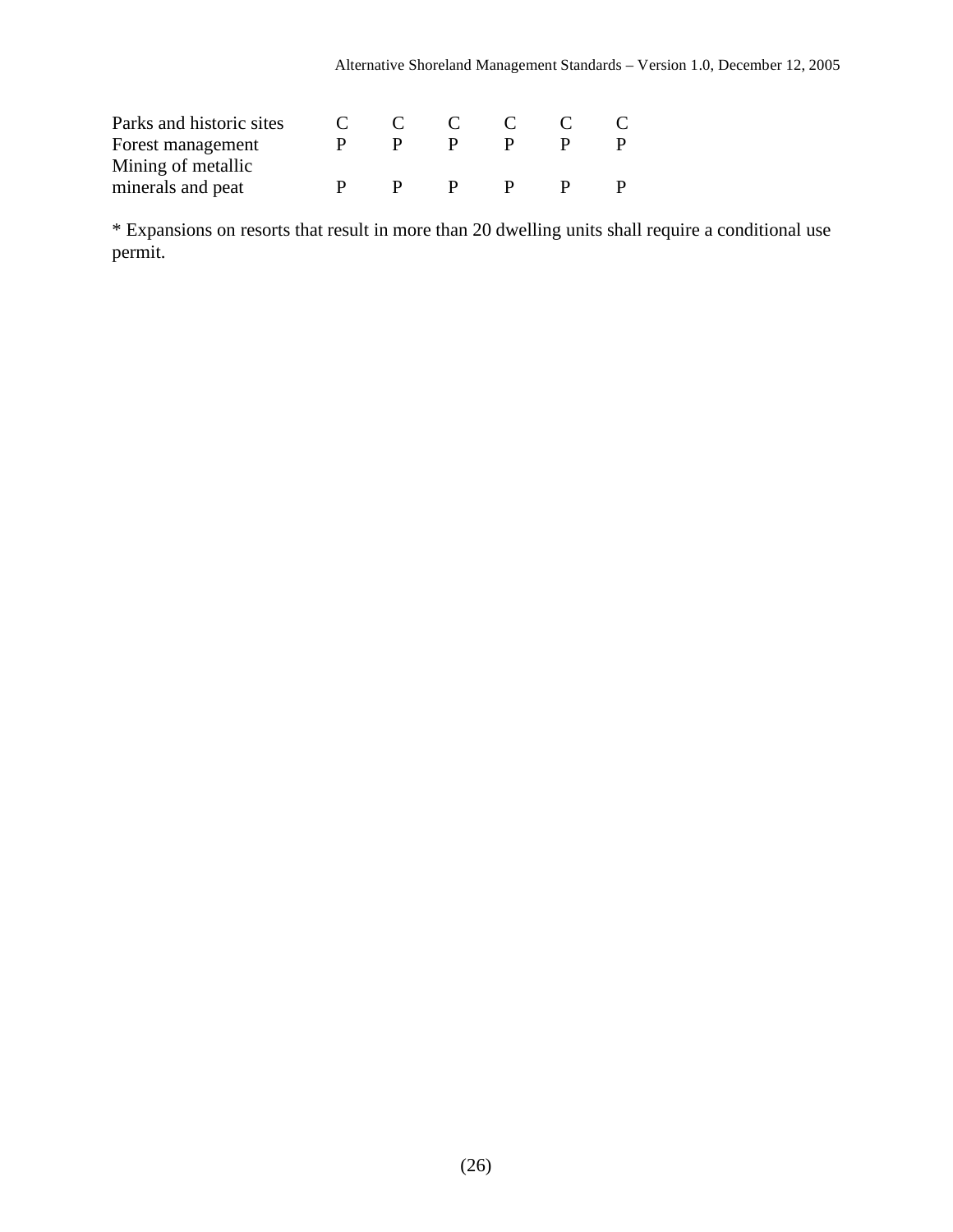| Parks and historic sites |  |  |  |
|--------------------------|--|--|--|
| Forest management        |  |  |  |
| Mining of metallic       |  |  |  |
| minerals and peat        |  |  |  |

\* Expansions on resorts that result in more than 20 dwelling units shall require a conditional use permit.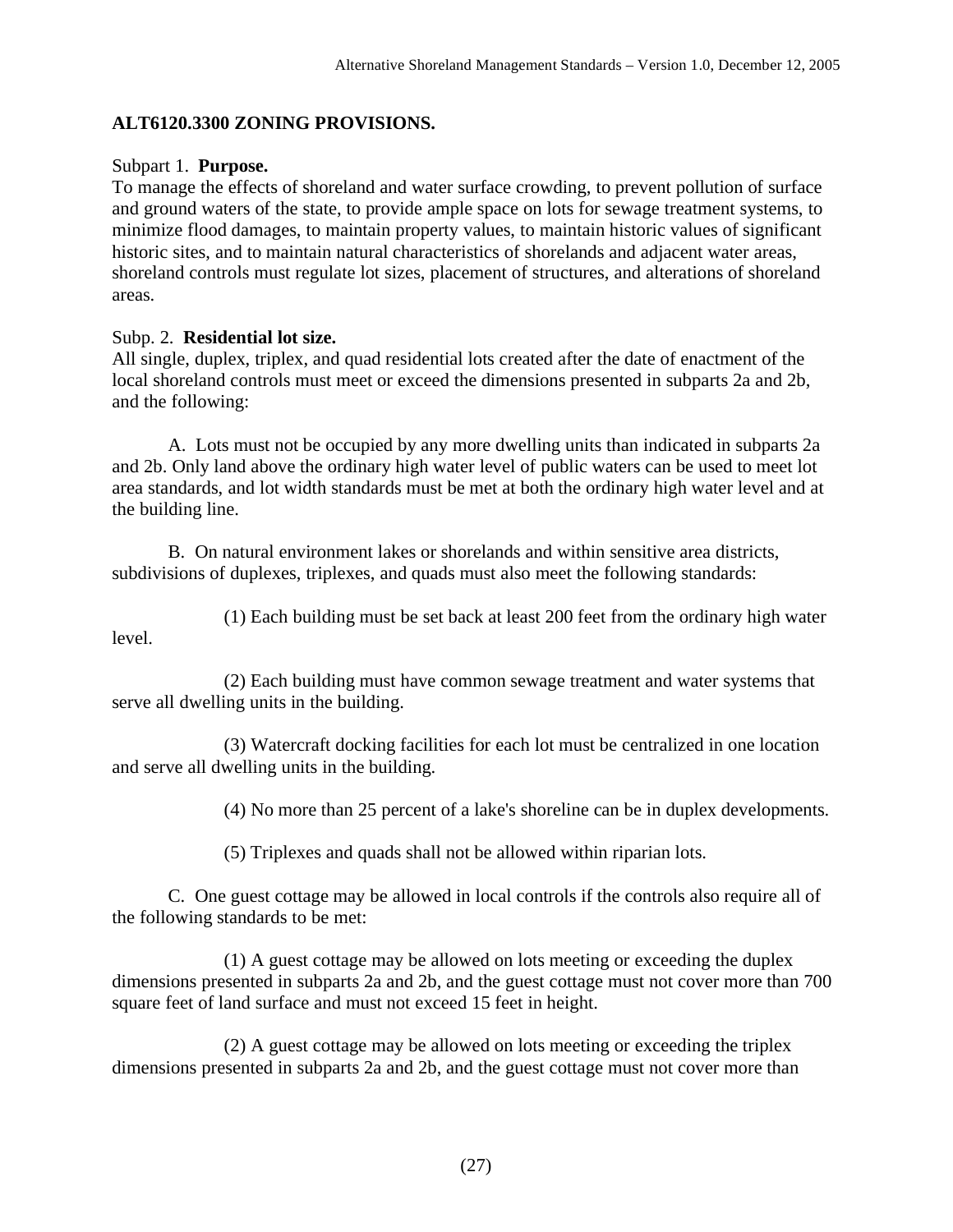## **ALT6120.3300 ZONING PROVISIONS.**

## Subpart 1. **Purpose.**

To manage the effects of shoreland and water surface crowding, to prevent pollution of surface and ground waters of the state, to provide ample space on lots for sewage treatment systems, to minimize flood damages, to maintain property values, to maintain historic values of significant historic sites, and to maintain natural characteristics of shorelands and adjacent water areas, shoreland controls must regulate lot sizes, placement of structures, and alterations of shoreland areas.

## Subp. 2. **Residential lot size.**

level.

All single, duplex, triplex, and quad residential lots created after the date of enactment of the local shoreland controls must meet or exceed the dimensions presented in subparts 2a and 2b, and the following:

 A. Lots must not be occupied by any more dwelling units than indicated in subparts 2a and 2b. Only land above the ordinary high water level of public waters can be used to meet lot area standards, and lot width standards must be met at both the ordinary high water level and at the building line.

 B. On natural environment lakes or shorelands and within sensitive area districts, subdivisions of duplexes, triplexes, and quads must also meet the following standards:

(1) Each building must be set back at least 200 feet from the ordinary high water

 (2) Each building must have common sewage treatment and water systems that serve all dwelling units in the building.

 (3) Watercraft docking facilities for each lot must be centralized in one location and serve all dwelling units in the building.

(4) No more than 25 percent of a lake's shoreline can be in duplex developments.

(5) Triplexes and quads shall not be allowed within riparian lots.

 C. One guest cottage may be allowed in local controls if the controls also require all of the following standards to be met:

 (1) A guest cottage may be allowed on lots meeting or exceeding the duplex dimensions presented in subparts 2a and 2b, and the guest cottage must not cover more than 700 square feet of land surface and must not exceed 15 feet in height.

 (2) A guest cottage may be allowed on lots meeting or exceeding the triplex dimensions presented in subparts 2a and 2b, and the guest cottage must not cover more than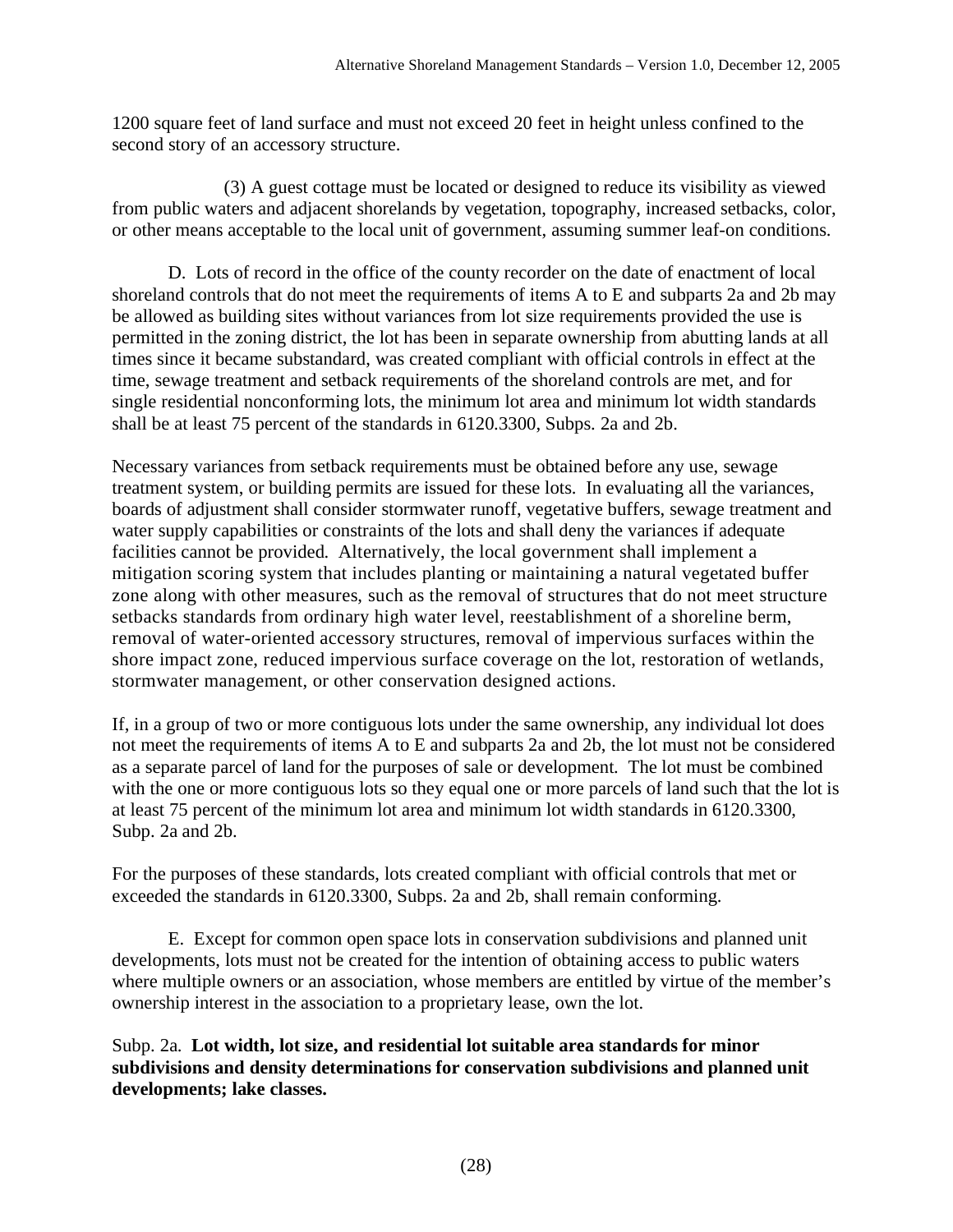1200 square feet of land surface and must not exceed 20 feet in height unless confined to the second story of an accessory structure.

 (3) A guest cottage must be located or designed to reduce its visibility as viewed from public waters and adjacent shorelands by vegetation, topography, increased setbacks, color, or other means acceptable to the local unit of government, assuming summer leaf-on conditions.

 D. Lots of record in the office of the county recorder on the date of enactment of local shoreland controls that do not meet the requirements of items A to E and subparts 2a and 2b may be allowed as building sites without variances from lot size requirements provided the use is permitted in the zoning district, the lot has been in separate ownership from abutting lands at all times since it became substandard, was created compliant with official controls in effect at the time, sewage treatment and setback requirements of the shoreland controls are met, and for single residential nonconforming lots, the minimum lot area and minimum lot width standards shall be at least 75 percent of the standards in 6120.3300, Subps. 2a and 2b.

Necessary variances from setback requirements must be obtained before any use, sewage treatment system, or building permits are issued for these lots. In evaluating all the variances, boards of adjustment shall consider stormwater runoff, vegetative buffers, sewage treatment and water supply capabilities or constraints of the lots and shall deny the variances if adequate facilities cannot be provided. Alternatively, the local government shall implement a mitigation scoring system that includes planting or maintaining a natural vegetated buffer zone along with other measures, such as the removal of structures that do not meet structure setbacks standards from ordinary high water level, reestablishment of a shoreline berm, removal of water-oriented accessory structures, removal of impervious surfaces within the shore impact zone, reduced impervious surface coverage on the lot, restoration of wetlands, stormwater management, or other conservation designed actions.

If, in a group of two or more contiguous lots under the same ownership, any individual lot does not meet the requirements of items A to E and subparts 2a and 2b, the lot must not be considered as a separate parcel of land for the purposes of sale or development. The lot must be combined with the one or more contiguous lots so they equal one or more parcels of land such that the lot is at least 75 percent of the minimum lot area and minimum lot width standards in 6120.3300, Subp. 2a and 2b.

For the purposes of these standards, lots created compliant with official controls that met or exceeded the standards in 6120.3300, Subps. 2a and 2b, shall remain conforming.

 E. Except for common open space lots in conservation subdivisions and planned unit developments, lots must not be created for the intention of obtaining access to public waters where multiple owners or an association, whose members are entitled by virtue of the member's ownership interest in the association to a proprietary lease, own the lot.

Subp. 2a. **Lot width, lot size, and residential lot suitable area standards for minor subdivisions and density determinations for conservation subdivisions and planned unit developments; lake classes.**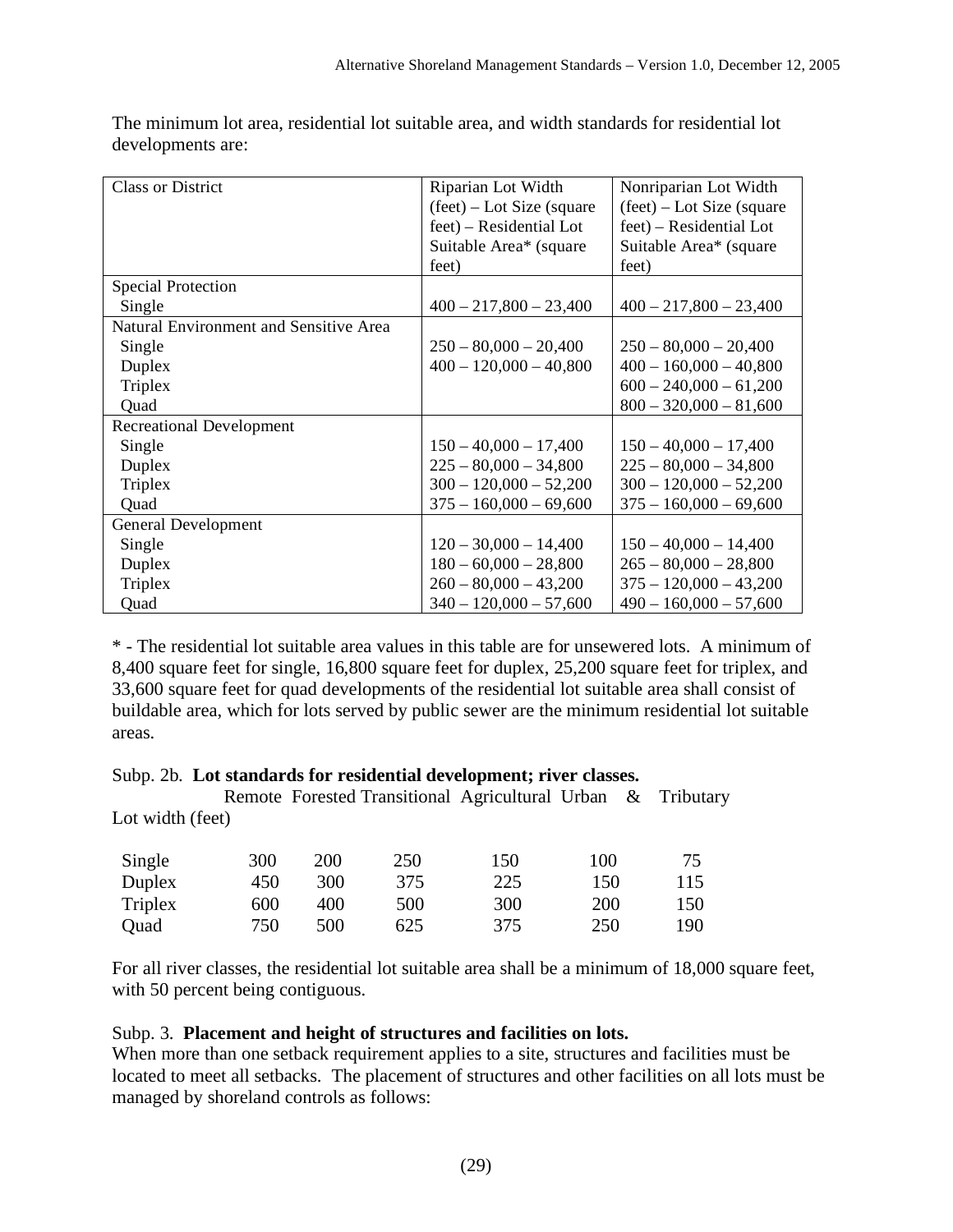| <b>Class or District</b>               | Riparian Lot Width                  | Nonriparian Lot Width               |
|----------------------------------------|-------------------------------------|-------------------------------------|
|                                        | $(\text{feet})$ – Lot Size (square) | $(\text{feet})$ – Lot Size (square) |
|                                        | feet) – Residential Lot             | feet) – Residential Lot             |
|                                        | Suitable Area* (square              | Suitable Area* (square              |
|                                        | feet)                               | feet)                               |
| <b>Special Protection</b>              |                                     |                                     |
| Single                                 | $400 - 217,800 - 23,400$            | $400 - 217,800 - 23,400$            |
| Natural Environment and Sensitive Area |                                     |                                     |
| Single                                 | $250 - 80,000 - 20,400$             | $250 - 80,000 - 20,400$             |
| Duplex                                 | $400 - 120,000 - 40,800$            | $400 - 160,000 - 40,800$            |
| Triplex                                |                                     | $600 - 240,000 - 61,200$            |
| Quad                                   |                                     | $800 - 320,000 - 81,600$            |
| <b>Recreational Development</b>        |                                     |                                     |
| Single                                 | $150 - 40,000 - 17,400$             | $150 - 40,000 - 17,400$             |
| Duplex                                 | $225 - 80,000 - 34,800$             | $225 - 80,000 - 34,800$             |
| Triplex                                | $300 - 120,000 - 52,200$            | $300 - 120,000 - 52,200$            |
| Quad                                   | $375 - 160,000 - 69,600$            | $375 - 160,000 - 69,600$            |
| <b>General Development</b>             |                                     |                                     |
| Single                                 | $120 - 30,000 - 14,400$             | $150 - 40,000 - 14,400$             |
| Duplex                                 | $180 - 60,000 - 28,800$             | $265 - 80,000 - 28,800$             |
| Triplex                                | $260 - 80,000 - 43,200$             | $375 - 120,000 - 43,200$            |
| Quad                                   | $340 - 120,000 - 57,600$            | $490 - 160,000 - 57,600$            |

The minimum lot area, residential lot suitable area, and width standards for residential lot developments are:

\* - The residential lot suitable area values in this table are for unsewered lots. A minimum of 8,400 square feet for single, 16,800 square feet for duplex, 25,200 square feet for triplex, and 33,600 square feet for quad developments of the residential lot suitable area shall consist of buildable area, which for lots served by public sewer are the minimum residential lot suitable areas.

#### Subp. 2b. **Lot standards for residential development; river classes.**

|                  |     |     |     |     |            | Remote Forested Transitional Agricultural Urban & Tributary |
|------------------|-----|-----|-----|-----|------------|-------------------------------------------------------------|
| Lot width (feet) |     |     |     |     |            |                                                             |
| Single           | 300 | 200 | 250 | 150 | 100        | 75                                                          |
| Duplex           | 450 | 300 | 375 | 225 | 150        | 115                                                         |
| Triplex          | 600 | 400 | 500 | 300 | <b>200</b> | 150                                                         |
| Quad             | 750 | 500 | 625 | 375 | 250        | 190                                                         |

For all river classes, the residential lot suitable area shall be a minimum of 18,000 square feet, with 50 percent being contiguous.

## Subp. 3. **Placement and height of structures and facilities on lots.**

When more than one setback requirement applies to a site, structures and facilities must be located to meet all setbacks. The placement of structures and other facilities on all lots must be managed by shoreland controls as follows: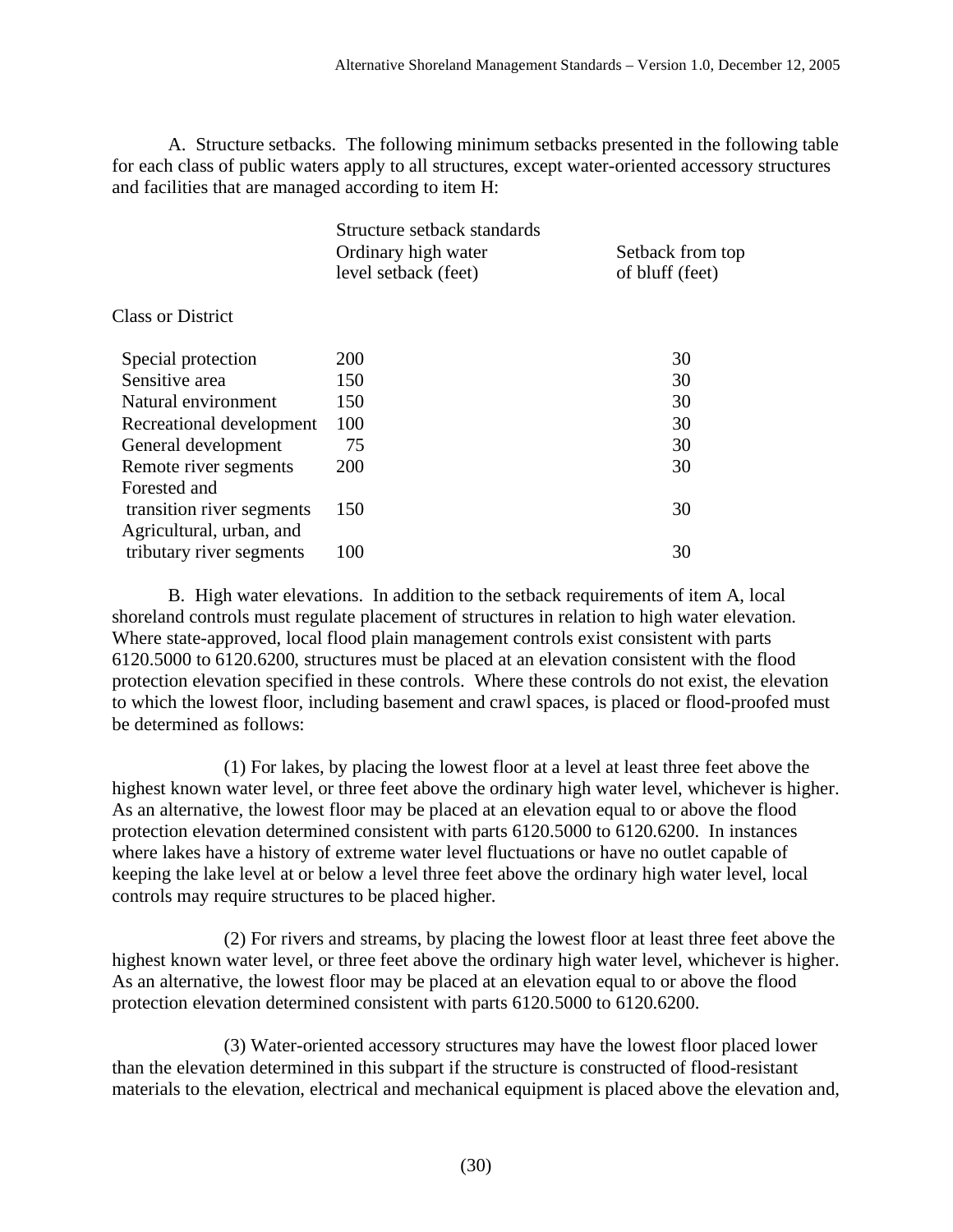A. Structure setbacks. The following minimum setbacks presented in the following table for each class of public waters apply to all structures, except water-oriented accessory structures and facilities that are managed according to item H:

|                           | Structure setback standards<br>Ordinary high water<br>level setback (feet) | Setback from top<br>of bluff (feet) |
|---------------------------|----------------------------------------------------------------------------|-------------------------------------|
| <b>Class or District</b>  |                                                                            |                                     |
| Special protection        | 200                                                                        | 30                                  |
| Sensitive area            | 150                                                                        | 30                                  |
| Natural environment       | 150                                                                        | 30                                  |
| Recreational development  | 100                                                                        | 30                                  |
| General development       | 75                                                                         | 30                                  |
| Remote river segments     | 200                                                                        | 30                                  |
| Forested and              |                                                                            |                                     |
| transition river segments | 150                                                                        | 30                                  |
| Agricultural, urban, and  |                                                                            |                                     |
| tributary river segments  | 100                                                                        | 30                                  |

 B. High water elevations. In addition to the setback requirements of item A, local shoreland controls must regulate placement of structures in relation to high water elevation. Where state-approved, local flood plain management controls exist consistent with parts 6120.5000 to 6120.6200, structures must be placed at an elevation consistent with the flood protection elevation specified in these controls. Where these controls do not exist, the elevation to which the lowest floor, including basement and crawl spaces, is placed or flood-proofed must be determined as follows:

 (1) For lakes, by placing the lowest floor at a level at least three feet above the highest known water level, or three feet above the ordinary high water level, whichever is higher. As an alternative, the lowest floor may be placed at an elevation equal to or above the flood protection elevation determined consistent with parts 6120.5000 to 6120.6200. In instances where lakes have a history of extreme water level fluctuations or have no outlet capable of keeping the lake level at or below a level three feet above the ordinary high water level, local controls may require structures to be placed higher.

 (2) For rivers and streams, by placing the lowest floor at least three feet above the highest known water level, or three feet above the ordinary high water level, whichever is higher. As an alternative, the lowest floor may be placed at an elevation equal to or above the flood protection elevation determined consistent with parts 6120.5000 to 6120.6200.

 (3) Water-oriented accessory structures may have the lowest floor placed lower than the elevation determined in this subpart if the structure is constructed of flood-resistant materials to the elevation, electrical and mechanical equipment is placed above the elevation and,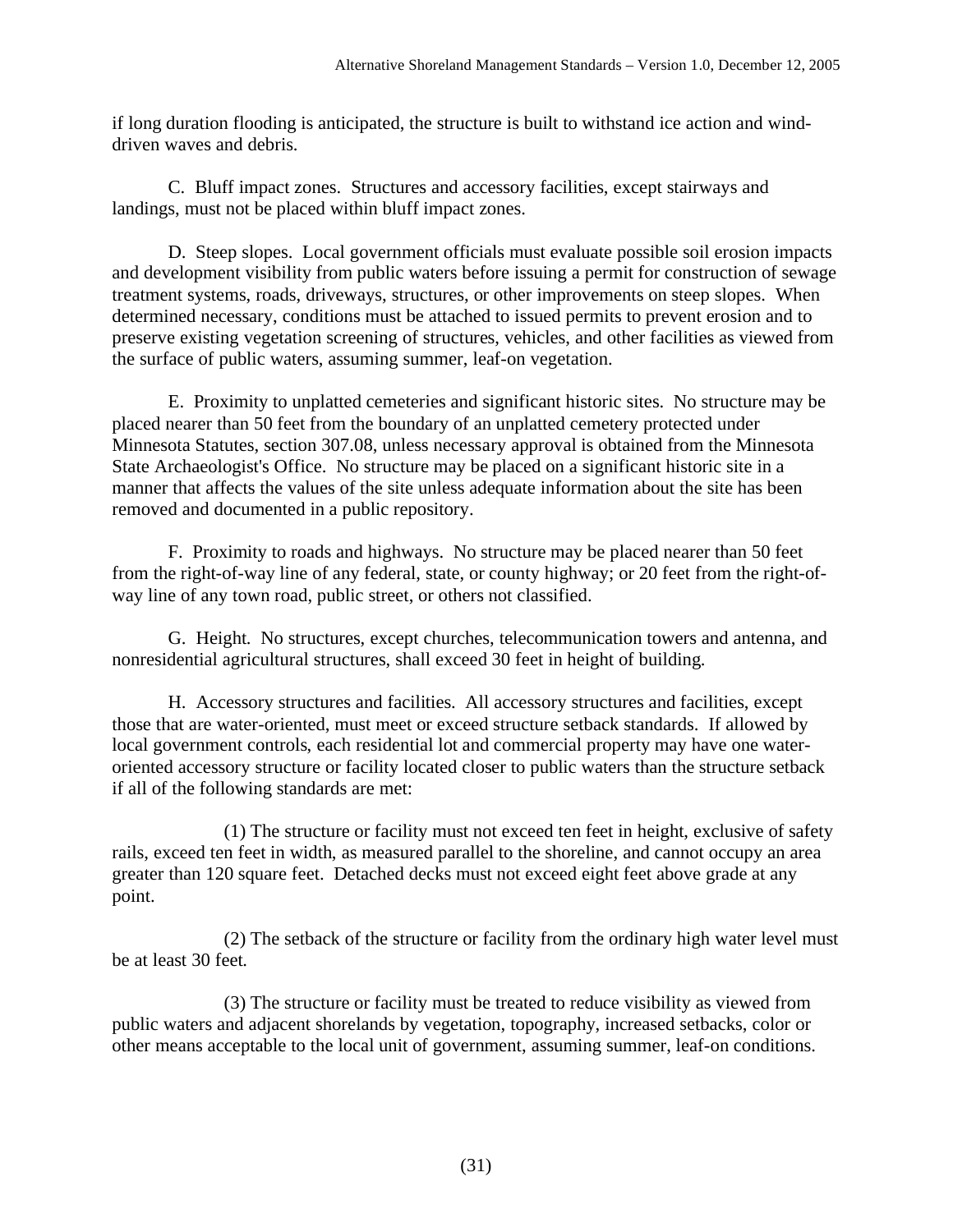if long duration flooding is anticipated, the structure is built to withstand ice action and winddriven waves and debris.

 C. Bluff impact zones. Structures and accessory facilities, except stairways and landings, must not be placed within bluff impact zones.

 D. Steep slopes. Local government officials must evaluate possible soil erosion impacts and development visibility from public waters before issuing a permit for construction of sewage treatment systems, roads, driveways, structures, or other improvements on steep slopes. When determined necessary, conditions must be attached to issued permits to prevent erosion and to preserve existing vegetation screening of structures, vehicles, and other facilities as viewed from the surface of public waters, assuming summer, leaf-on vegetation.

 E. Proximity to unplatted cemeteries and significant historic sites. No structure may be placed nearer than 50 feet from the boundary of an unplatted cemetery protected under Minnesota Statutes, section 307.08, unless necessary approval is obtained from the Minnesota State Archaeologist's Office. No structure may be placed on a significant historic site in a manner that affects the values of the site unless adequate information about the site has been removed and documented in a public repository.

 F. Proximity to roads and highways. No structure may be placed nearer than 50 feet from the right-of-way line of any federal, state, or county highway; or 20 feet from the right-ofway line of any town road, public street, or others not classified.

 G. Height. No structures, except churches, telecommunication towers and antenna, and nonresidential agricultural structures, shall exceed 30 feet in height of building.

 H. Accessory structures and facilities. All accessory structures and facilities, except those that are water-oriented, must meet or exceed structure setback standards. If allowed by local government controls, each residential lot and commercial property may have one wateroriented accessory structure or facility located closer to public waters than the structure setback if all of the following standards are met:

 (1) The structure or facility must not exceed ten feet in height, exclusive of safety rails, exceed ten feet in width, as measured parallel to the shoreline, and cannot occupy an area greater than 120 square feet. Detached decks must not exceed eight feet above grade at any point.

 (2) The setback of the structure or facility from the ordinary high water level must be at least 30 feet.

 (3) The structure or facility must be treated to reduce visibility as viewed from public waters and adjacent shorelands by vegetation, topography, increased setbacks, color or other means acceptable to the local unit of government, assuming summer, leaf-on conditions.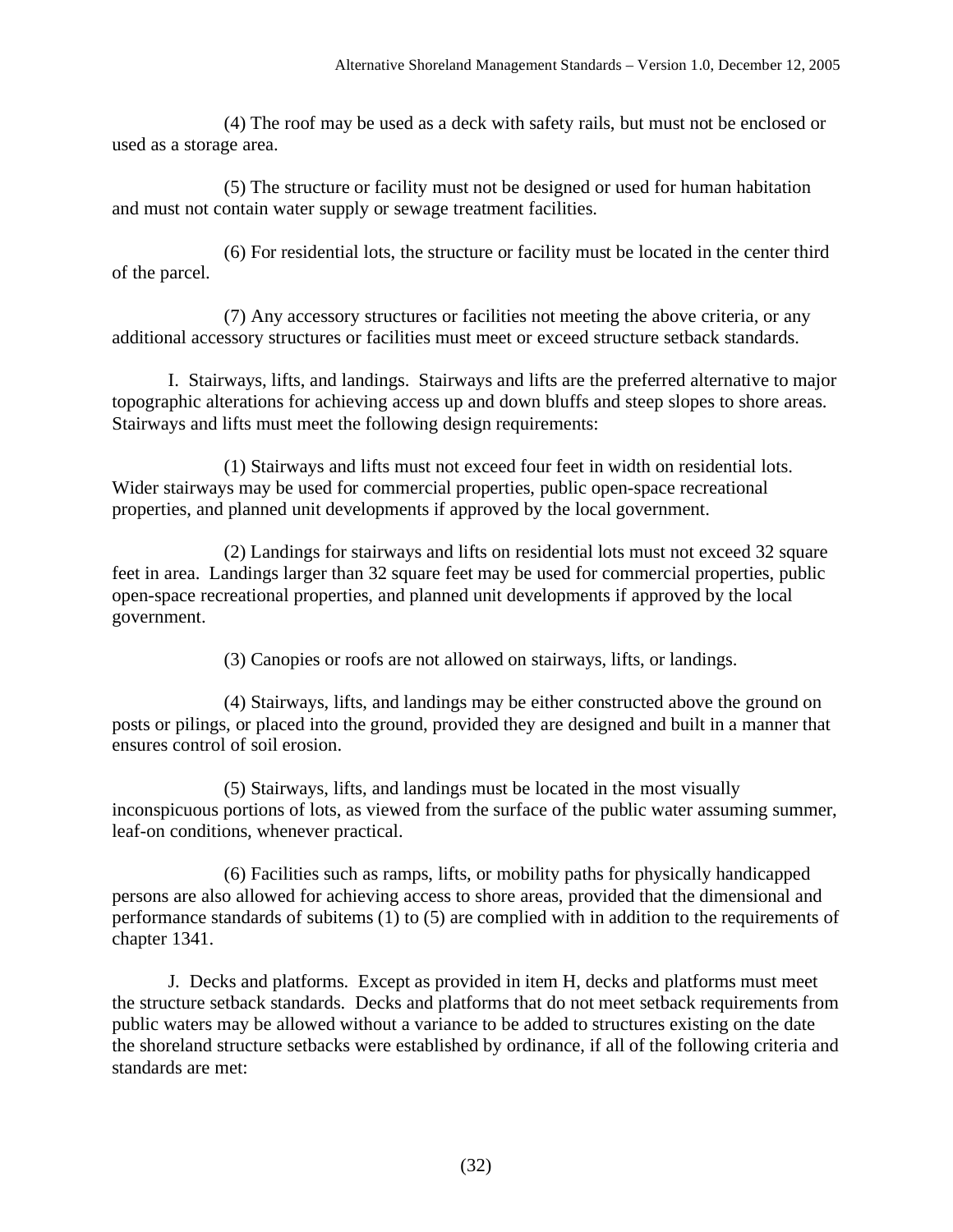(4) The roof may be used as a deck with safety rails, but must not be enclosed or used as a storage area.

 (5) The structure or facility must not be designed or used for human habitation and must not contain water supply or sewage treatment facilities.

 (6) For residential lots, the structure or facility must be located in the center third of the parcel.

 (7) Any accessory structures or facilities not meeting the above criteria, or any additional accessory structures or facilities must meet or exceed structure setback standards.

 I. Stairways, lifts, and landings. Stairways and lifts are the preferred alternative to major topographic alterations for achieving access up and down bluffs and steep slopes to shore areas. Stairways and lifts must meet the following design requirements:

 (1) Stairways and lifts must not exceed four feet in width on residential lots. Wider stairways may be used for commercial properties, public open-space recreational properties, and planned unit developments if approved by the local government.

 (2) Landings for stairways and lifts on residential lots must not exceed 32 square feet in area. Landings larger than 32 square feet may be used for commercial properties, public open-space recreational properties, and planned unit developments if approved by the local government.

(3) Canopies or roofs are not allowed on stairways, lifts, or landings.

 (4) Stairways, lifts, and landings may be either constructed above the ground on posts or pilings, or placed into the ground, provided they are designed and built in a manner that ensures control of soil erosion.

 (5) Stairways, lifts, and landings must be located in the most visually inconspicuous portions of lots, as viewed from the surface of the public water assuming summer, leaf-on conditions, whenever practical.

 (6) Facilities such as ramps, lifts, or mobility paths for physically handicapped persons are also allowed for achieving access to shore areas, provided that the dimensional and performance standards of subitems (1) to (5) are complied with in addition to the requirements of chapter 1341.

 J. Decks and platforms. Except as provided in item H, decks and platforms must meet the structure setback standards. Decks and platforms that do not meet setback requirements from public waters may be allowed without a variance to be added to structures existing on the date the shoreland structure setbacks were established by ordinance, if all of the following criteria and standards are met: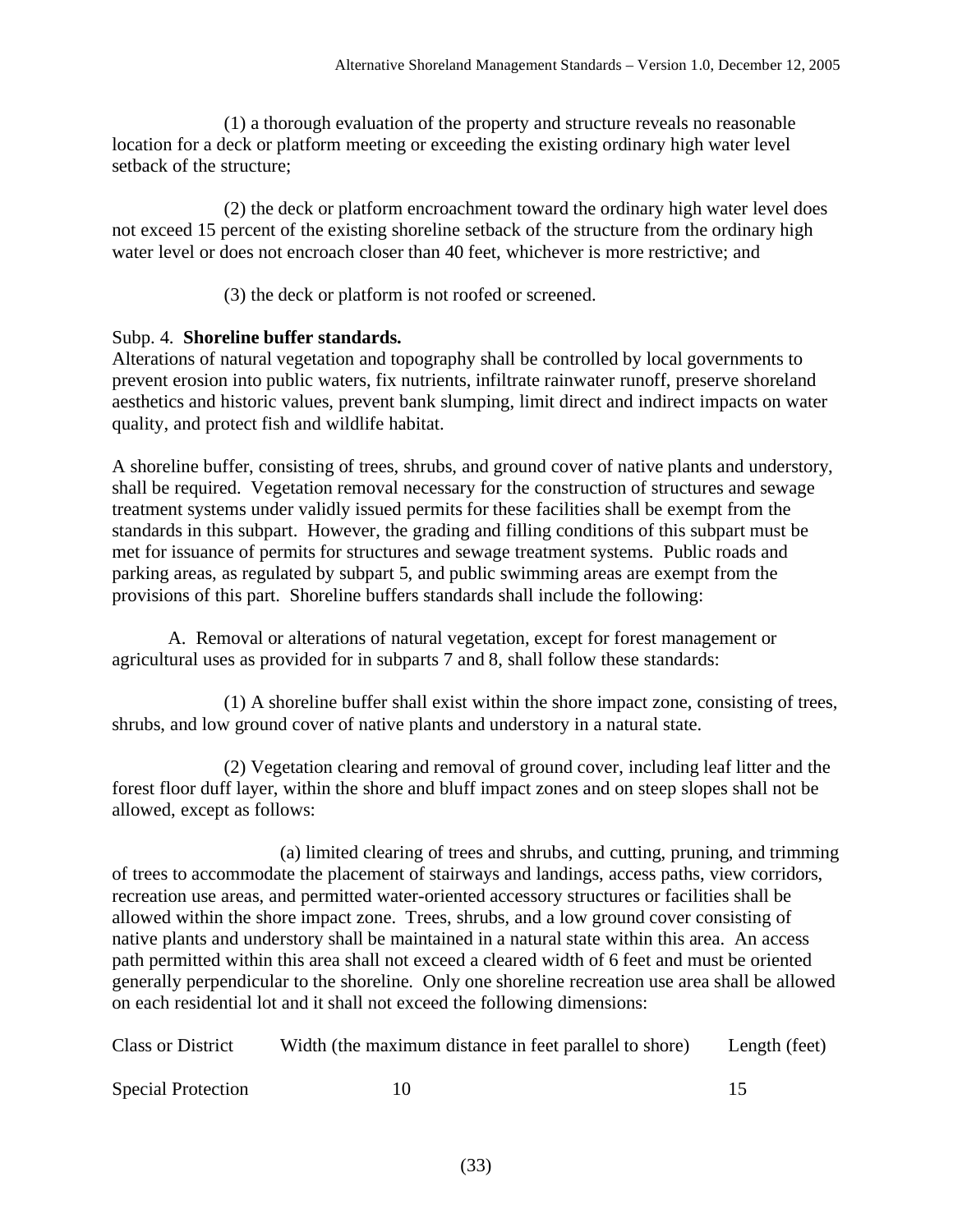(1) a thorough evaluation of the property and structure reveals no reasonable location for a deck or platform meeting or exceeding the existing ordinary high water level setback of the structure;

 (2) the deck or platform encroachment toward the ordinary high water level does not exceed 15 percent of the existing shoreline setback of the structure from the ordinary high water level or does not encroach closer than 40 feet, whichever is more restrictive; and

(3) the deck or platform is not roofed or screened.

## Subp. 4. **Shoreline buffer standards.**

Alterations of natural vegetation and topography shall be controlled by local governments to prevent erosion into public waters, fix nutrients, infiltrate rainwater runoff, preserve shoreland aesthetics and historic values, prevent bank slumping, limit direct and indirect impacts on water quality, and protect fish and wildlife habitat.

A shoreline buffer, consisting of trees, shrubs, and ground cover of native plants and understory, shall be required. Vegetation removal necessary for the construction of structures and sewage treatment systems under validly issued permits for these facilities shall be exempt from the standards in this subpart. However, the grading and filling conditions of this subpart must be met for issuance of permits for structures and sewage treatment systems. Public roads and parking areas, as regulated by subpart 5, and public swimming areas are exempt from the provisions of this part. Shoreline buffers standards shall include the following:

 A. Removal or alterations of natural vegetation, except for forest management or agricultural uses as provided for in subparts 7 and 8, shall follow these standards:

 (1) A shoreline buffer shall exist within the shore impact zone, consisting of trees, shrubs, and low ground cover of native plants and understory in a natural state.

 (2) Vegetation clearing and removal of ground cover, including leaf litter and the forest floor duff layer, within the shore and bluff impact zones and on steep slopes shall not be allowed, except as follows:

 (a) limited clearing of trees and shrubs, and cutting, pruning, and trimming of trees to accommodate the placement of stairways and landings, access paths, view corridors, recreation use areas, and permitted water-oriented accessory structures or facilities shall be allowed within the shore impact zone. Trees, shrubs, and a low ground cover consisting of native plants and understory shall be maintained in a natural state within this area. An access path permitted within this area shall not exceed a cleared width of 6 feet and must be oriented generally perpendicular to the shoreline. Only one shoreline recreation use area shall be allowed on each residential lot and it shall not exceed the following dimensions:

Class or District Width (the maximum distance in feet parallel to shore) Length (feet)

Special Protection 10 15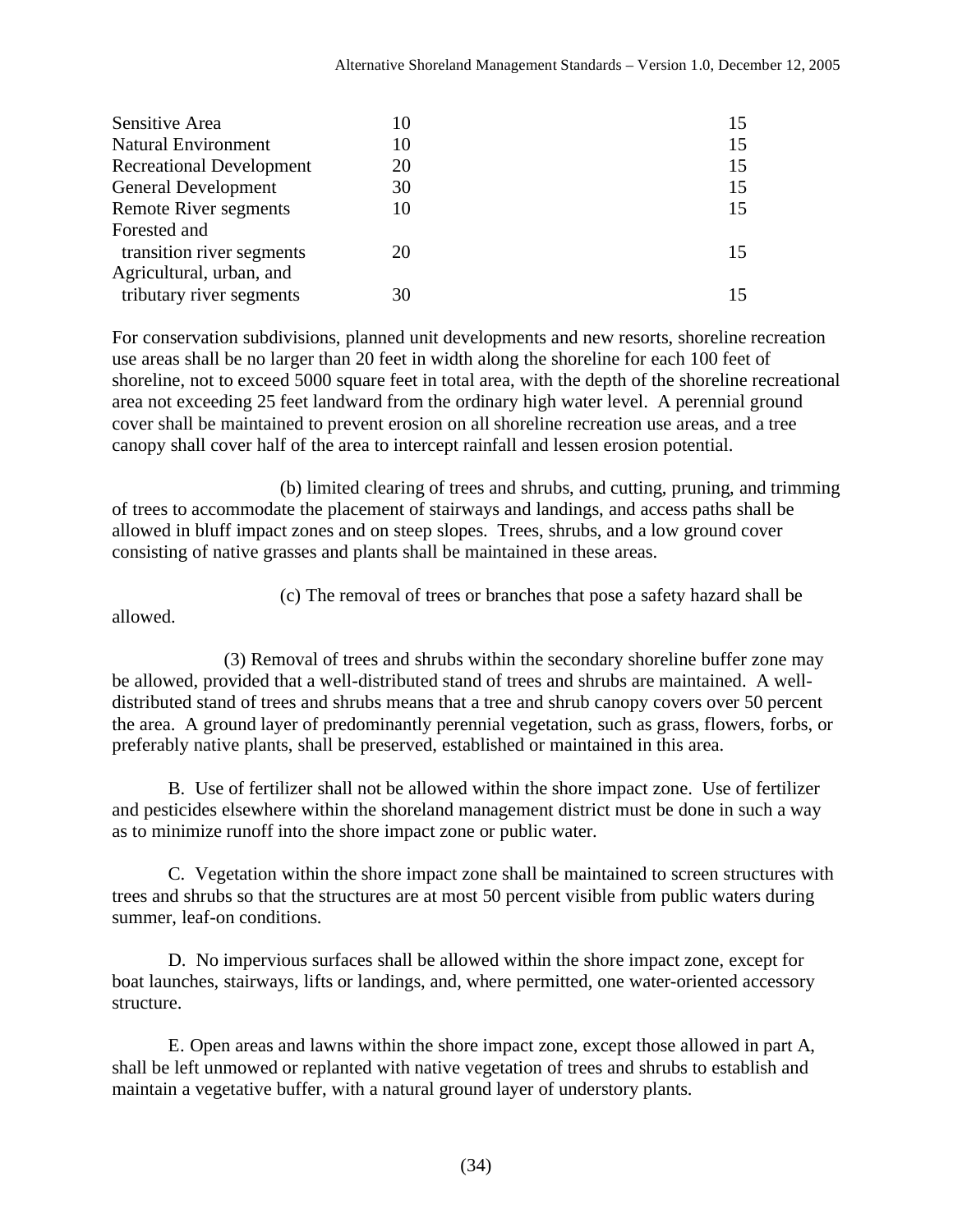| Sensitive Area                  | 10 |    |
|---------------------------------|----|----|
| <b>Natural Environment</b>      | 10 | 15 |
| <b>Recreational Development</b> | 20 | 15 |
| <b>General Development</b>      | 30 | 15 |
| Remote River segments           | 10 | 15 |
| Forested and                    |    |    |
| transition river segments       | 20 | 15 |
| Agricultural, urban, and        |    |    |
| tributary river segments        | 30 |    |

For conservation subdivisions, planned unit developments and new resorts, shoreline recreation use areas shall be no larger than 20 feet in width along the shoreline for each 100 feet of shoreline, not to exceed 5000 square feet in total area, with the depth of the shoreline recreational area not exceeding 25 feet landward from the ordinary high water level. A perennial ground cover shall be maintained to prevent erosion on all shoreline recreation use areas, and a tree canopy shall cover half of the area to intercept rainfall and lessen erosion potential.

 (b) limited clearing of trees and shrubs, and cutting, pruning, and trimming of trees to accommodate the placement of stairways and landings, and access paths shall be allowed in bluff impact zones and on steep slopes. Trees, shrubs, and a low ground cover consisting of native grasses and plants shall be maintained in these areas.

(c) The removal of trees or branches that pose a safety hazard shall be

allowed.

 (3) Removal of trees and shrubs within the secondary shoreline buffer zone may be allowed, provided that a well-distributed stand of trees and shrubs are maintained. A welldistributed stand of trees and shrubs means that a tree and shrub canopy covers over 50 percent the area. A ground layer of predominantly perennial vegetation, such as grass, flowers, forbs, or preferably native plants, shall be preserved, established or maintained in this area.

 B. Use of fertilizer shall not be allowed within the shore impact zone. Use of fertilizer and pesticides elsewhere within the shoreland management district must be done in such a way as to minimize runoff into the shore impact zone or public water.

 C. Vegetation within the shore impact zone shall be maintained to screen structures with trees and shrubs so that the structures are at most 50 percent visible from public waters during summer, leaf-on conditions.

 D. No impervious surfaces shall be allowed within the shore impact zone, except for boat launches, stairways, lifts or landings, and, where permitted, one water-oriented accessory structure.

 E. Open areas and lawns within the shore impact zone, except those allowed in part A, shall be left unmowed or replanted with native vegetation of trees and shrubs to establish and maintain a vegetative buffer, with a natural ground layer of understory plants.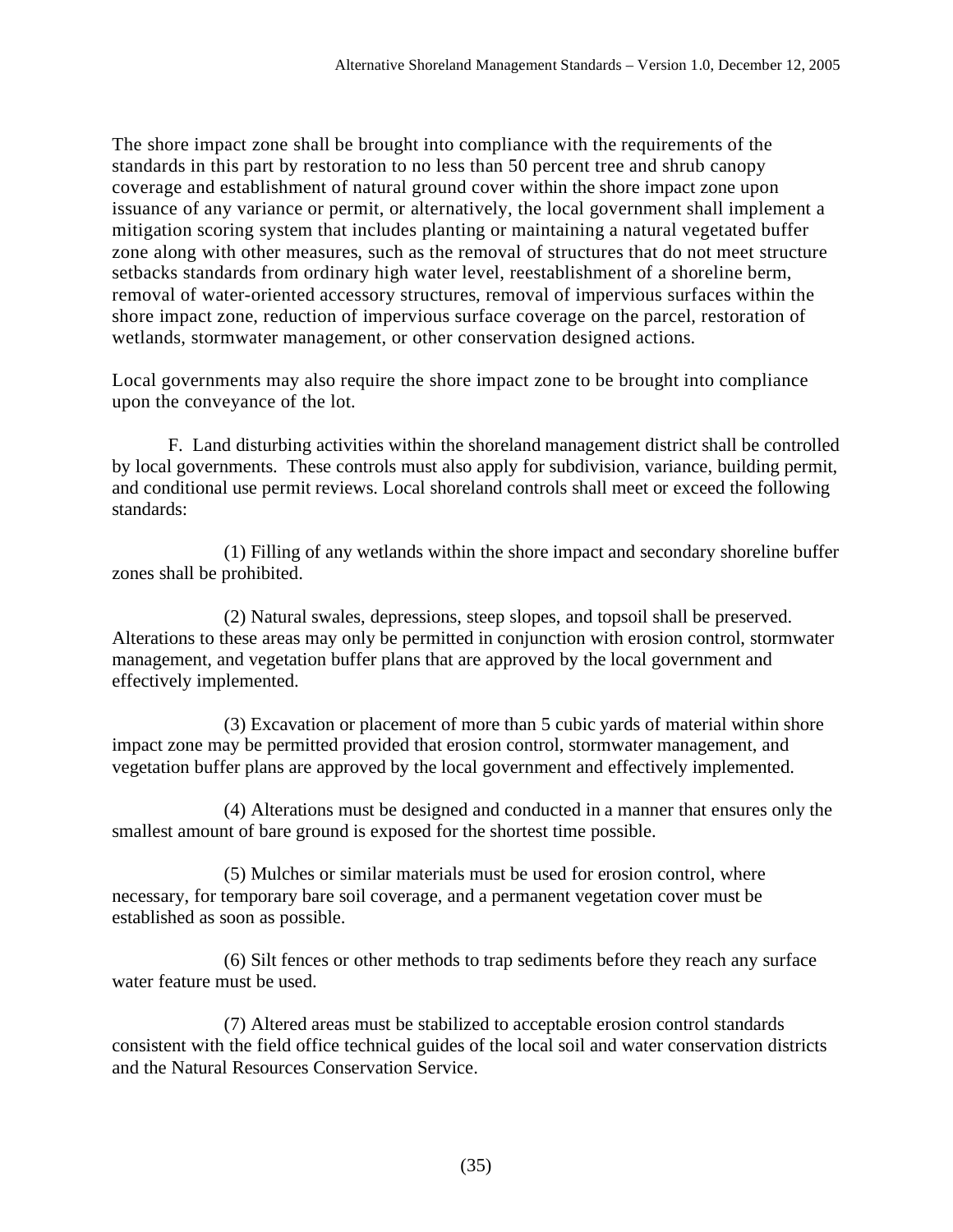The shore impact zone shall be brought into compliance with the requirements of the standards in this part by restoration to no less than 50 percent tree and shrub canopy coverage and establishment of natural ground cover within the shore impact zone upon issuance of any variance or permit, or alternatively, the local government shall implement a mitigation scoring system that includes planting or maintaining a natural vegetated buffer zone along with other measures, such as the removal of structures that do not meet structure setbacks standards from ordinary high water level, reestablishment of a shoreline berm, removal of water-oriented accessory structures, removal of impervious surfaces within the shore impact zone, reduction of impervious surface coverage on the parcel, restoration of wetlands, stormwater management, or other conservation designed actions.

Local governments may also require the shore impact zone to be brought into compliance upon the conveyance of the lot.

 F. Land disturbing activities within the shoreland management district shall be controlled by local governments. These controls must also apply for subdivision, variance, building permit, and conditional use permit reviews. Local shoreland controls shall meet or exceed the following standards:

 (1) Filling of any wetlands within the shore impact and secondary shoreline buffer zones shall be prohibited.

 (2) Natural swales, depressions, steep slopes, and topsoil shall be preserved. Alterations to these areas may only be permitted in conjunction with erosion control, stormwater management, and vegetation buffer plans that are approved by the local government and effectively implemented.

 (3) Excavation or placement of more than 5 cubic yards of material within shore impact zone may be permitted provided that erosion control, stormwater management, and vegetation buffer plans are approved by the local government and effectively implemented.

 (4) Alterations must be designed and conducted in a manner that ensures only the smallest amount of bare ground is exposed for the shortest time possible.

 (5) Mulches or similar materials must be used for erosion control, where necessary, for temporary bare soil coverage, and a permanent vegetation cover must be established as soon as possible.

 (6) Silt fences or other methods to trap sediments before they reach any surface water feature must be used.

 (7) Altered areas must be stabilized to acceptable erosion control standards consistent with the field office technical guides of the local soil and water conservation districts and the Natural Resources Conservation Service.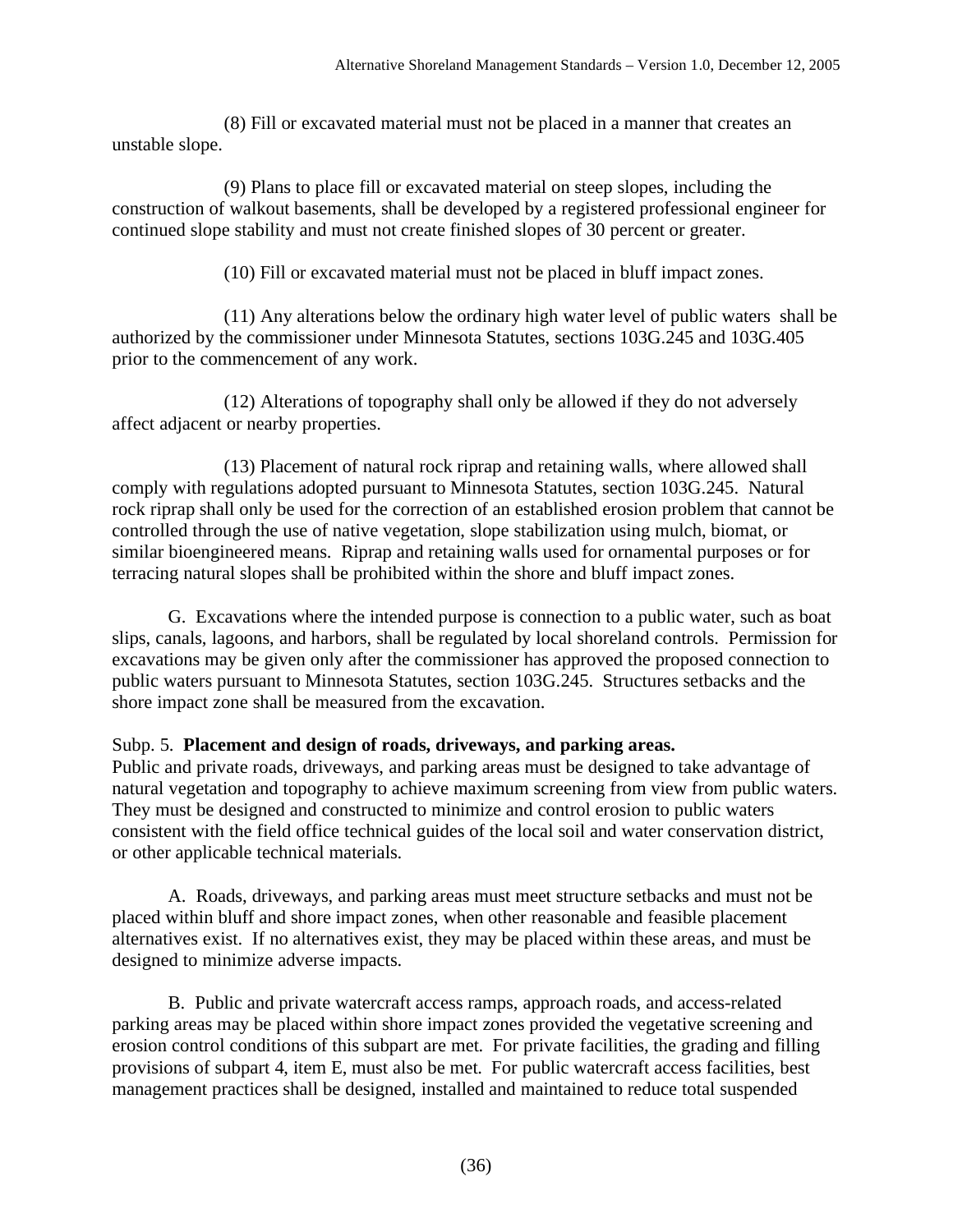(8) Fill or excavated material must not be placed in a manner that creates an unstable slope.

 (9) Plans to place fill or excavated material on steep slopes, including the construction of walkout basements, shall be developed by a registered professional engineer for continued slope stability and must not create finished slopes of 30 percent or greater.

(10) Fill or excavated material must not be placed in bluff impact zones.

 (11) Any alterations below the ordinary high water level of public waters shall be authorized by the commissioner under Minnesota Statutes, sections 103G.245 and 103G.405 prior to the commencement of any work.

 (12) Alterations of topography shall only be allowed if they do not adversely affect adjacent or nearby properties.

 (13) Placement of natural rock riprap and retaining walls, where allowed shall comply with regulations adopted pursuant to Minnesota Statutes, section 103G.245. Natural rock riprap shall only be used for the correction of an established erosion problem that cannot be controlled through the use of native vegetation, slope stabilization using mulch, biomat, or similar bioengineered means. Riprap and retaining walls used for ornamental purposes or for terracing natural slopes shall be prohibited within the shore and bluff impact zones.

 G. Excavations where the intended purpose is connection to a public water, such as boat slips, canals, lagoons, and harbors, shall be regulated by local shoreland controls. Permission for excavations may be given only after the commissioner has approved the proposed connection to public waters pursuant to Minnesota Statutes, section 103G.245. Structures setbacks and the shore impact zone shall be measured from the excavation.

## Subp. 5. **Placement and design of roads, driveways, and parking areas.**

Public and private roads, driveways, and parking areas must be designed to take advantage of natural vegetation and topography to achieve maximum screening from view from public waters. They must be designed and constructed to minimize and control erosion to public waters consistent with the field office technical guides of the local soil and water conservation district, or other applicable technical materials.

 A. Roads, driveways, and parking areas must meet structure setbacks and must not be placed within bluff and shore impact zones, when other reasonable and feasible placement alternatives exist. If no alternatives exist, they may be placed within these areas, and must be designed to minimize adverse impacts.

 B. Public and private watercraft access ramps, approach roads, and access-related parking areas may be placed within shore impact zones provided the vegetative screening and erosion control conditions of this subpart are met. For private facilities, the grading and filling provisions of subpart 4, item E, must also be met. For public watercraft access facilities, best management practices shall be designed, installed and maintained to reduce total suspended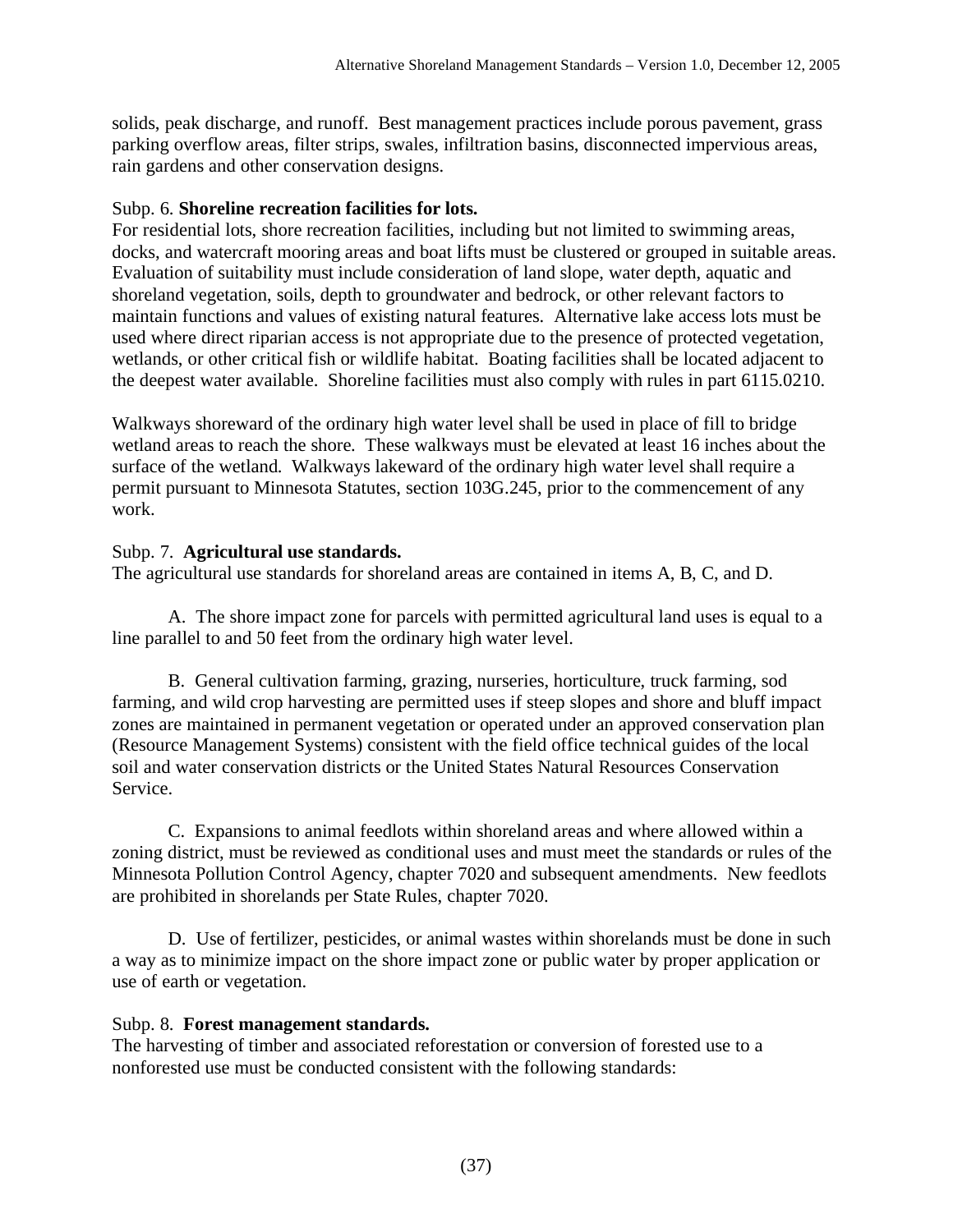solids, peak discharge, and runoff. Best management practices include porous pavement, grass parking overflow areas, filter strips, swales, infiltration basins, disconnected impervious areas, rain gardens and other conservation designs.

## Subp. 6. **Shoreline recreation facilities for lots.**

For residential lots, shore recreation facilities, including but not limited to swimming areas, docks, and watercraft mooring areas and boat lifts must be clustered or grouped in suitable areas. Evaluation of suitability must include consideration of land slope, water depth, aquatic and shoreland vegetation, soils, depth to groundwater and bedrock, or other relevant factors to maintain functions and values of existing natural features. Alternative lake access lots must be used where direct riparian access is not appropriate due to the presence of protected vegetation, wetlands, or other critical fish or wildlife habitat. Boating facilities shall be located adjacent to the deepest water available. Shoreline facilities must also comply with rules in part 6115.0210.

Walkways shoreward of the ordinary high water level shall be used in place of fill to bridge wetland areas to reach the shore. These walkways must be elevated at least 16 inches about the surface of the wetland. Walkways lakeward of the ordinary high water level shall require a permit pursuant to Minnesota Statutes, section 103G.245, prior to the commencement of any work.

## Subp. 7. **Agricultural use standards.**

The agricultural use standards for shoreland areas are contained in items A, B, C, and D.

 A. The shore impact zone for parcels with permitted agricultural land uses is equal to a line parallel to and 50 feet from the ordinary high water level.

 B. General cultivation farming, grazing, nurseries, horticulture, truck farming, sod farming, and wild crop harvesting are permitted uses if steep slopes and shore and bluff impact zones are maintained in permanent vegetation or operated under an approved conservation plan (Resource Management Systems) consistent with the field office technical guides of the local soil and water conservation districts or the United States Natural Resources Conservation Service.

 C. Expansions to animal feedlots within shoreland areas and where allowed within a zoning district, must be reviewed as conditional uses and must meet the standards or rules of the Minnesota Pollution Control Agency, chapter 7020 and subsequent amendments. New feedlots are prohibited in shorelands per State Rules, chapter 7020.

 D. Use of fertilizer, pesticides, or animal wastes within shorelands must be done in such a way as to minimize impact on the shore impact zone or public water by proper application or use of earth or vegetation.

## Subp. 8. **Forest management standards.**

The harvesting of timber and associated reforestation or conversion of forested use to a nonforested use must be conducted consistent with the following standards: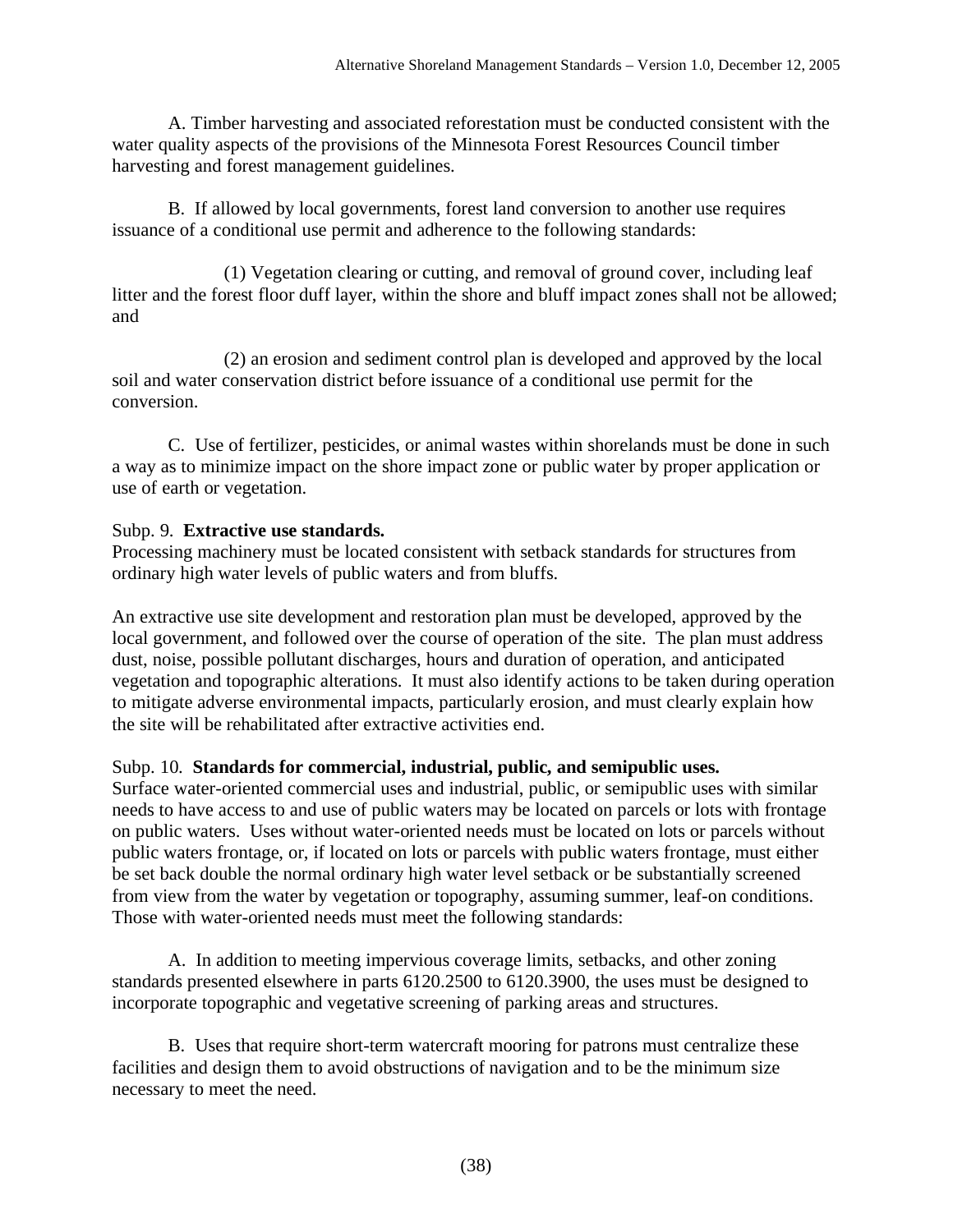A. Timber harvesting and associated reforestation must be conducted consistent with the water quality aspects of the provisions of the Minnesota Forest Resources Council timber harvesting and forest management guidelines.

 B. If allowed by local governments, forest land conversion to another use requires issuance of a conditional use permit and adherence to the following standards:

 (1) Vegetation clearing or cutting, and removal of ground cover, including leaf litter and the forest floor duff layer, within the shore and bluff impact zones shall not be allowed; and

 (2) an erosion and sediment control plan is developed and approved by the local soil and water conservation district before issuance of a conditional use permit for the conversion.

 C. Use of fertilizer, pesticides, or animal wastes within shorelands must be done in such a way as to minimize impact on the shore impact zone or public water by proper application or use of earth or vegetation.

## Subp. 9. **Extractive use standards.**

Processing machinery must be located consistent with setback standards for structures from ordinary high water levels of public waters and from bluffs.

An extractive use site development and restoration plan must be developed, approved by the local government, and followed over the course of operation of the site. The plan must address dust, noise, possible pollutant discharges, hours and duration of operation, and anticipated vegetation and topographic alterations. It must also identify actions to be taken during operation to mitigate adverse environmental impacts, particularly erosion, and must clearly explain how the site will be rehabilitated after extractive activities end.

## Subp. 10. **Standards for commercial, industrial, public, and semipublic uses.**

Surface water-oriented commercial uses and industrial, public, or semipublic uses with similar needs to have access to and use of public waters may be located on parcels or lots with frontage on public waters. Uses without water-oriented needs must be located on lots or parcels without public waters frontage, or, if located on lots or parcels with public waters frontage, must either be set back double the normal ordinary high water level setback or be substantially screened from view from the water by vegetation or topography, assuming summer, leaf-on conditions. Those with water-oriented needs must meet the following standards:

 A. In addition to meeting impervious coverage limits, setbacks, and other zoning standards presented elsewhere in parts 6120.2500 to 6120.3900, the uses must be designed to incorporate topographic and vegetative screening of parking areas and structures.

 B. Uses that require short-term watercraft mooring for patrons must centralize these facilities and design them to avoid obstructions of navigation and to be the minimum size necessary to meet the need.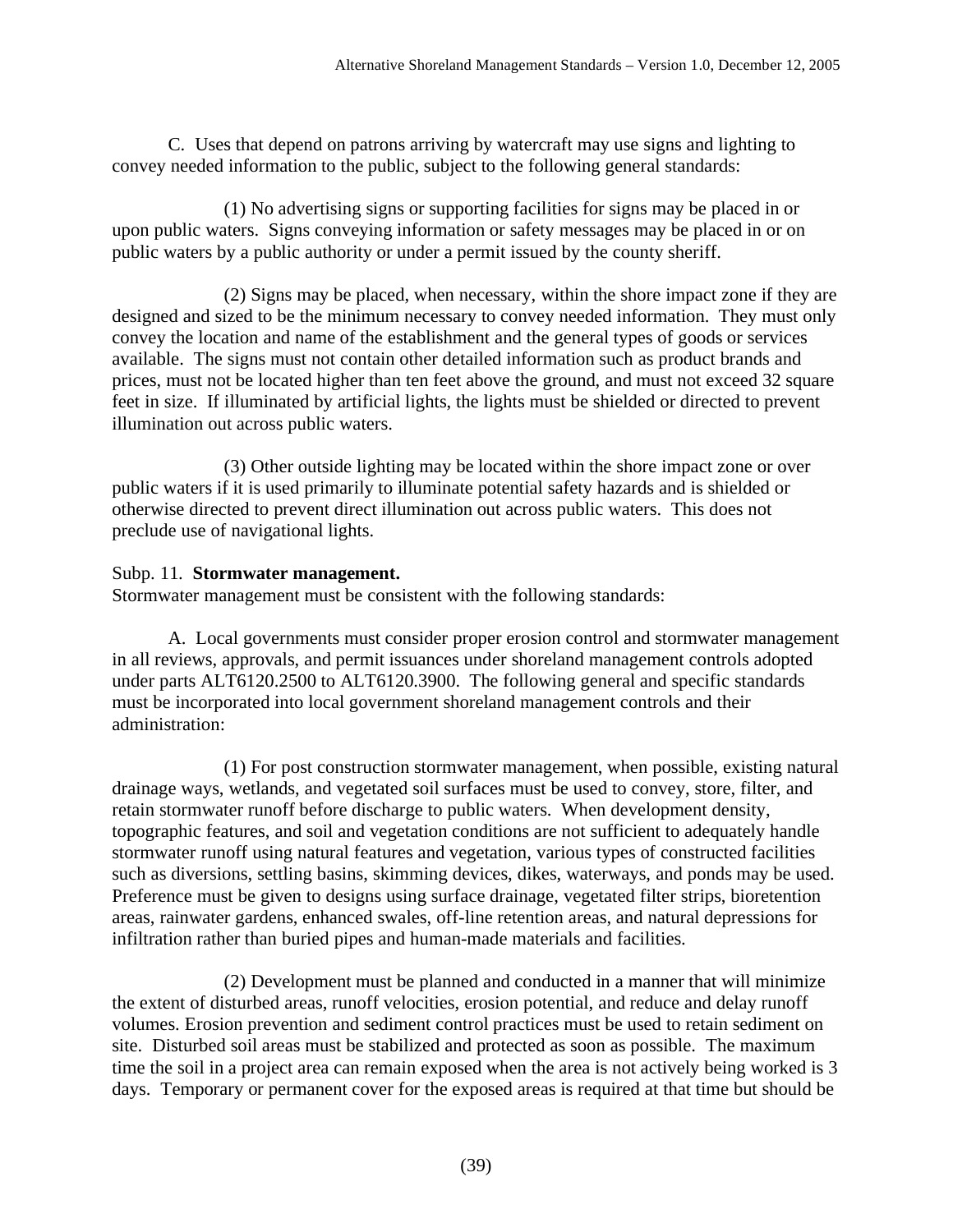C. Uses that depend on patrons arriving by watercraft may use signs and lighting to convey needed information to the public, subject to the following general standards:

 (1) No advertising signs or supporting facilities for signs may be placed in or upon public waters. Signs conveying information or safety messages may be placed in or on public waters by a public authority or under a permit issued by the county sheriff.

 (2) Signs may be placed, when necessary, within the shore impact zone if they are designed and sized to be the minimum necessary to convey needed information. They must only convey the location and name of the establishment and the general types of goods or services available. The signs must not contain other detailed information such as product brands and prices, must not be located higher than ten feet above the ground, and must not exceed 32 square feet in size. If illuminated by artificial lights, the lights must be shielded or directed to prevent illumination out across public waters.

 (3) Other outside lighting may be located within the shore impact zone or over public waters if it is used primarily to illuminate potential safety hazards and is shielded or otherwise directed to prevent direct illumination out across public waters. This does not preclude use of navigational lights.

## Subp. 11. **Stormwater management.**

Stormwater management must be consistent with the following standards:

 A. Local governments must consider proper erosion control and stormwater management in all reviews, approvals, and permit issuances under shoreland management controls adopted under parts ALT6120.2500 to ALT6120.3900. The following general and specific standards must be incorporated into local government shoreland management controls and their administration:

 (1) For post construction stormwater management, when possible, existing natural drainage ways, wetlands, and vegetated soil surfaces must be used to convey, store, filter, and retain stormwater runoff before discharge to public waters. When development density, topographic features, and soil and vegetation conditions are not sufficient to adequately handle stormwater runoff using natural features and vegetation, various types of constructed facilities such as diversions, settling basins, skimming devices, dikes, waterways, and ponds may be used. Preference must be given to designs using surface drainage, vegetated filter strips, bioretention areas, rainwater gardens, enhanced swales, off-line retention areas, and natural depressions for infiltration rather than buried pipes and human-made materials and facilities.

 (2) Development must be planned and conducted in a manner that will minimize the extent of disturbed areas, runoff velocities, erosion potential, and reduce and delay runoff volumes. Erosion prevention and sediment control practices must be used to retain sediment on site. Disturbed soil areas must be stabilized and protected as soon as possible. The maximum time the soil in a project area can remain exposed when the area is not actively being worked is 3 days. Temporary or permanent cover for the exposed areas is required at that time but should be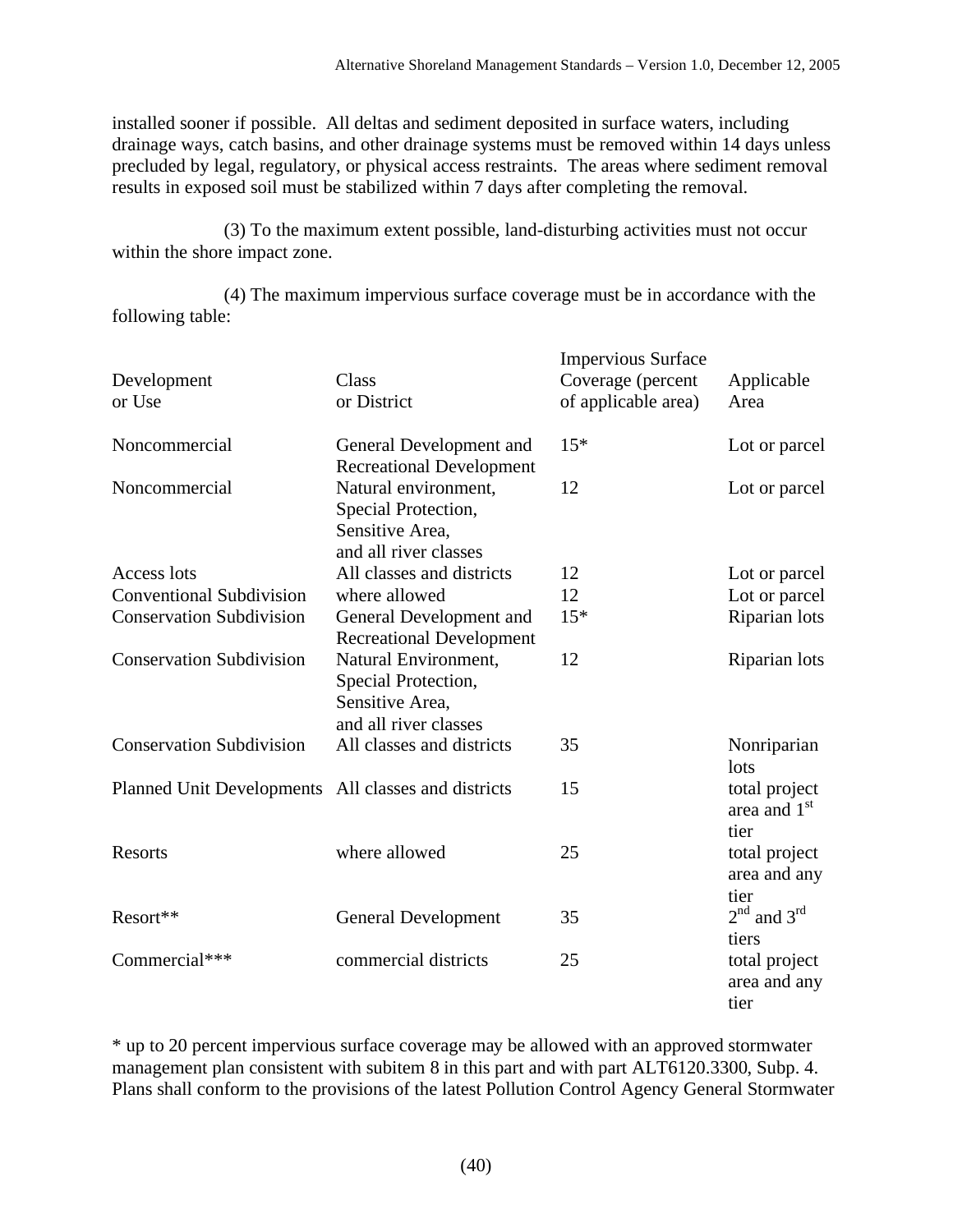installed sooner if possible. All deltas and sediment deposited in surface waters, including drainage ways, catch basins, and other drainage systems must be removed within 14 days unless precluded by legal, regulatory, or physical access restraints. The areas where sediment removal results in exposed soil must be stabilized within 7 days after completing the removal.

 (3) To the maximum extent possible, land-disturbing activities must not occur within the shore impact zone.

 (4) The maximum impervious surface coverage must be in accordance with the following table:

| Development<br>or Use                               | Class<br>or District                                                                    | <b>Impervious Surface</b><br>Coverage (percent<br>of applicable area) | Applicable<br>Area                      |
|-----------------------------------------------------|-----------------------------------------------------------------------------------------|-----------------------------------------------------------------------|-----------------------------------------|
| Noncommercial                                       | General Development and<br><b>Recreational Development</b>                              | $15*$                                                                 | Lot or parcel                           |
| Noncommercial                                       | Natural environment,<br>Special Protection,<br>Sensitive Area,<br>and all river classes | 12                                                                    | Lot or parcel                           |
| Access lots                                         | All classes and districts                                                               | 12                                                                    | Lot or parcel                           |
| <b>Conventional Subdivision</b>                     | where allowed                                                                           | 12                                                                    | Lot or parcel                           |
| <b>Conservation Subdivision</b>                     | General Development and<br><b>Recreational Development</b>                              | $15*$                                                                 | Riparian lots                           |
| <b>Conservation Subdivision</b>                     | Natural Environment,<br>Special Protection,<br>Sensitive Area,<br>and all river classes | 12                                                                    | Riparian lots                           |
| <b>Conservation Subdivision</b>                     | All classes and districts                                                               | 35                                                                    | Nonriparian<br>lots                     |
| Planned Unit Developments All classes and districts |                                                                                         | 15                                                                    | total project<br>area and $1st$<br>tier |
| <b>Resorts</b>                                      | where allowed                                                                           | 25                                                                    | total project<br>area and any<br>tier   |
| Resort**                                            | <b>General Development</b>                                                              | 35                                                                    | $2^{nd}$ and $3^{rd}$<br>tiers          |
| Commercial***                                       | commercial districts                                                                    | 25                                                                    | total project<br>area and any<br>tier   |

\* up to 20 percent impervious surface coverage may be allowed with an approved stormwater management plan consistent with subitem 8 in this part and with part ALT6120.3300, Subp. 4. Plans shall conform to the provisions of the latest Pollution Control Agency General Stormwater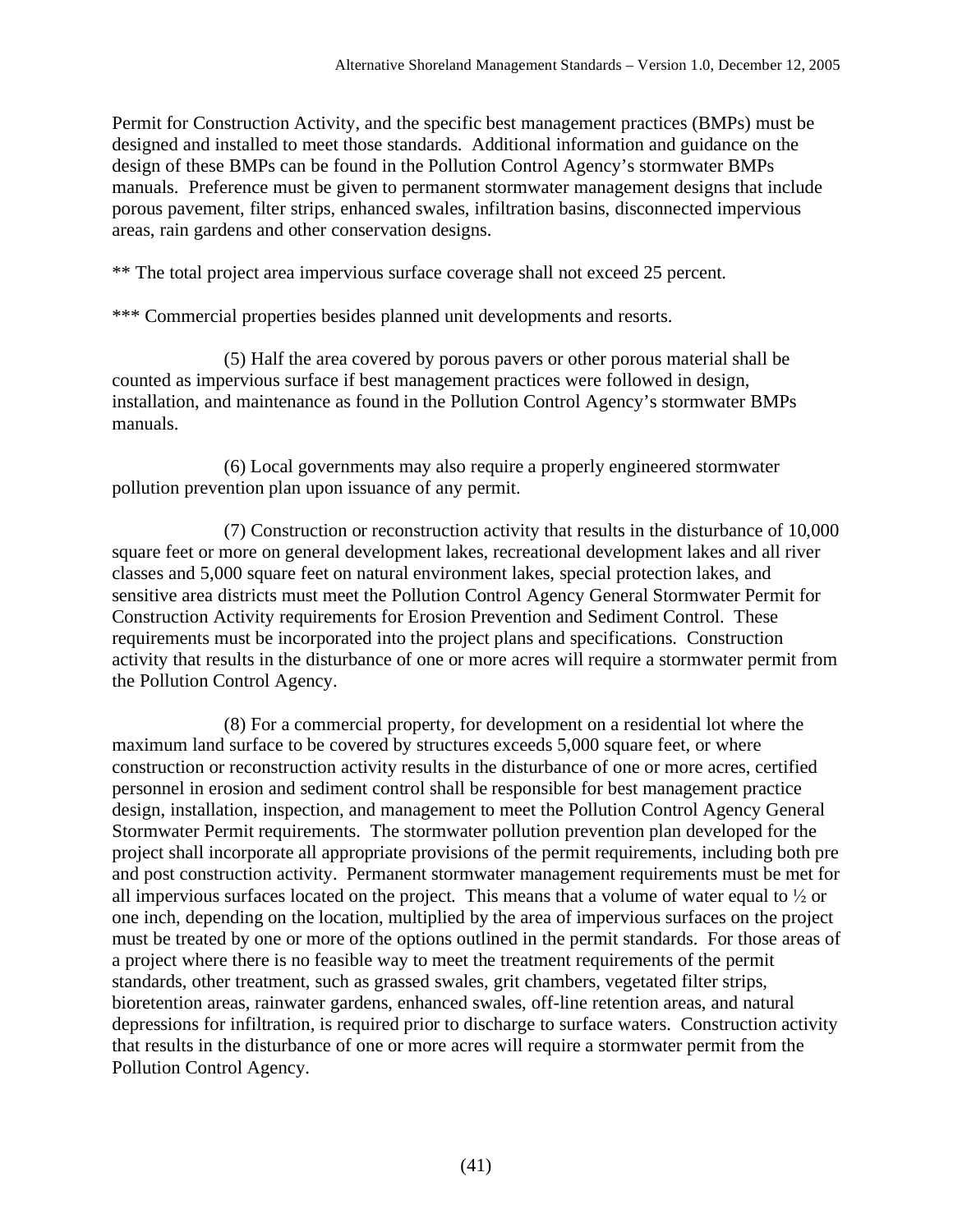Permit for Construction Activity, and the specific best management practices (BMPs) must be designed and installed to meet those standards. Additional information and guidance on the design of these BMPs can be found in the Pollution Control Agency's stormwater BMPs manuals. Preference must be given to permanent stormwater management designs that include porous pavement, filter strips, enhanced swales, infiltration basins, disconnected impervious areas, rain gardens and other conservation designs.

\*\* The total project area impervious surface coverage shall not exceed 25 percent.

\*\*\* Commercial properties besides planned unit developments and resorts.

 (5) Half the area covered by porous pavers or other porous material shall be counted as impervious surface if best management practices were followed in design, installation, and maintenance as found in the Pollution Control Agency's stormwater BMPs manuals.

 (6) Local governments may also require a properly engineered stormwater pollution prevention plan upon issuance of any permit.

 (7) Construction or reconstruction activity that results in the disturbance of 10,000 square feet or more on general development lakes, recreational development lakes and all river classes and 5,000 square feet on natural environment lakes, special protection lakes, and sensitive area districts must meet the Pollution Control Agency General Stormwater Permit for Construction Activity requirements for Erosion Prevention and Sediment Control. These requirements must be incorporated into the project plans and specifications. Construction activity that results in the disturbance of one or more acres will require a stormwater permit from the Pollution Control Agency.

 (8) For a commercial property, for development on a residential lot where the maximum land surface to be covered by structures exceeds 5,000 square feet, or where construction or reconstruction activity results in the disturbance of one or more acres, certified personnel in erosion and sediment control shall be responsible for best management practice design, installation, inspection, and management to meet the Pollution Control Agency General Stormwater Permit requirements. The stormwater pollution prevention plan developed for the project shall incorporate all appropriate provisions of the permit requirements, including both pre and post construction activity. Permanent stormwater management requirements must be met for all impervious surfaces located on the project. This means that a volume of water equal to  $\frac{1}{2}$  or one inch, depending on the location, multiplied by the area of impervious surfaces on the project must be treated by one or more of the options outlined in the permit standards. For those areas of a project where there is no feasible way to meet the treatment requirements of the permit standards, other treatment, such as grassed swales, grit chambers, vegetated filter strips, bioretention areas, rainwater gardens, enhanced swales, off-line retention areas, and natural depressions for infiltration, is required prior to discharge to surface waters. Construction activity that results in the disturbance of one or more acres will require a stormwater permit from the Pollution Control Agency.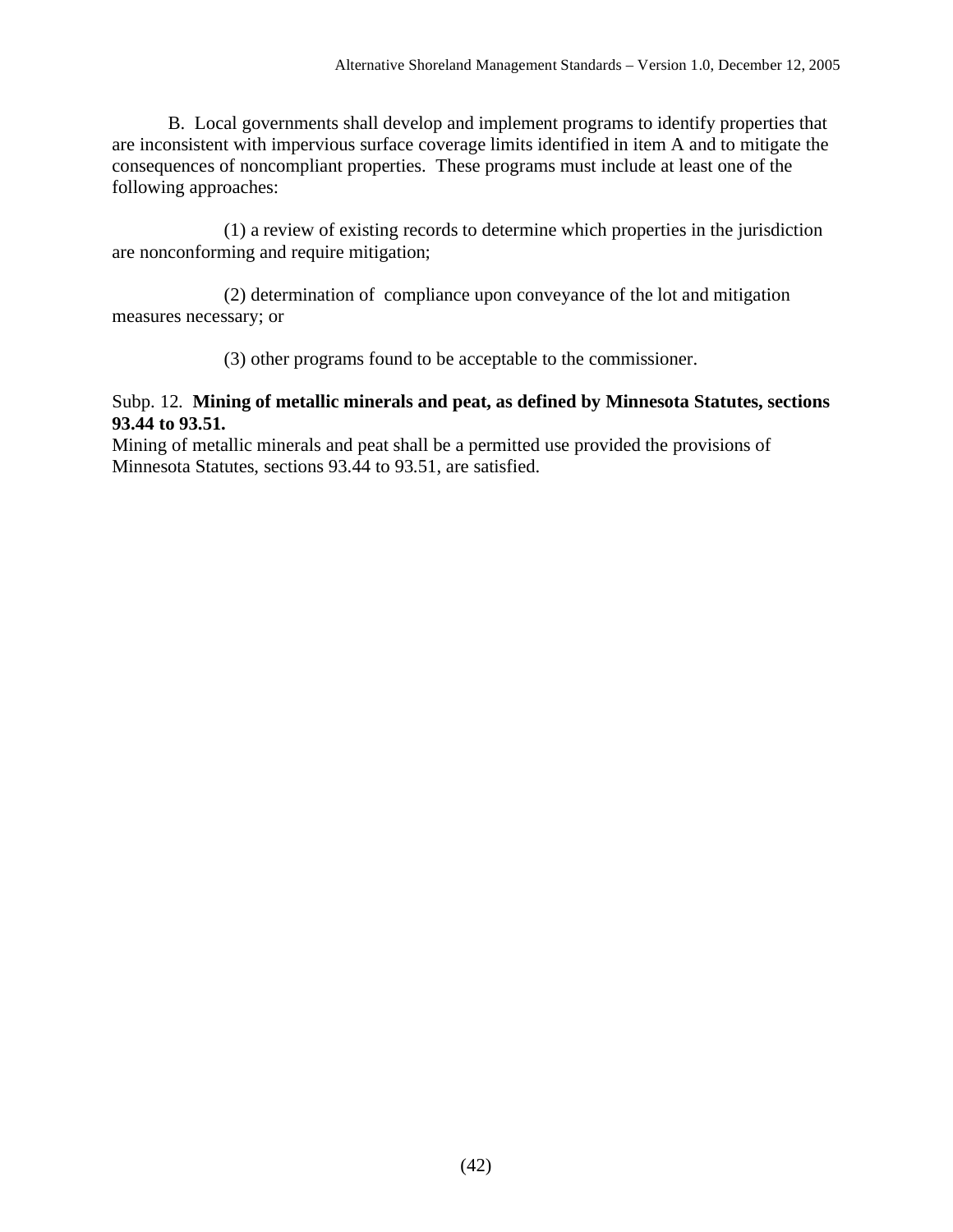B. Local governments shall develop and implement programs to identify properties that are inconsistent with impervious surface coverage limits identified in item A and to mitigate the consequences of noncompliant properties. These programs must include at least one of the following approaches:

 (1) a review of existing records to determine which properties in the jurisdiction are nonconforming and require mitigation;

 (2) determination of compliance upon conveyance of the lot and mitigation measures necessary; or

(3) other programs found to be acceptable to the commissioner.

#### Subp. 12. **Mining of metallic minerals and peat, as defined by Minnesota Statutes, sections 93.44 to 93.51.**

Mining of metallic minerals and peat shall be a permitted use provided the provisions of Minnesota Statutes, sections 93.44 to 93.51, are satisfied.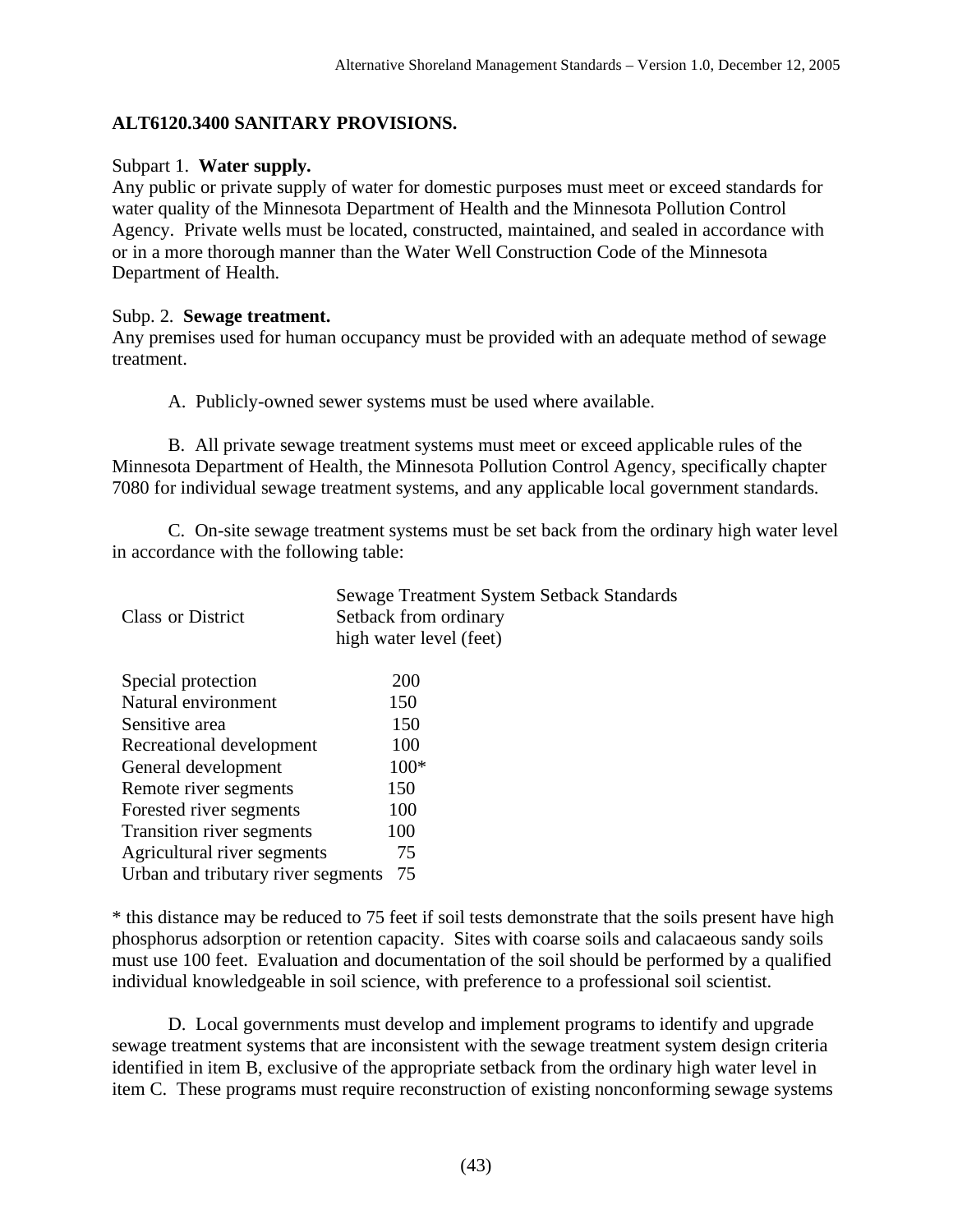#### **ALT6120.3400 SANITARY PROVISIONS.**

#### Subpart 1. **Water supply.**

Any public or private supply of water for domestic purposes must meet or exceed standards for water quality of the Minnesota Department of Health and the Minnesota Pollution Control Agency. Private wells must be located, constructed, maintained, and sealed in accordance with or in a more thorough manner than the Water Well Construction Code of the Minnesota Department of Health.

#### Subp. 2. **Sewage treatment.**

Any premises used for human occupancy must be provided with an adequate method of sewage treatment.

A. Publicly-owned sewer systems must be used where available.

 B. All private sewage treatment systems must meet or exceed applicable rules of the Minnesota Department of Health, the Minnesota Pollution Control Agency, specifically chapter 7080 for individual sewage treatment systems, and any applicable local government standards.

 C. On-site sewage treatment systems must be set back from the ordinary high water level in accordance with the following table:

| Class or District                  | <b>Sewage Treatment System Setback Standards</b><br>Setback from ordinary |
|------------------------------------|---------------------------------------------------------------------------|
|                                    | high water level (feet)                                                   |
| Special protection                 | <b>200</b>                                                                |
| Natural environment                | 150                                                                       |
| Sensitive area                     | 150                                                                       |
| Recreational development           | 100                                                                       |
| General development                | $100*$                                                                    |
| Remote river segments              | 150                                                                       |
| Forested river segments            | 100                                                                       |
| Transition river segments          | 100                                                                       |
| Agricultural river segments        | 75                                                                        |
| Urban and tributary river segments | 75                                                                        |

\* this distance may be reduced to 75 feet if soil tests demonstrate that the soils present have high phosphorus adsorption or retention capacity. Sites with coarse soils and calacaeous sandy soils must use 100 feet. Evaluation and documentation of the soil should be performed by a qualified individual knowledgeable in soil science, with preference to a professional soil scientist.

 D. Local governments must develop and implement programs to identify and upgrade sewage treatment systems that are inconsistent with the sewage treatment system design criteria identified in item B, exclusive of the appropriate setback from the ordinary high water level in item C. These programs must require reconstruction of existing nonconforming sewage systems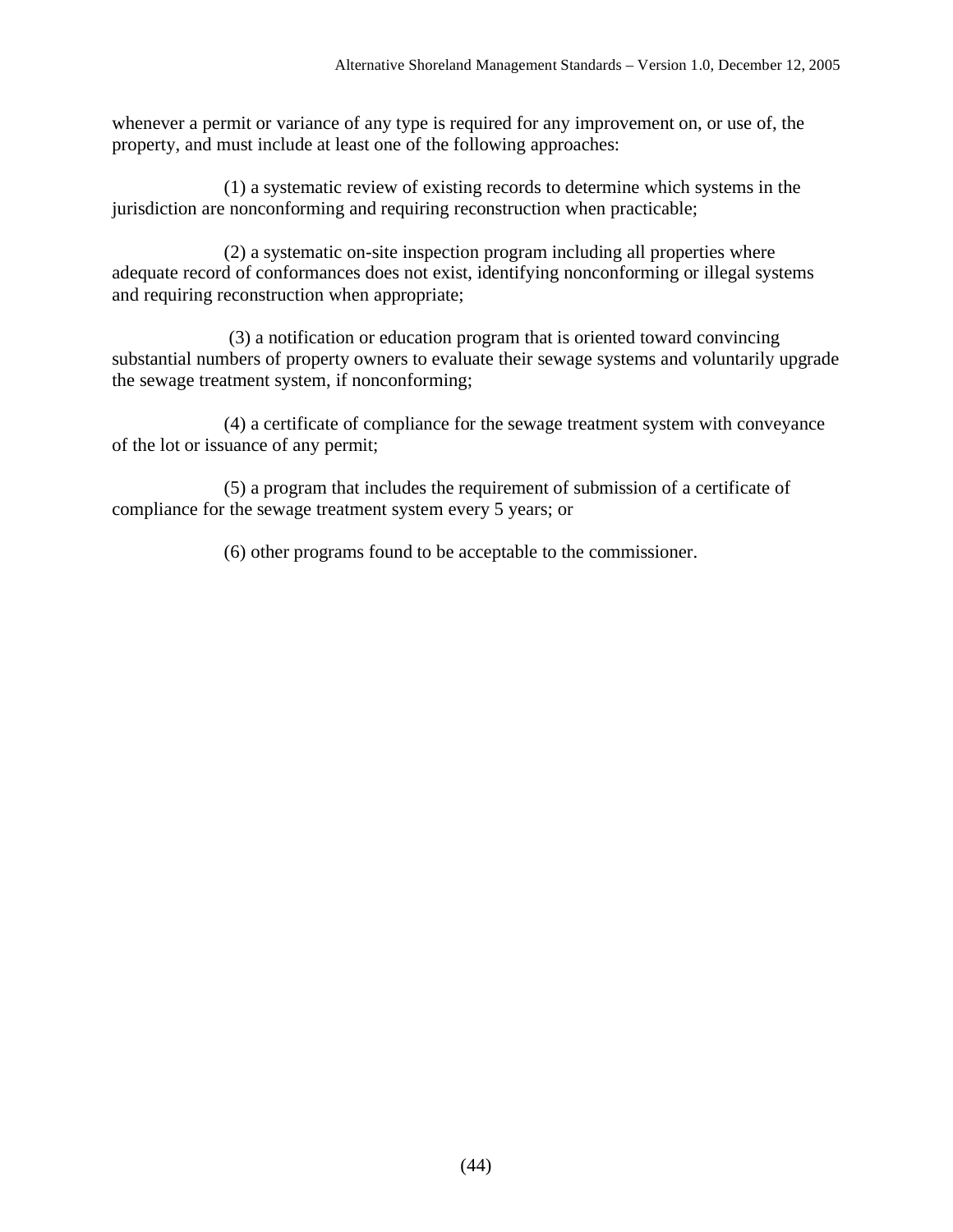whenever a permit or variance of any type is required for any improvement on, or use of, the property, and must include at least one of the following approaches:

 (1) a systematic review of existing records to determine which systems in the jurisdiction are nonconforming and requiring reconstruction when practicable;

 (2) a systematic on-site inspection program including all properties where adequate record of conformances does not exist, identifying nonconforming or illegal systems and requiring reconstruction when appropriate;

 (3) a notification or education program that is oriented toward convincing substantial numbers of property owners to evaluate their sewage systems and voluntarily upgrade the sewage treatment system, if nonconforming;

 (4) a certificate of compliance for the sewage treatment system with conveyance of the lot or issuance of any permit;

 (5) a program that includes the requirement of submission of a certificate of compliance for the sewage treatment system every 5 years; or

(6) other programs found to be acceptable to the commissioner.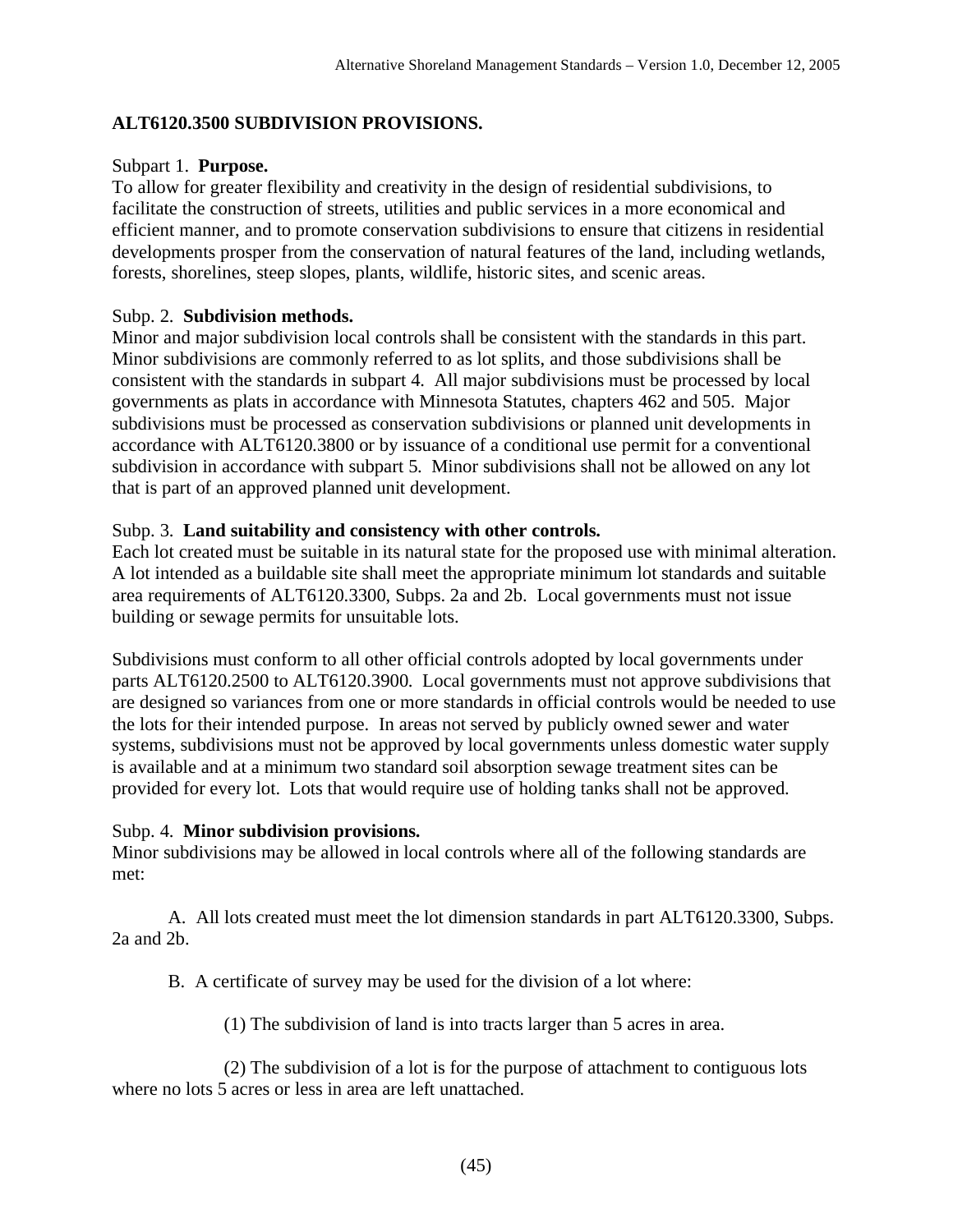## **ALT6120.3500 SUBDIVISION PROVISIONS.**

## Subpart 1. **Purpose.**

To allow for greater flexibility and creativity in the design of residential subdivisions, to facilitate the construction of streets, utilities and public services in a more economical and efficient manner, and to promote conservation subdivisions to ensure that citizens in residential developments prosper from the conservation of natural features of the land, including wetlands, forests, shorelines, steep slopes, plants, wildlife, historic sites, and scenic areas.

## Subp. 2. **Subdivision methods.**

Minor and major subdivision local controls shall be consistent with the standards in this part. Minor subdivisions are commonly referred to as lot splits, and those subdivisions shall be consistent with the standards in subpart 4. All major subdivisions must be processed by local governments as plats in accordance with Minnesota Statutes, chapters 462 and 505. Major subdivisions must be processed as conservation subdivisions or planned unit developments in accordance with ALT6120.3800 or by issuance of a conditional use permit for a conventional subdivision in accordance with subpart 5. Minor subdivisions shall not be allowed on any lot that is part of an approved planned unit development.

## Subp. 3. **Land suitability and consistency with other controls.**

Each lot created must be suitable in its natural state for the proposed use with minimal alteration. A lot intended as a buildable site shall meet the appropriate minimum lot standards and suitable area requirements of ALT6120.3300, Subps. 2a and 2b. Local governments must not issue building or sewage permits for unsuitable lots.

Subdivisions must conform to all other official controls adopted by local governments under parts ALT6120.2500 to ALT6120.3900. Local governments must not approve subdivisions that are designed so variances from one or more standards in official controls would be needed to use the lots for their intended purpose. In areas not served by publicly owned sewer and water systems, subdivisions must not be approved by local governments unless domestic water supply is available and at a minimum two standard soil absorption sewage treatment sites can be provided for every lot. Lots that would require use of holding tanks shall not be approved.

## Subp. 4. **Minor subdivision provisions.**

Minor subdivisions may be allowed in local controls where all of the following standards are met:

 A. All lots created must meet the lot dimension standards in part ALT6120.3300, Subps. 2a and 2b.

B. A certificate of survey may be used for the division of a lot where:

(1) The subdivision of land is into tracts larger than 5 acres in area.

 (2) The subdivision of a lot is for the purpose of attachment to contiguous lots where no lots 5 acres or less in area are left unattached.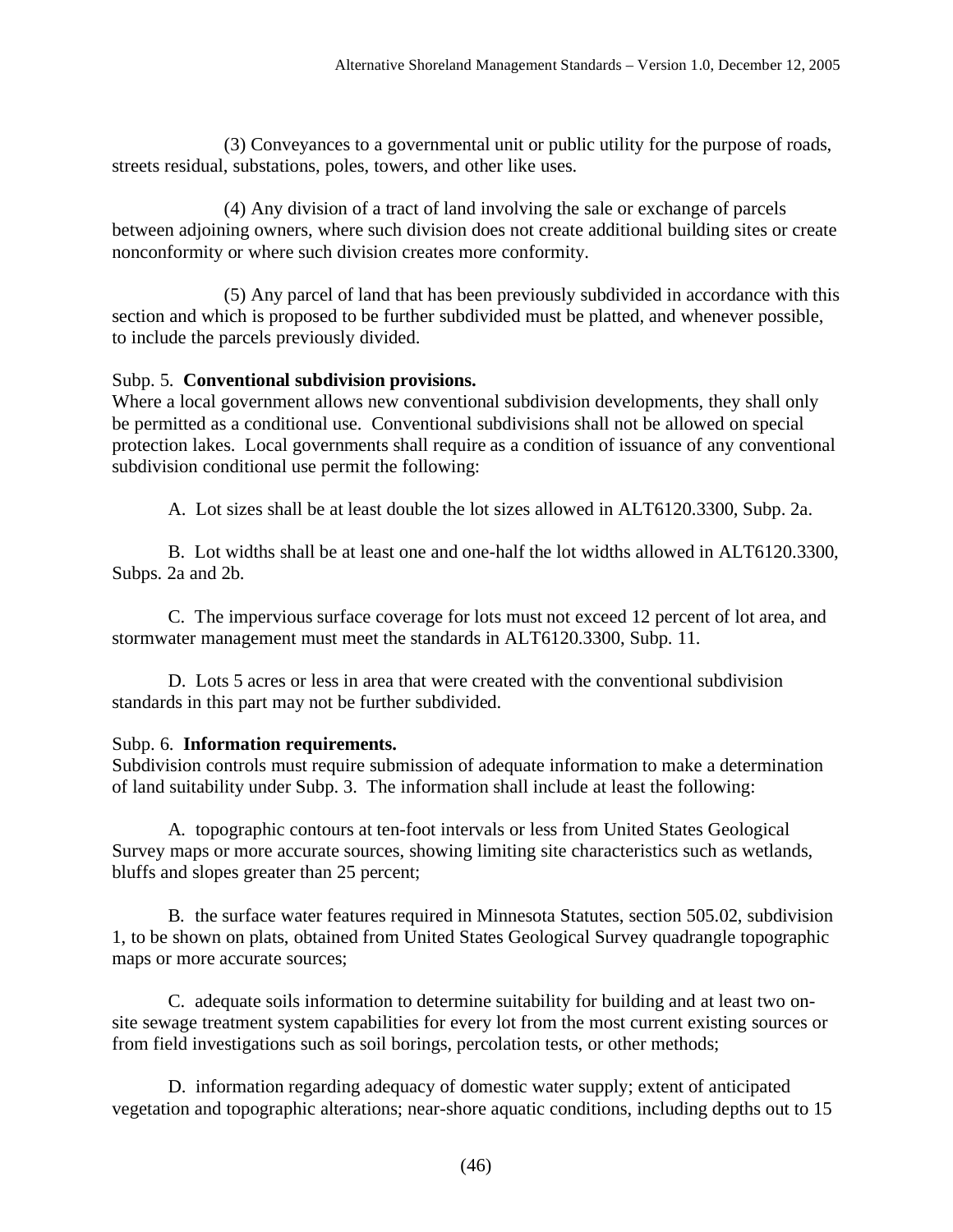(3) Conveyances to a governmental unit or public utility for the purpose of roads, streets residual, substations, poles, towers, and other like uses.

 (4) Any division of a tract of land involving the sale or exchange of parcels between adjoining owners, where such division does not create additional building sites or create nonconformity or where such division creates more conformity.

 (5) Any parcel of land that has been previously subdivided in accordance with this section and which is proposed to be further subdivided must be platted, and whenever possible, to include the parcels previously divided.

## Subp. 5. **Conventional subdivision provisions.**

Where a local government allows new conventional subdivision developments, they shall only be permitted as a conditional use. Conventional subdivisions shall not be allowed on special protection lakes. Local governments shall require as a condition of issuance of any conventional subdivision conditional use permit the following:

A. Lot sizes shall be at least double the lot sizes allowed in ALT6120.3300, Subp. 2a.

 B. Lot widths shall be at least one and one-half the lot widths allowed in ALT6120.3300, Subps. 2a and 2b.

 C. The impervious surface coverage for lots must not exceed 12 percent of lot area, and stormwater management must meet the standards in ALT6120.3300, Subp. 11.

 D. Lots 5 acres or less in area that were created with the conventional subdivision standards in this part may not be further subdivided.

## Subp. 6. **Information requirements.**

Subdivision controls must require submission of adequate information to make a determination of land suitability under Subp. 3. The information shall include at least the following:

 A*.* topographic contours at ten-foot intervals or less from United States Geological Survey maps or more accurate sources, showing limiting site characteristics such as wetlands, bluffs and slopes greater than 25 percent;

 B*.* the surface water features required in Minnesota Statutes, section 505.02, subdivision 1, to be shown on plats, obtained from United States Geological Survey quadrangle topographic maps or more accurate sources;

 C. adequate soils information to determine suitability for building and at least two onsite sewage treatment system capabilities for every lot from the most current existing sources or from field investigations such as soil borings, percolation tests, or other methods;

 D. information regarding adequacy of domestic water supply; extent of anticipated vegetation and topographic alterations; near-shore aquatic conditions, including depths out to 15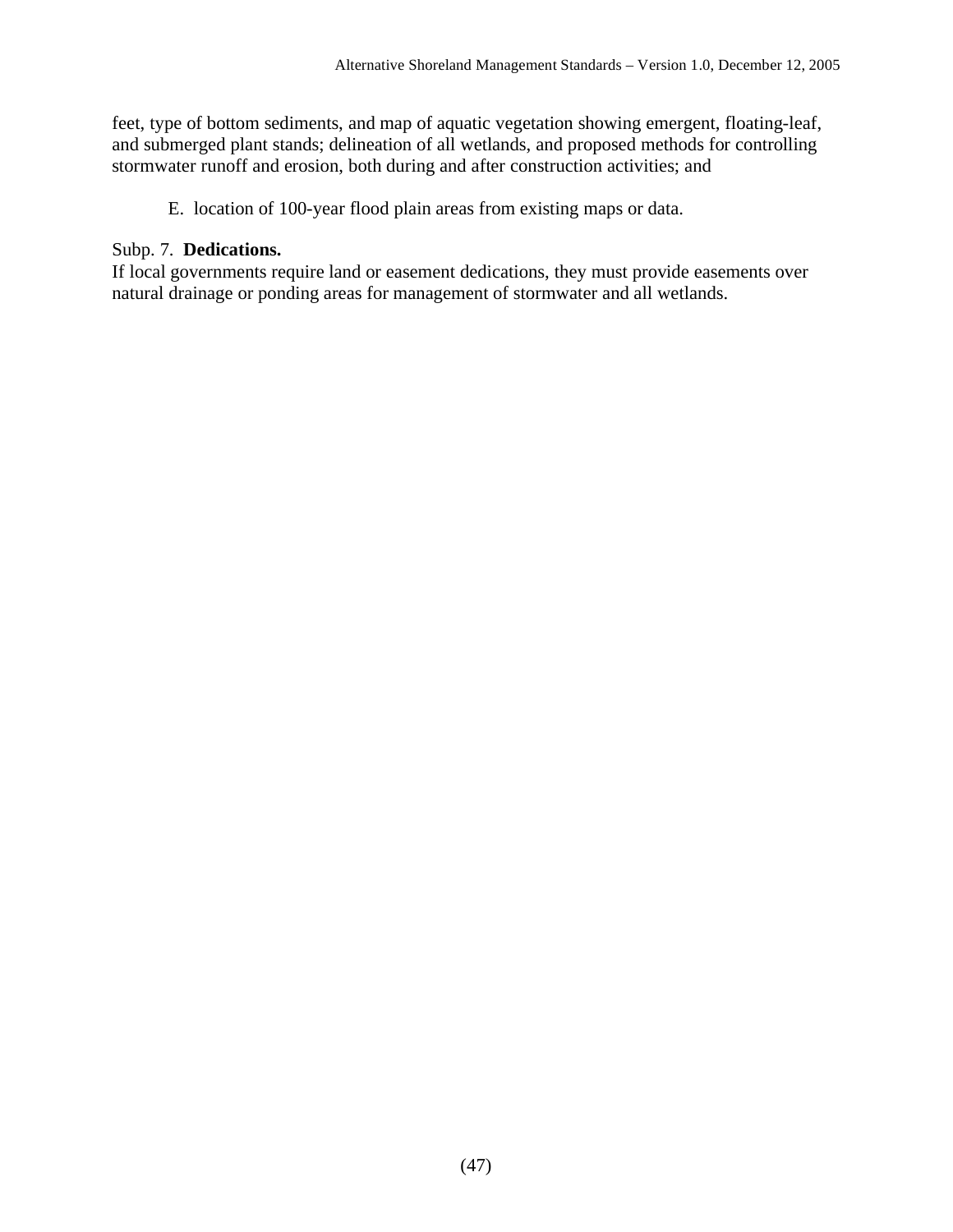feet, type of bottom sediments, and map of aquatic vegetation showing emergent, floating-leaf, and submerged plant stands; delineation of all wetlands, and proposed methods for controlling stormwater runoff and erosion, both during and after construction activities; and

E. location of 100-year flood plain areas from existing maps or data.

## Subp. 7. **Dedications.**

If local governments require land or easement dedications, they must provide easements over natural drainage or ponding areas for management of stormwater and all wetlands.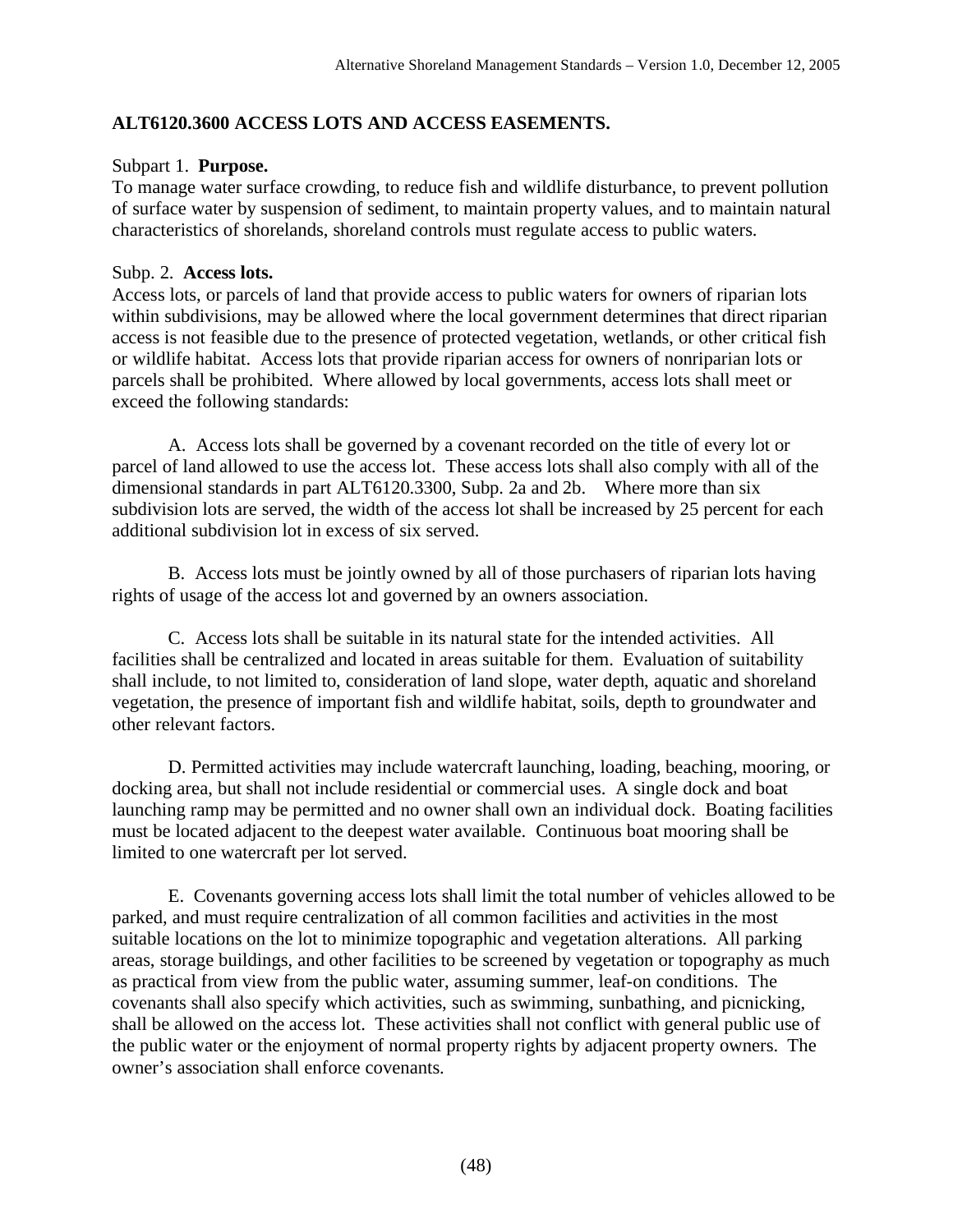## **ALT6120.3600 ACCESS LOTS AND ACCESS EASEMENTS.**

## Subpart 1. **Purpose.**

To manage water surface crowding, to reduce fish and wildlife disturbance, to prevent pollution of surface water by suspension of sediment, to maintain property values, and to maintain natural characteristics of shorelands, shoreland controls must regulate access to public waters.

## Subp. 2. **Access lots.**

Access lots, or parcels of land that provide access to public waters for owners of riparian lots within subdivisions, may be allowed where the local government determines that direct riparian access is not feasible due to the presence of protected vegetation, wetlands, or other critical fish or wildlife habitat. Access lots that provide riparian access for owners of nonriparian lots or parcels shall be prohibited. Where allowed by local governments, access lots shall meet or exceed the following standards:

 A. Access lots shall be governed by a covenant recorded on the title of every lot or parcel of land allowed to use the access lot. These access lots shall also comply with all of the dimensional standards in part ALT6120.3300, Subp. 2a and 2b. Where more than six subdivision lots are served, the width of the access lot shall be increased by 25 percent for each additional subdivision lot in excess of six served.

B. Access lots must be jointly owned by all of those purchasers of riparian lots having rights of usage of the access lot and governed by an owners association.

C. Access lots shall be suitable in its natural state for the intended activities. All facilities shall be centralized and located in areas suitable for them. Evaluation of suitability shall include, to not limited to, consideration of land slope, water depth, aquatic and shoreland vegetation, the presence of important fish and wildlife habitat, soils, depth to groundwater and other relevant factors.

D. Permitted activities may include watercraft launching, loading, beaching, mooring, or docking area, but shall not include residential or commercial uses. A single dock and boat launching ramp may be permitted and no owner shall own an individual dock. Boating facilities must be located adjacent to the deepest water available. Continuous boat mooring shall be limited to one watercraft per lot served.

 E. Covenants governing access lots shall limit the total number of vehicles allowed to be parked, and must require centralization of all common facilities and activities in the most suitable locations on the lot to minimize topographic and vegetation alterations. All parking areas, storage buildings, and other facilities to be screened by vegetation or topography as much as practical from view from the public water, assuming summer, leaf-on conditions. The covenants shall also specify which activities, such as swimming, sunbathing, and picnicking, shall be allowed on the access lot. These activities shall not conflict with general public use of the public water or the enjoyment of normal property rights by adjacent property owners. The owner's association shall enforce covenants.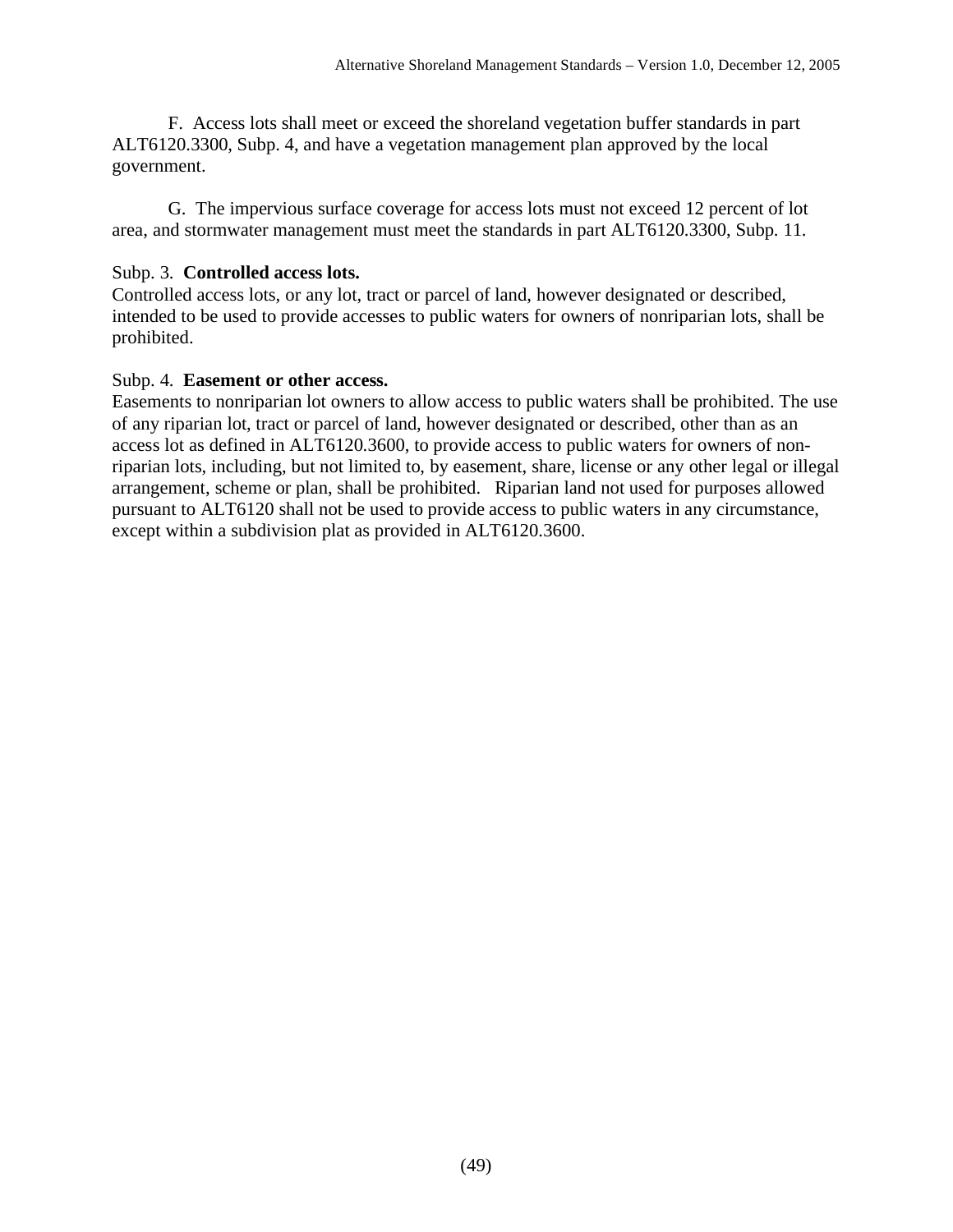F. Access lots shall meet or exceed the shoreland vegetation buffer standards in part ALT6120.3300, Subp. 4, and have a vegetation management plan approved by the local government.

 G. The impervious surface coverage for access lots must not exceed 12 percent of lot area, and stormwater management must meet the standards in part ALT6120.3300, Subp. 11.

## Subp. 3. **Controlled access lots.**

Controlled access lots, or any lot, tract or parcel of land, however designated or described, intended to be used to provide accesses to public waters for owners of nonriparian lots, shall be prohibited.

## Subp. 4. **Easement or other access.**

Easements to nonriparian lot owners to allow access to public waters shall be prohibited. The use of any riparian lot, tract or parcel of land, however designated or described, other than as an access lot as defined in ALT6120.3600, to provide access to public waters for owners of nonriparian lots, including, but not limited to, by easement, share, license or any other legal or illegal arrangement, scheme or plan, shall be prohibited. Riparian land not used for purposes allowed pursuant to ALT6120 shall not be used to provide access to public waters in any circumstance, except within a subdivision plat as provided in ALT6120.3600.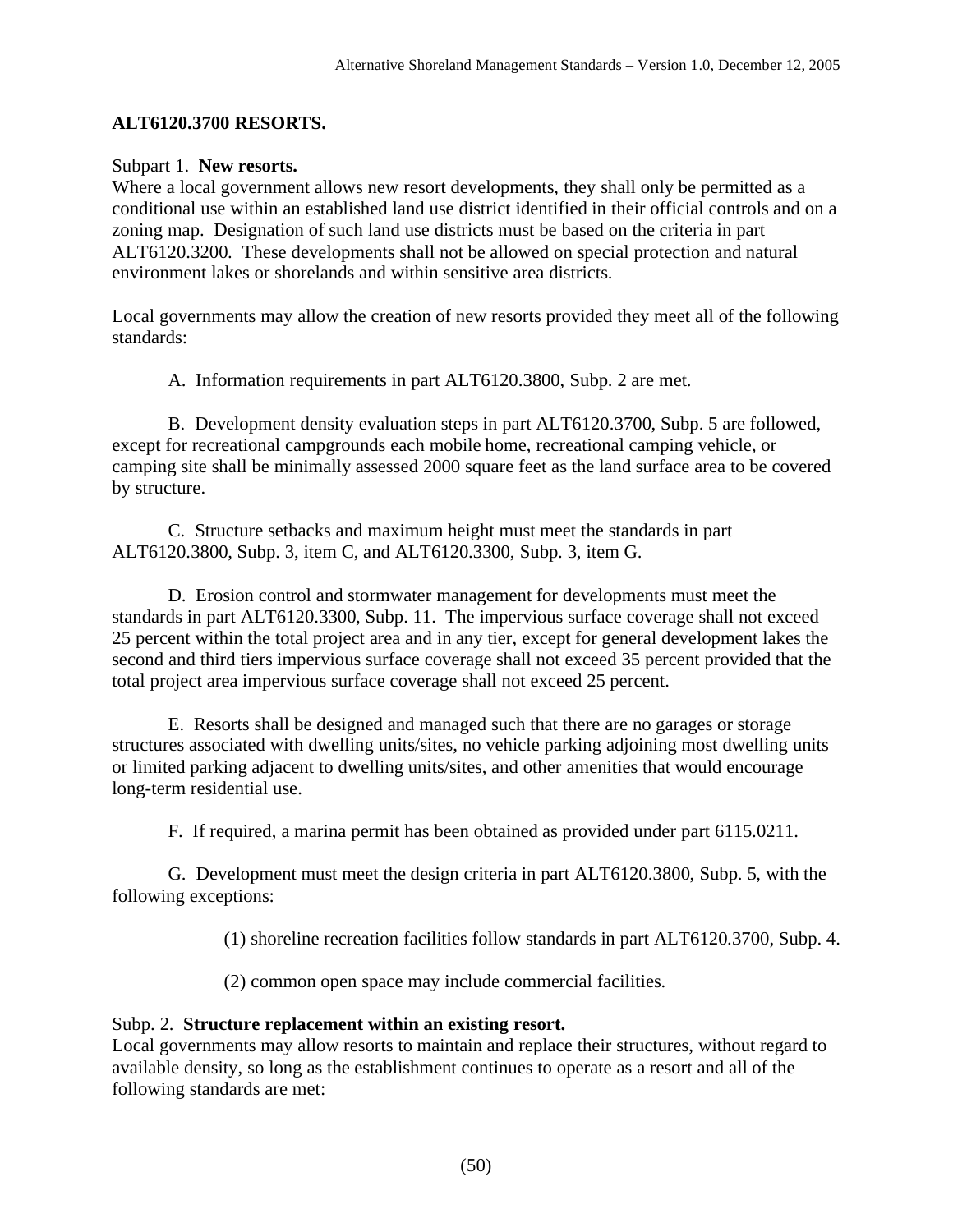## **ALT6120.3700 RESORTS.**

#### Subpart 1. **New resorts.**

Where a local government allows new resort developments, they shall only be permitted as a conditional use within an established land use district identified in their official controls and on a zoning map. Designation of such land use districts must be based on the criteria in part ALT6120.3200. These developments shall not be allowed on special protection and natural environment lakes or shorelands and within sensitive area districts.

Local governments may allow the creation of new resorts provided they meet all of the following standards:

A. Information requirements in part ALT6120.3800, Subp. 2 are met.

 B. Development density evaluation steps in part ALT6120.3700, Subp. 5 are followed, except for recreational campgrounds each mobile home, recreational camping vehicle, or camping site shall be minimally assessed 2000 square feet as the land surface area to be covered by structure.

 C. Structure setbacks and maximum height must meet the standards in part ALT6120.3800, Subp. 3, item C, and ALT6120.3300, Subp. 3, item G.

 D. Erosion control and stormwater management for developments must meet the standards in part ALT6120.3300, Subp. 11. The impervious surface coverage shall not exceed 25 percent within the total project area and in any tier, except for general development lakes the second and third tiers impervious surface coverage shall not exceed 35 percent provided that the total project area impervious surface coverage shall not exceed 25 percent.

 E. Resorts shall be designed and managed such that there are no garages or storage structures associated with dwelling units/sites, no vehicle parking adjoining most dwelling units or limited parking adjacent to dwelling units/sites, and other amenities that would encourage long-term residential use.

F. If required, a marina permit has been obtained as provided under part 6115.0211.

G. Development must meet the design criteria in part ALT6120.3800, Subp. 5, with the following exceptions:

(1) shoreline recreation facilities follow standards in part ALT6120.3700, Subp. 4.

(2) common open space may include commercial facilities.

#### Subp. 2. **Structure replacement within an existing resort.**

Local governments may allow resorts to maintain and replace their structures, without regard to available density, so long as the establishment continues to operate as a resort and all of the following standards are met: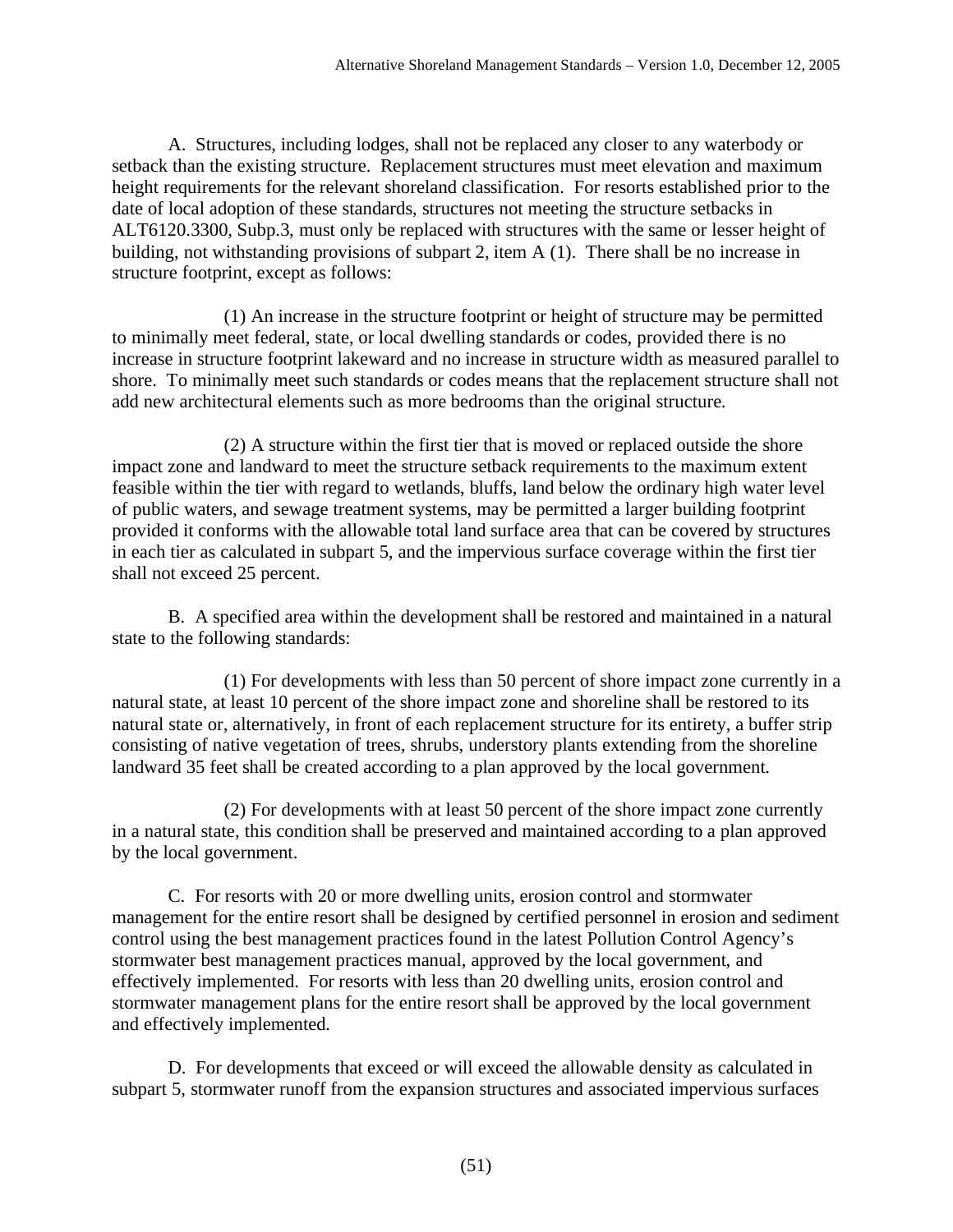A. Structures, including lodges, shall not be replaced any closer to any waterbody or setback than the existing structure. Replacement structures must meet elevation and maximum height requirements for the relevant shoreland classification. For resorts established prior to the date of local adoption of these standards, structures not meeting the structure setbacks in ALT6120.3300, Subp.3, must only be replaced with structures with the same or lesser height of building, not withstanding provisions of subpart 2, item A (1). There shall be no increase in structure footprint, except as follows:

(1) An increase in the structure footprint or height of structure may be permitted to minimally meet federal, state, or local dwelling standards or codes, provided there is no increase in structure footprint lakeward and no increase in structure width as measured parallel to shore. To minimally meet such standards or codes means that the replacement structure shall not add new architectural elements such as more bedrooms than the original structure.

 (2) A structure within the first tier that is moved or replaced outside the shore impact zone and landward to meet the structure setback requirements to the maximum extent feasible within the tier with regard to wetlands, bluffs, land below the ordinary high water level of public waters, and sewage treatment systems, may be permitted a larger building footprint provided it conforms with the allowable total land surface area that can be covered by structures in each tier as calculated in subpart 5, and the impervious surface coverage within the first tier shall not exceed 25 percent.

B. A specified area within the development shall be restored and maintained in a natural state to the following standards:

 (1) For developments with less than 50 percent of shore impact zone currently in a natural state, at least 10 percent of the shore impact zone and shoreline shall be restored to its natural state or, alternatively, in front of each replacement structure for its entirety, a buffer strip consisting of native vegetation of trees, shrubs, understory plants extending from the shoreline landward 35 feet shall be created according to a plan approved by the local government.

 (2) For developments with at least 50 percent of the shore impact zone currently in a natural state, this condition shall be preserved and maintained according to a plan approved by the local government.

C. For resorts with 20 or more dwelling units, erosion control and stormwater management for the entire resort shall be designed by certified personnel in erosion and sediment control using the best management practices found in the latest Pollution Control Agency's stormwater best management practices manual, approved by the local government, and effectively implemented. For resorts with less than 20 dwelling units, erosion control and stormwater management plans for the entire resort shall be approved by the local government and effectively implemented.

D. For developments that exceed or will exceed the allowable density as calculated in subpart 5, stormwater runoff from the expansion structures and associated impervious surfaces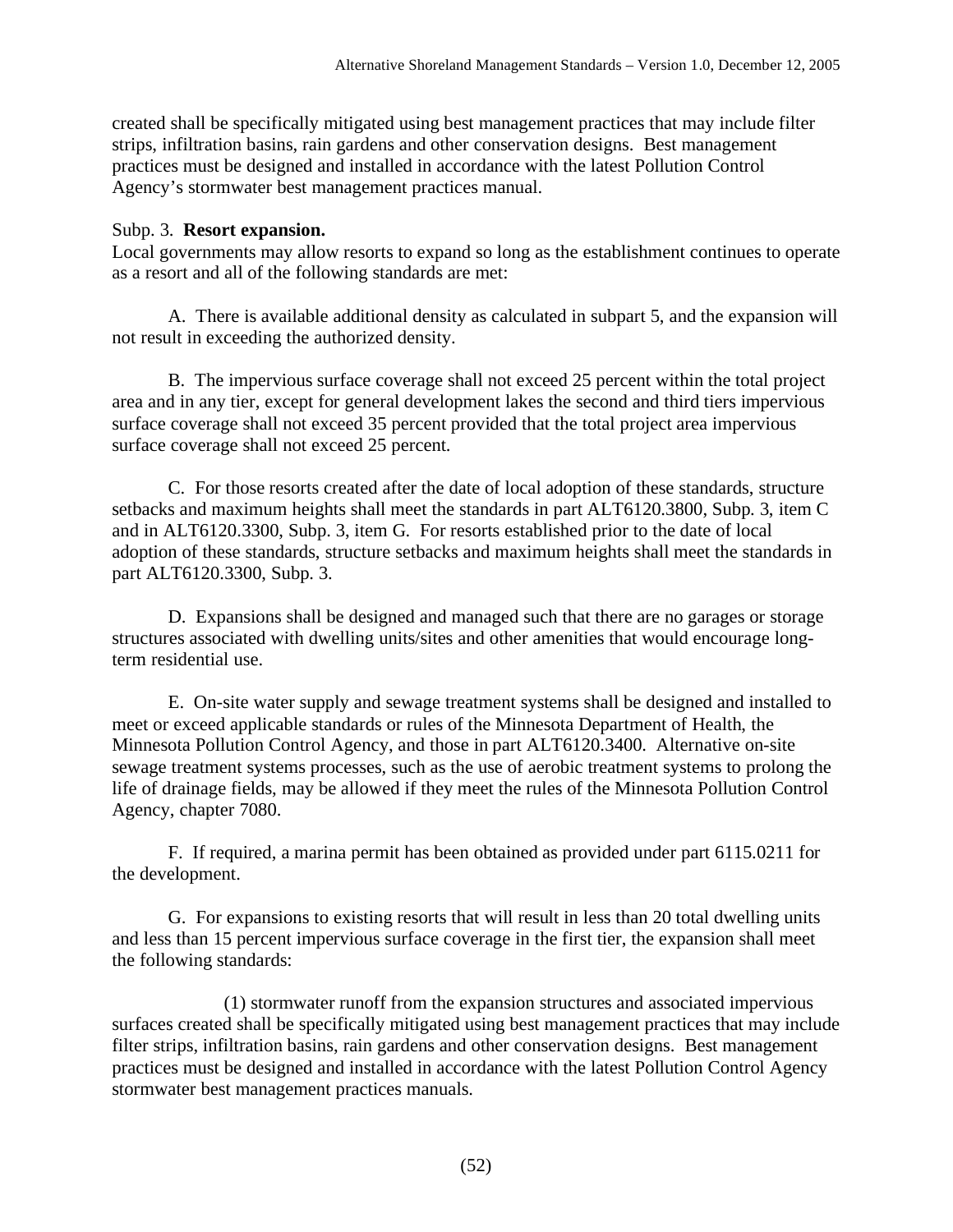created shall be specifically mitigated using best management practices that may include filter strips, infiltration basins, rain gardens and other conservation designs. Best management practices must be designed and installed in accordance with the latest Pollution Control Agency's stormwater best management practices manual.

## Subp. 3. **Resort expansion.**

Local governments may allow resorts to expand so long as the establishment continues to operate as a resort and all of the following standards are met:

 A. There is available additional density as calculated in subpart 5, and the expansion will not result in exceeding the authorized density.

 B. The impervious surface coverage shall not exceed 25 percent within the total project area and in any tier, except for general development lakes the second and third tiers impervious surface coverage shall not exceed 35 percent provided that the total project area impervious surface coverage shall not exceed 25 percent.

 C. For those resorts created after the date of local adoption of these standards, structure setbacks and maximum heights shall meet the standards in part ALT6120.3800, Subp. 3, item C and in ALT6120.3300, Subp. 3, item G. For resorts established prior to the date of local adoption of these standards, structure setbacks and maximum heights shall meet the standards in part ALT6120.3300, Subp. 3.

 D. Expansions shall be designed and managed such that there are no garages or storage structures associated with dwelling units/sites and other amenities that would encourage longterm residential use.

 E. On-site water supply and sewage treatment systems shall be designed and installed to meet or exceed applicable standards or rules of the Minnesota Department of Health, the Minnesota Pollution Control Agency, and those in part ALT6120.3400. Alternative on-site sewage treatment systems processes, such as the use of aerobic treatment systems to prolong the life of drainage fields, may be allowed if they meet the rules of the Minnesota Pollution Control Agency, chapter 7080.

 F. If required, a marina permit has been obtained as provided under part 6115.0211 for the development.

 G. For expansions to existing resorts that will result in less than 20 total dwelling units and less than 15 percent impervious surface coverage in the first tier, the expansion shall meet the following standards:

 (1) stormwater runoff from the expansion structures and associated impervious surfaces created shall be specifically mitigated using best management practices that may include filter strips, infiltration basins, rain gardens and other conservation designs. Best management practices must be designed and installed in accordance with the latest Pollution Control Agency stormwater best management practices manuals.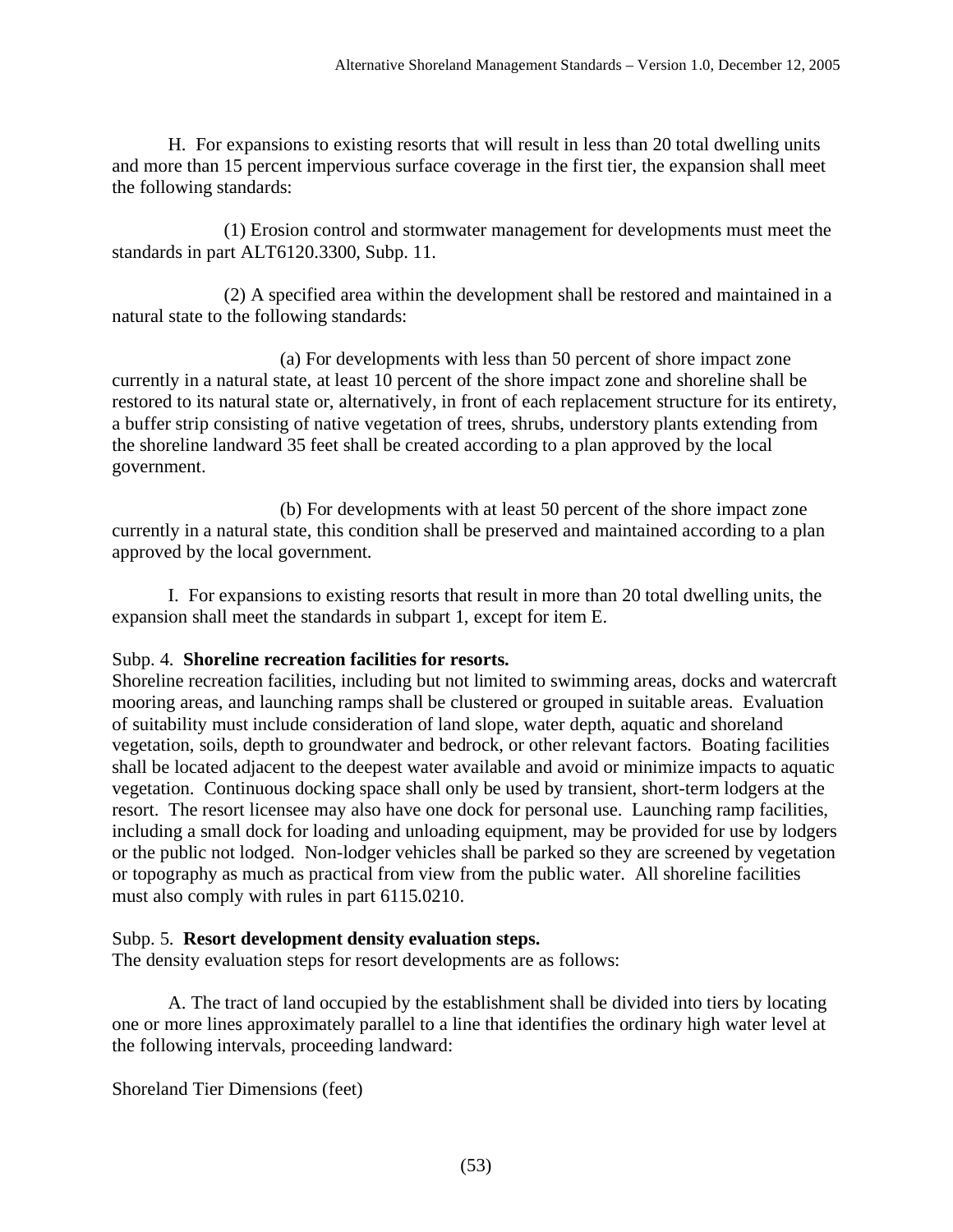H. For expansions to existing resorts that will result in less than 20 total dwelling units and more than 15 percent impervious surface coverage in the first tier, the expansion shall meet the following standards:

 (1) Erosion control and stormwater management for developments must meet the standards in part ALT6120.3300, Subp. 11.

 (2) A specified area within the development shall be restored and maintained in a natural state to the following standards:

 (a) For developments with less than 50 percent of shore impact zone currently in a natural state, at least 10 percent of the shore impact zone and shoreline shall be restored to its natural state or, alternatively, in front of each replacement structure for its entirety, a buffer strip consisting of native vegetation of trees, shrubs, understory plants extending from the shoreline landward 35 feet shall be created according to a plan approved by the local government.

 (b) For developments with at least 50 percent of the shore impact zone currently in a natural state, this condition shall be preserved and maintained according to a plan approved by the local government.

 I. For expansions to existing resorts that result in more than 20 total dwelling units, the expansion shall meet the standards in subpart 1, except for item E.

## Subp. 4. **Shoreline recreation facilities for resorts.**

Shoreline recreation facilities, including but not limited to swimming areas, docks and watercraft mooring areas, and launching ramps shall be clustered or grouped in suitable areas. Evaluation of suitability must include consideration of land slope, water depth, aquatic and shoreland vegetation, soils, depth to groundwater and bedrock, or other relevant factors. Boating facilities shall be located adjacent to the deepest water available and avoid or minimize impacts to aquatic vegetation. Continuous docking space shall only be used by transient, short-term lodgers at the resort. The resort licensee may also have one dock for personal use. Launching ramp facilities, including a small dock for loading and unloading equipment, may be provided for use by lodgers or the public not lodged. Non-lodger vehicles shall be parked so they are screened by vegetation or topography as much as practical from view from the public water. All shoreline facilities must also comply with rules in part 6115.0210.

## Subp. 5. **Resort development density evaluation steps.**

The density evaluation steps for resort developments are as follows:

A. The tract of land occupied by the establishment shall be divided into tiers by locating one or more lines approximately parallel to a line that identifies the ordinary high water level at the following intervals, proceeding landward:

Shoreland Tier Dimensions (feet)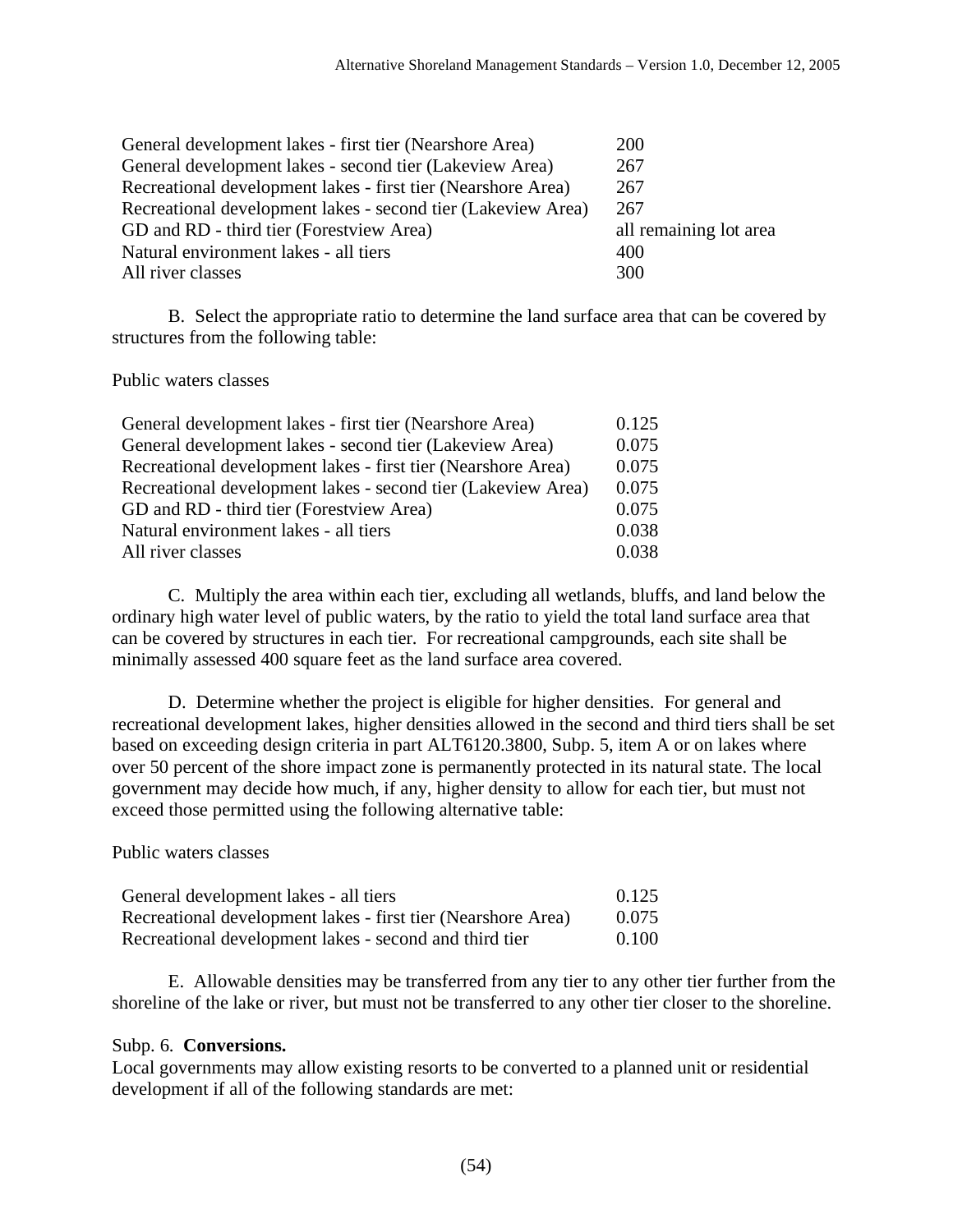| General development lakes - first tier (Nearshore Area)      | <b>200</b>             |
|--------------------------------------------------------------|------------------------|
| General development lakes - second tier (Lakeview Area)      | 267                    |
| Recreational development lakes - first tier (Nearshore Area) | 267                    |
| Recreational development lakes - second tier (Lakeview Area) | 267                    |
| GD and RD - third tier (Forestview Area)                     | all remaining lot area |
| Natural environment lakes - all tiers                        | 400                    |
| All river classes                                            | 300                    |

B. Select the appropriate ratio to determine the land surface area that can be covered by structures from the following table:

Public waters classes

| General development lakes - first tier (Nearshore Area)      | 0.125 |
|--------------------------------------------------------------|-------|
| General development lakes - second tier (Lakeview Area)      | 0.075 |
| Recreational development lakes - first tier (Nearshore Area) | 0.075 |
| Recreational development lakes - second tier (Lakeview Area) | 0.075 |
| GD and RD - third tier (Forestview Area)                     | 0.075 |
| Natural environment lakes - all tiers                        | 0.038 |
| All river classes                                            | 0.038 |

C. Multiply the area within each tier, excluding all wetlands, bluffs, and land below the ordinary high water level of public waters, by the ratio to yield the total land surface area that can be covered by structures in each tier. For recreational campgrounds, each site shall be minimally assessed 400 square feet as the land surface area covered.

D. Determine whether the project is eligible for higher densities. For general and recreational development lakes, higher densities allowed in the second and third tiers shall be set based on exceeding design criteria in part ALT6120.3800, Subp. 5, item A or on lakes where over 50 percent of the shore impact zone is permanently protected in its natural state. The local government may decide how much, if any, higher density to allow for each tier, but must not exceed those permitted using the following alternative table:

Public waters classes

| General development lakes - all tiers                        | 0.125 |
|--------------------------------------------------------------|-------|
| Recreational development lakes - first tier (Nearshore Area) | 0.075 |
| Recreational development lakes - second and third tier       | 0.100 |

E. Allowable densities may be transferred from any tier to any other tier further from the shoreline of the lake or river, but must not be transferred to any other tier closer to the shoreline.

## Subp. 6. **Conversions.**

Local governments may allow existing resorts to be converted to a planned unit or residential development if all of the following standards are met: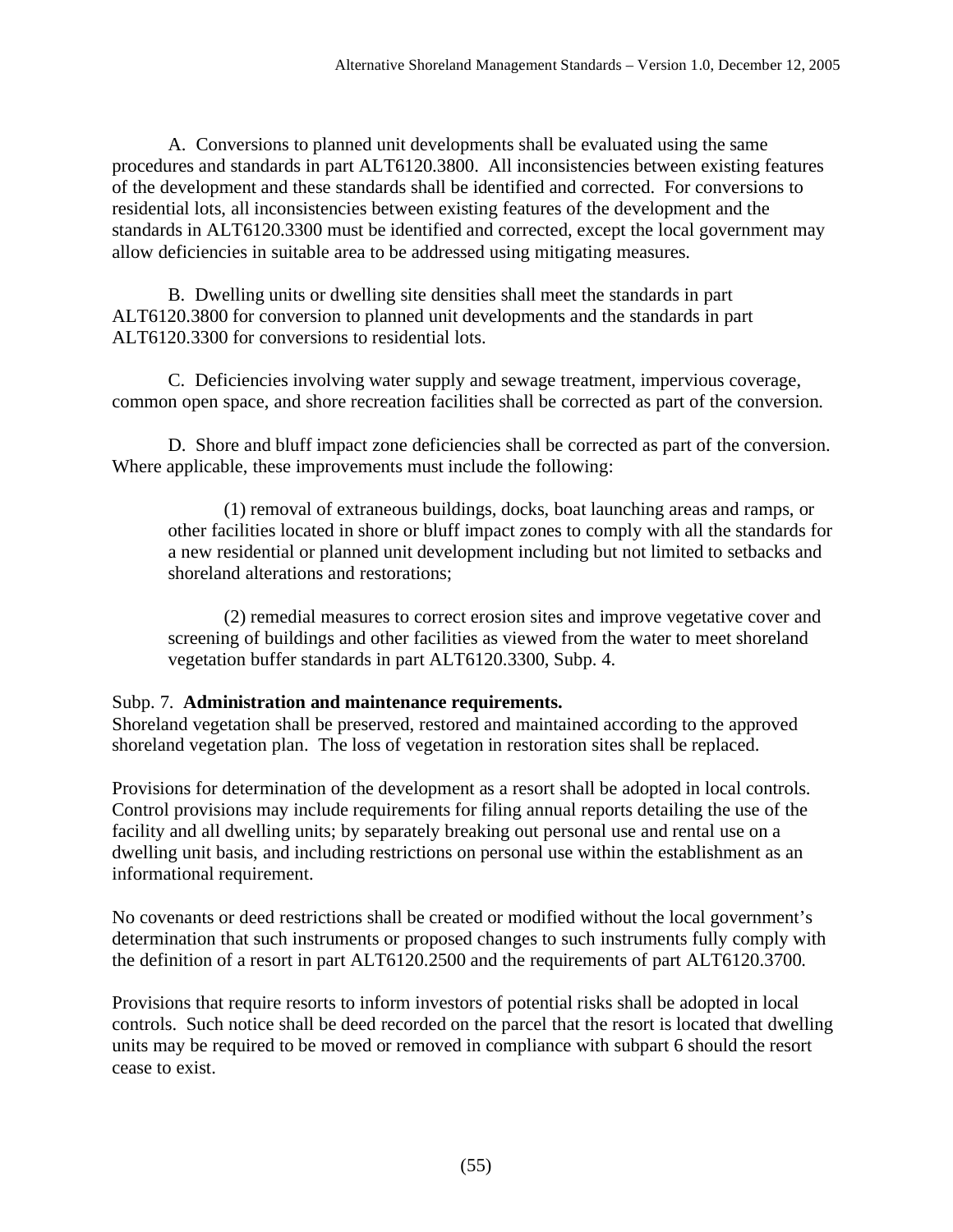A. Conversions to planned unit developments shall be evaluated using the same procedures and standards in part ALT6120.3800. All inconsistencies between existing features of the development and these standards shall be identified and corrected. For conversions to residential lots, all inconsistencies between existing features of the development and the standards in ALT6120.3300 must be identified and corrected, except the local government may allow deficiencies in suitable area to be addressed using mitigating measures.

B. Dwelling units or dwelling site densities shall meet the standards in part ALT6120.3800 for conversion to planned unit developments and the standards in part ALT6120.3300 for conversions to residential lots.

C. Deficiencies involving water supply and sewage treatment, impervious coverage, common open space, and shore recreation facilities shall be corrected as part of the conversion.

D. Shore and bluff impact zone deficiencies shall be corrected as part of the conversion. Where applicable, these improvements must include the following:

(1) removal of extraneous buildings, docks, boat launching areas and ramps, or other facilities located in shore or bluff impact zones to comply with all the standards for a new residential or planned unit development including but not limited to setbacks and shoreland alterations and restorations;

(2) remedial measures to correct erosion sites and improve vegetative cover and screening of buildings and other facilities as viewed from the water to meet shoreland vegetation buffer standards in part ALT6120.3300, Subp. 4.

## Subp. 7. **Administration and maintenance requirements.**

Shoreland vegetation shall be preserved, restored and maintained according to the approved shoreland vegetation plan. The loss of vegetation in restoration sites shall be replaced.

Provisions for determination of the development as a resort shall be adopted in local controls. Control provisions may include requirements for filing annual reports detailing the use of the facility and all dwelling units; by separately breaking out personal use and rental use on a dwelling unit basis, and including restrictions on personal use within the establishment as an informational requirement.

No covenants or deed restrictions shall be created or modified without the local government's determination that such instruments or proposed changes to such instruments fully comply with the definition of a resort in part ALT6120.2500 and the requirements of part ALT6120.3700.

Provisions that require resorts to inform investors of potential risks shall be adopted in local controls. Such notice shall be deed recorded on the parcel that the resort is located that dwelling units may be required to be moved or removed in compliance with subpart 6 should the resort cease to exist.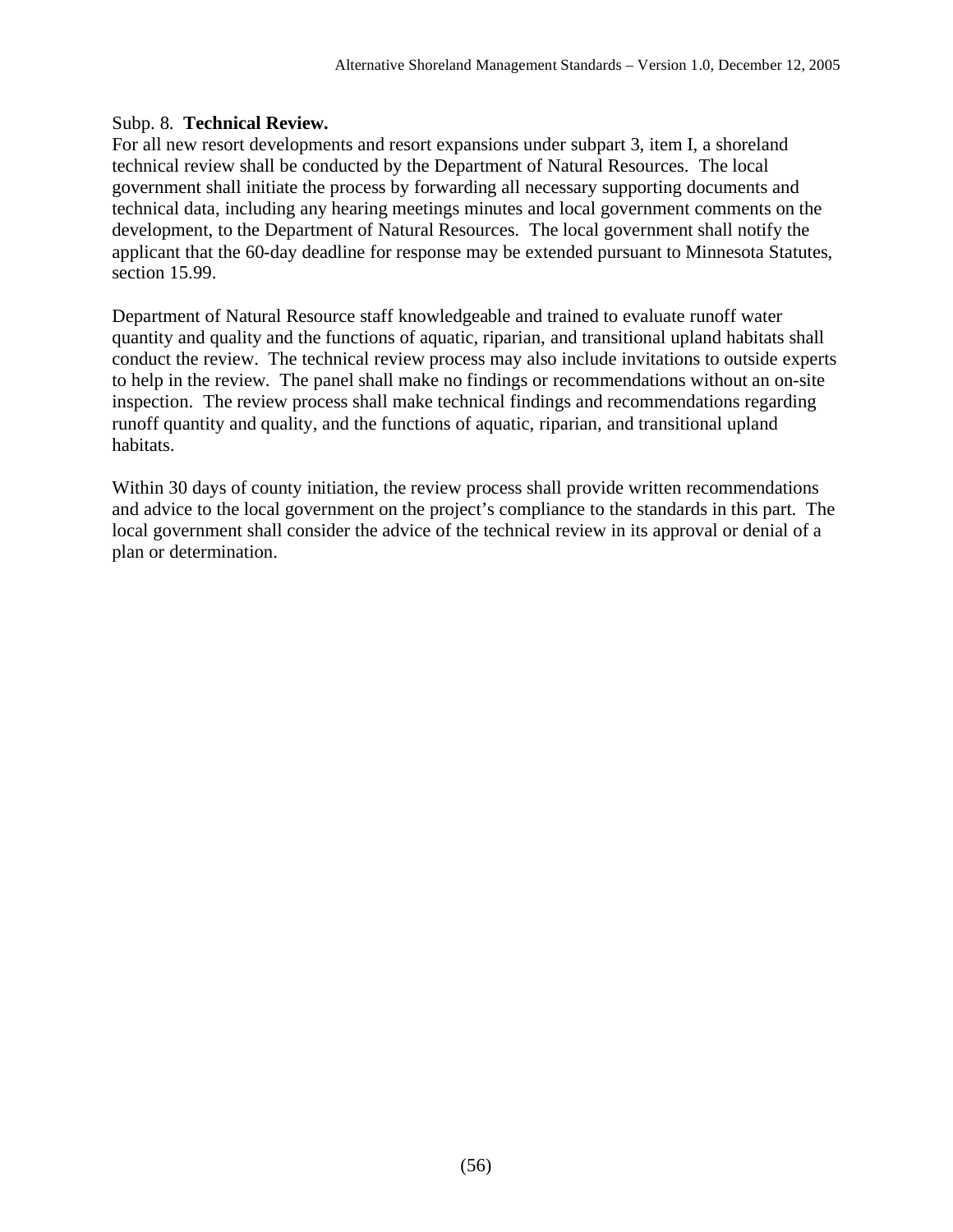## Subp. 8. **Technical Review.**

For all new resort developments and resort expansions under subpart 3, item I, a shoreland technical review shall be conducted by the Department of Natural Resources. The local government shall initiate the process by forwarding all necessary supporting documents and technical data, including any hearing meetings minutes and local government comments on the development, to the Department of Natural Resources. The local government shall notify the applicant that the 60-day deadline for response may be extended pursuant to Minnesota Statutes, section 15.99.

Department of Natural Resource staff knowledgeable and trained to evaluate runoff water quantity and quality and the functions of aquatic, riparian, and transitional upland habitats shall conduct the review. The technical review process may also include invitations to outside experts to help in the review. The panel shall make no findings or recommendations without an on-site inspection. The review process shall make technical findings and recommendations regarding runoff quantity and quality, and the functions of aquatic, riparian, and transitional upland habitats.

Within 30 days of county initiation, the review process shall provide written recommendations and advice to the local government on the project's compliance to the standards in this part. The local government shall consider the advice of the technical review in its approval or denial of a plan or determination.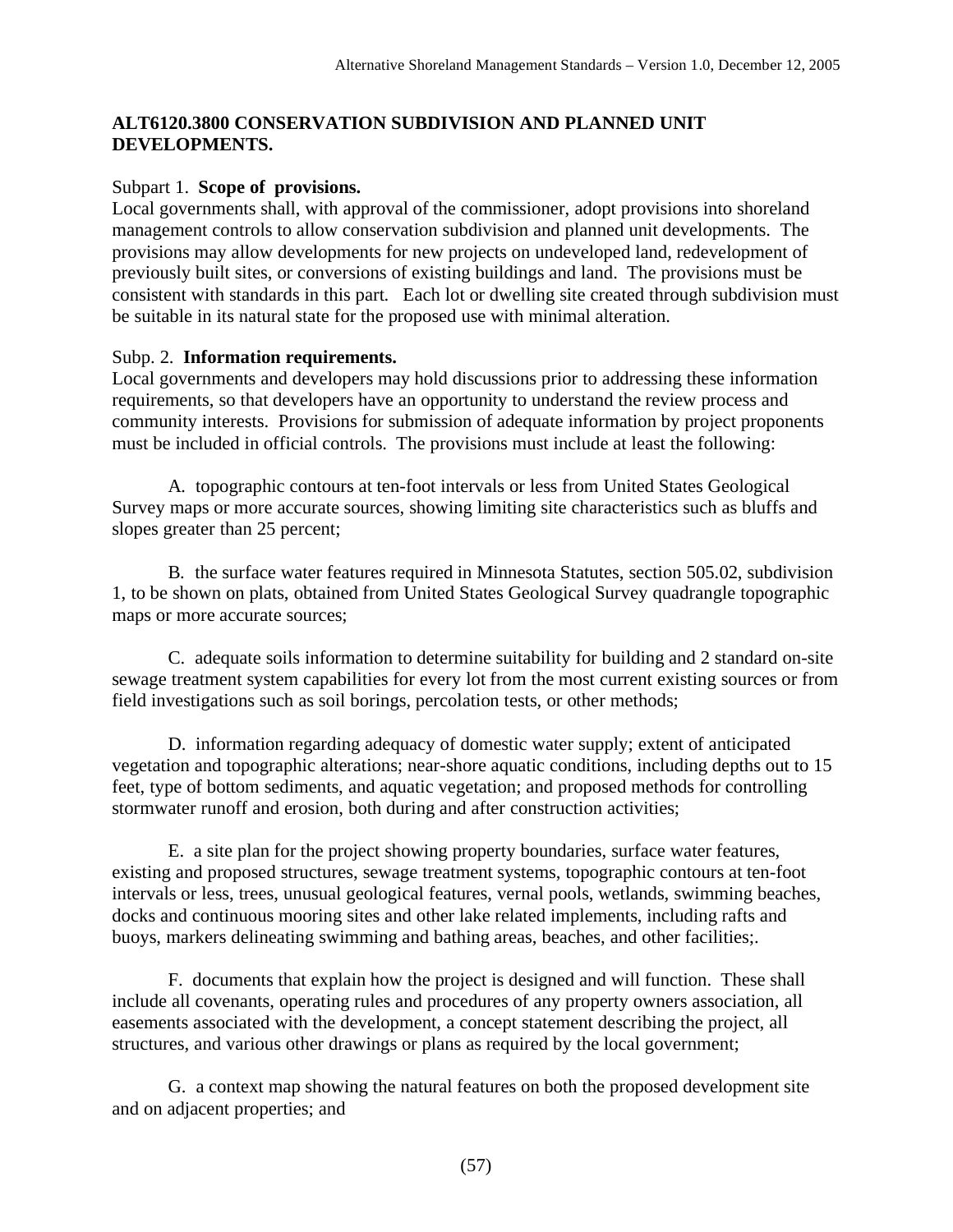## **ALT6120.3800 CONSERVATION SUBDIVISION AND PLANNED UNIT DEVELOPMENTS.**

#### Subpart 1. **Scope of provisions.**

Local governments shall, with approval of the commissioner, adopt provisions into shoreland management controls to allow conservation subdivision and planned unit developments. The provisions may allow developments for new projects on undeveloped land, redevelopment of previously built sites, or conversions of existing buildings and land. The provisions must be consistent with standards in this part. Each lot or dwelling site created through subdivision must be suitable in its natural state for the proposed use with minimal alteration.

#### Subp. 2. **Information requirements.**

Local governments and developers may hold discussions prior to addressing these information requirements, so that developers have an opportunity to understand the review process and community interests. Provisions for submission of adequate information by project proponents must be included in official controls. The provisions must include at least the following:

 A*.* topographic contours at ten-foot intervals or less from United States Geological Survey maps or more accurate sources, showing limiting site characteristics such as bluffs and slopes greater than 25 percent;

 B*.* the surface water features required in Minnesota Statutes, section 505.02, subdivision 1, to be shown on plats, obtained from United States Geological Survey quadrangle topographic maps or more accurate sources;

 C. adequate soils information to determine suitability for building and 2 standard on-site sewage treatment system capabilities for every lot from the most current existing sources or from field investigations such as soil borings, percolation tests, or other methods;

D. information regarding adequacy of domestic water supply; extent of anticipated vegetation and topographic alterations; near-shore aquatic conditions, including depths out to 15 feet, type of bottom sediments, and aquatic vegetation; and proposed methods for controlling stormwater runoff and erosion, both during and after construction activities;

E. a site plan for the project showing property boundaries, surface water features, existing and proposed structures, sewage treatment systems, topographic contours at ten-foot intervals or less, trees, unusual geological features, vernal pools, wetlands, swimming beaches, docks and continuous mooring sites and other lake related implements, including rafts and buoys, markers delineating swimming and bathing areas, beaches, and other facilities;.

F. documents that explain how the project is designed and will function. These shall include all covenants, operating rules and procedures of any property owners association, all easements associated with the development, a concept statement describing the project, all structures, and various other drawings or plans as required by the local government;

G. a context map showing the natural features on both the proposed development site and on adjacent properties; and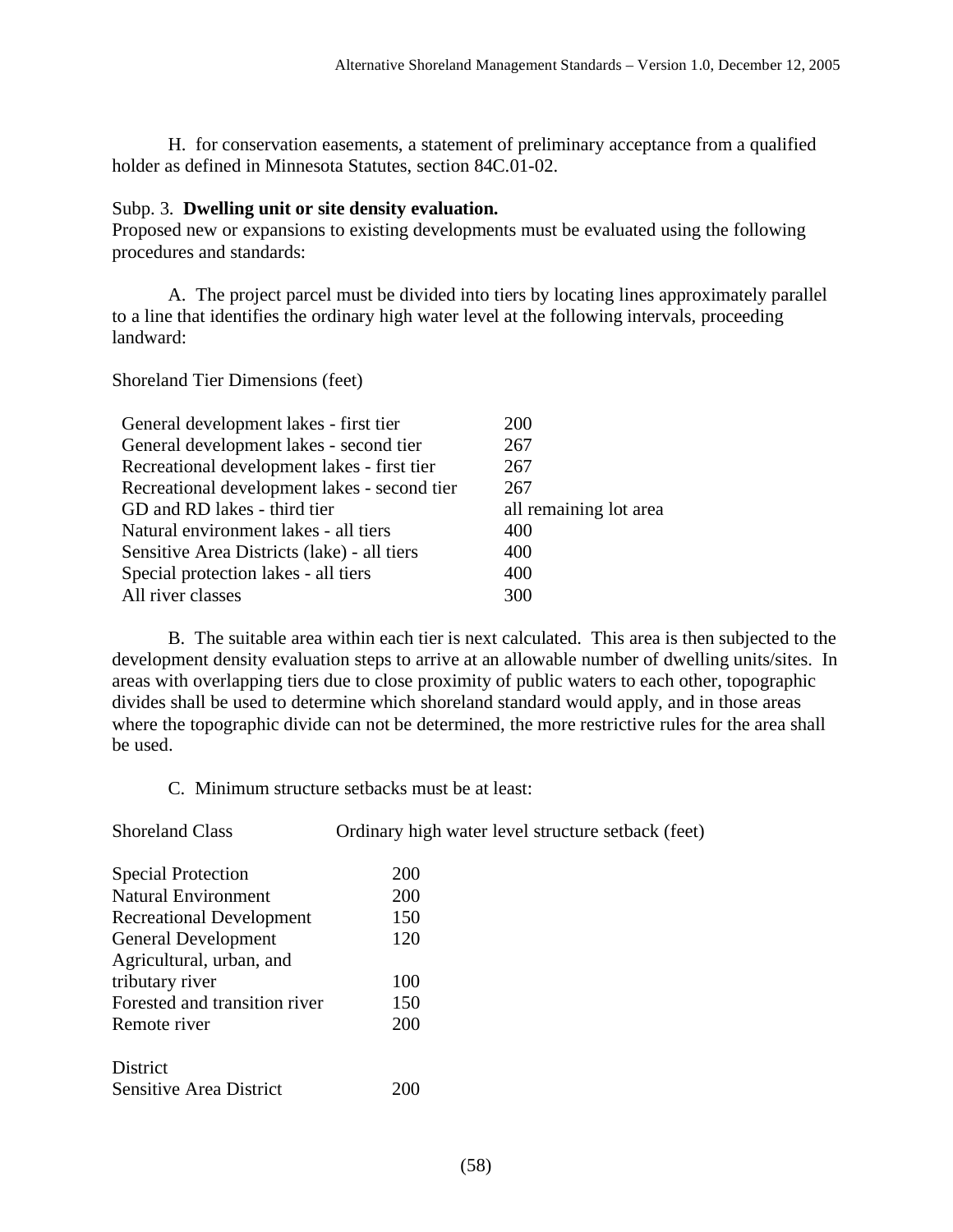H. for conservation easements, a statement of preliminary acceptance from a qualified holder as defined in Minnesota Statutes, section 84C.01-02.

#### Subp. 3. **Dwelling unit or site density evaluation.**

Proposed new or expansions to existing developments must be evaluated using the following procedures and standards:

A. The project parcel must be divided into tiers by locating lines approximately parallel to a line that identifies the ordinary high water level at the following intervals, proceeding landward:

Shoreland Tier Dimensions (feet)

| General development lakes - first tier       | 200                    |
|----------------------------------------------|------------------------|
| General development lakes - second tier      | 267                    |
| Recreational development lakes - first tier  | 267                    |
| Recreational development lakes - second tier | 267                    |
| GD and RD lakes - third tier                 | all remaining lot area |
| Natural environment lakes - all tiers        | 400                    |
| Sensitive Area Districts (lake) - all tiers  | 400                    |
| Special protection lakes - all tiers         | 400                    |
| All river classes                            | 300                    |

B. The suitable area within each tier is next calculated. This area is then subjected to the development density evaluation steps to arrive at an allowable number of dwelling units/sites. In areas with overlapping tiers due to close proximity of public waters to each other, topographic divides shall be used to determine which shoreland standard would apply, and in those areas where the topographic divide can not be determined, the more restrictive rules for the area shall be used.

C. Minimum structure setbacks must be at least:

| <b>Shoreland Class</b>          | Ordinary high water level structure setback (feet) |
|---------------------------------|----------------------------------------------------|
| <b>Special Protection</b>       | <b>200</b>                                         |
| <b>Natural Environment</b>      | <b>200</b>                                         |
| <b>Recreational Development</b> | 150                                                |
| <b>General Development</b>      | 120                                                |
| Agricultural, urban, and        |                                                    |
| tributary river                 | 100                                                |
| Forested and transition river   | 150                                                |
| Remote river                    | <b>200</b>                                         |
|                                 |                                                    |
| <b>District</b>                 |                                                    |
| <b>Sensitive Area District</b>  | 200                                                |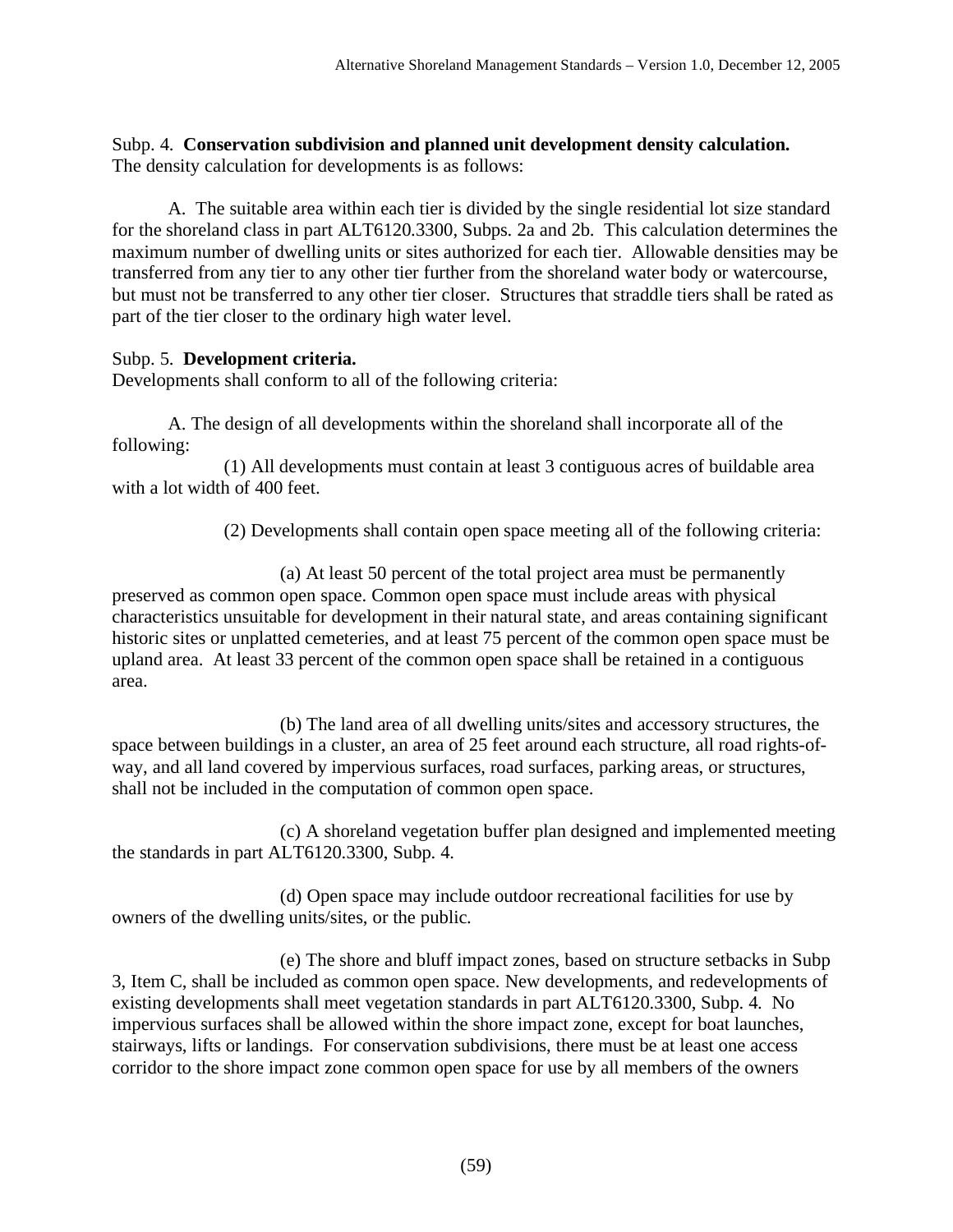Subp. 4. **Conservation subdivision and planned unit development density calculation.**  The density calculation for developments is as follows:

 A. The suitable area within each tier is divided by the single residential lot size standard for the shoreland class in part ALT6120.3300, Subps. 2a and 2b. This calculation determines the maximum number of dwelling units or sites authorized for each tier. Allowable densities may be transferred from any tier to any other tier further from the shoreland water body or watercourse, but must not be transferred to any other tier closer. Structures that straddle tiers shall be rated as part of the tier closer to the ordinary high water level.

## Subp. 5. **Development criteria.**

Developments shall conform to all of the following criteria:

 A. The design of all developments within the shoreland shall incorporate all of the following:

 (1) All developments must contain at least 3 contiguous acres of buildable area with a lot width of 400 feet.

(2) Developments shall contain open space meeting all of the following criteria:

 (a) At least 50 percent of the total project area must be permanently preserved as common open space. Common open space must include areas with physical characteristics unsuitable for development in their natural state, and areas containing significant historic sites or unplatted cemeteries, and at least 75 percent of the common open space must be upland area. At least 33 percent of the common open space shall be retained in a contiguous area.

 (b) The land area of all dwelling units/sites and accessory structures, the space between buildings in a cluster, an area of 25 feet around each structure, all road rights-ofway, and all land covered by impervious surfaces, road surfaces, parking areas, or structures, shall not be included in the computation of common open space.

 (c) A shoreland vegetation buffer plan designed and implemented meeting the standards in part ALT6120.3300, Subp. 4.

 (d) Open space may include outdoor recreational facilities for use by owners of the dwelling units/sites, or the public.

 (e) The shore and bluff impact zones, based on structure setbacks in Subp 3, Item C, shall be included as common open space. New developments, and redevelopments of existing developments shall meet vegetation standards in part ALT6120.3300, Subp. 4. No impervious surfaces shall be allowed within the shore impact zone, except for boat launches, stairways, lifts or landings. For conservation subdivisions, there must be at least one access corridor to the shore impact zone common open space for use by all members of the owners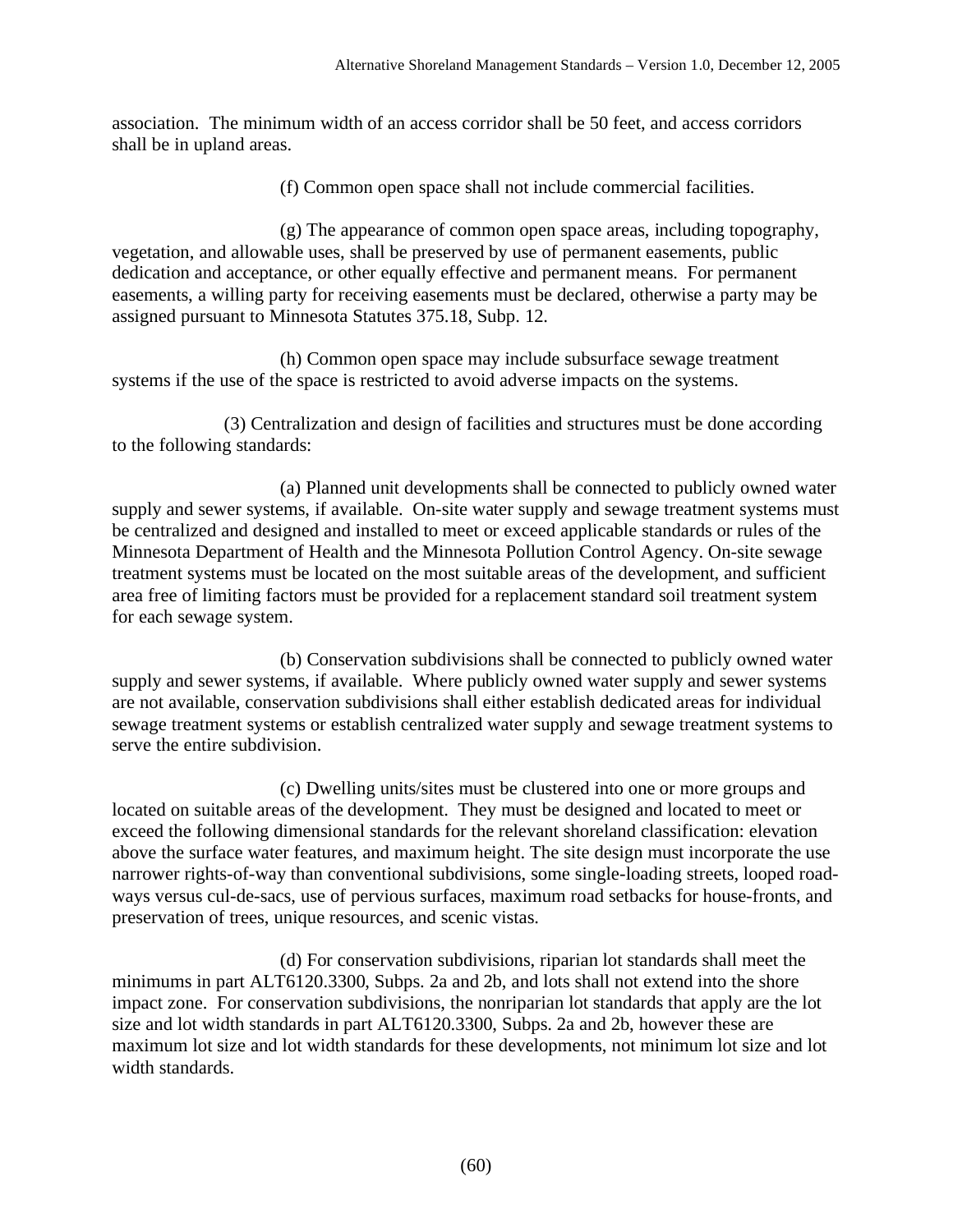association. The minimum width of an access corridor shall be 50 feet, and access corridors shall be in upland areas.

(f) Common open space shall not include commercial facilities.

 (g) The appearance of common open space areas, including topography, vegetation, and allowable uses, shall be preserved by use of permanent easements, public dedication and acceptance, or other equally effective and permanent means. For permanent easements, a willing party for receiving easements must be declared, otherwise a party may be assigned pursuant to Minnesota Statutes 375.18, Subp. 12.

 (h) Common open space may include subsurface sewage treatment systems if the use of the space is restricted to avoid adverse impacts on the systems.

 (3) Centralization and design of facilities and structures must be done according to the following standards:

 (a) Planned unit developments shall be connected to publicly owned water supply and sewer systems, if available. On-site water supply and sewage treatment systems must be centralized and designed and installed to meet or exceed applicable standards or rules of the Minnesota Department of Health and the Minnesota Pollution Control Agency. On-site sewage treatment systems must be located on the most suitable areas of the development, and sufficient area free of limiting factors must be provided for a replacement standard soil treatment system for each sewage system.

 (b) Conservation subdivisions shall be connected to publicly owned water supply and sewer systems, if available. Where publicly owned water supply and sewer systems are not available, conservation subdivisions shall either establish dedicated areas for individual sewage treatment systems or establish centralized water supply and sewage treatment systems to serve the entire subdivision.

 (c) Dwelling units/sites must be clustered into one or more groups and located on suitable areas of the development. They must be designed and located to meet or exceed the following dimensional standards for the relevant shoreland classification: elevation above the surface water features, and maximum height. The site design must incorporate the use narrower rights-of-way than conventional subdivisions, some single-loading streets, looped roadways versus cul-de-sacs, use of pervious surfaces, maximum road setbacks for house-fronts, and preservation of trees, unique resources, and scenic vistas.

 (d) For conservation subdivisions, riparian lot standards shall meet the minimums in part ALT6120.3300, Subps. 2a and 2b, and lots shall not extend into the shore impact zone. For conservation subdivisions, the nonriparian lot standards that apply are the lot size and lot width standards in part ALT6120.3300, Subps. 2a and 2b, however these are maximum lot size and lot width standards for these developments, not minimum lot size and lot width standards.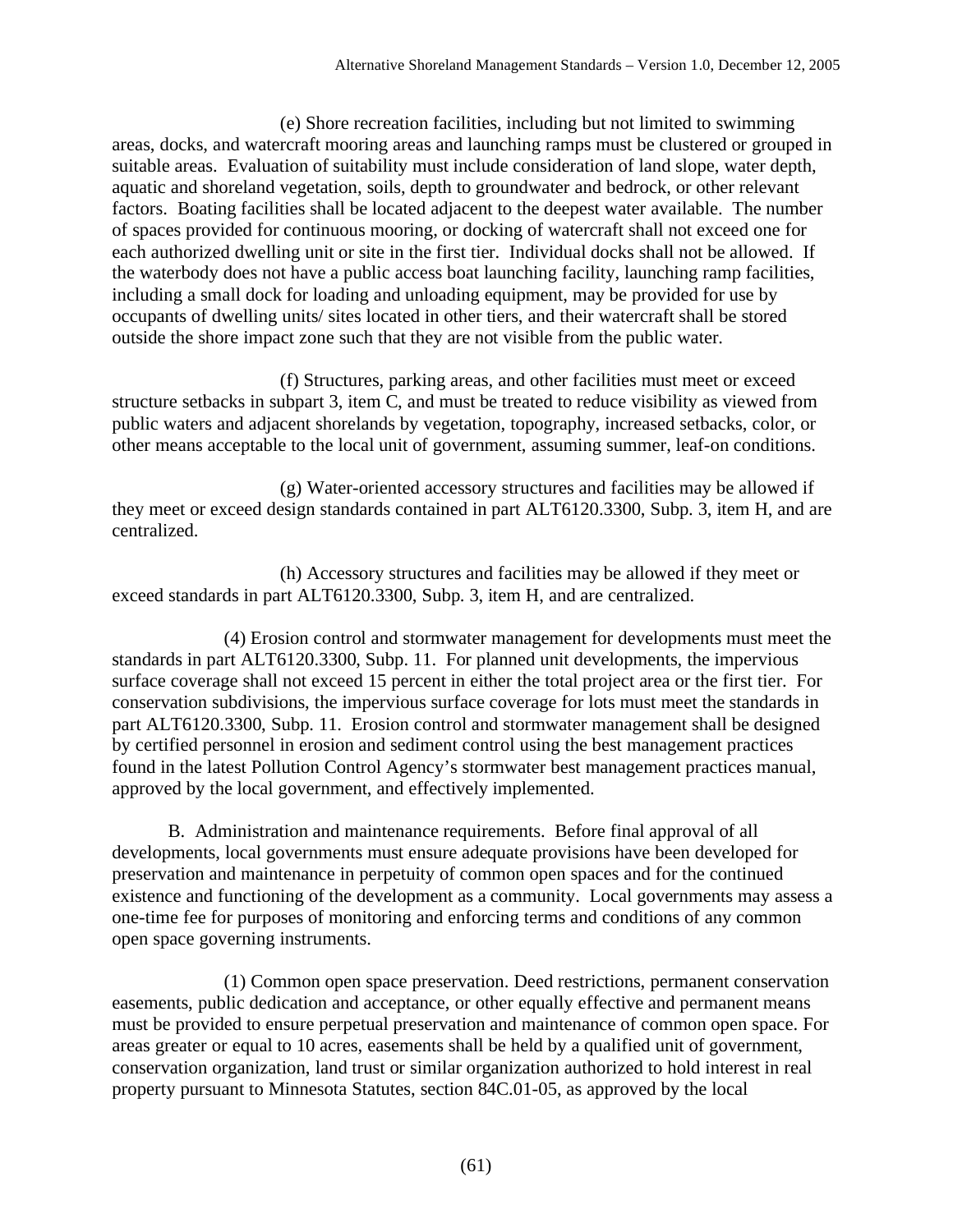(e) Shore recreation facilities, including but not limited to swimming areas, docks, and watercraft mooring areas and launching ramps must be clustered or grouped in suitable areas. Evaluation of suitability must include consideration of land slope, water depth, aquatic and shoreland vegetation, soils, depth to groundwater and bedrock, or other relevant factors. Boating facilities shall be located adjacent to the deepest water available. The number of spaces provided for continuous mooring, or docking of watercraft shall not exceed one for each authorized dwelling unit or site in the first tier. Individual docks shall not be allowed. If the waterbody does not have a public access boat launching facility, launching ramp facilities, including a small dock for loading and unloading equipment, may be provided for use by occupants of dwelling units/ sites located in other tiers, and their watercraft shall be stored outside the shore impact zone such that they are not visible from the public water.

 (f) Structures, parking areas, and other facilities must meet or exceed structure setbacks in subpart 3, item C, and must be treated to reduce visibility as viewed from public waters and adjacent shorelands by vegetation, topography, increased setbacks, color, or other means acceptable to the local unit of government, assuming summer, leaf-on conditions.

 (g) Water-oriented accessory structures and facilities may be allowed if they meet or exceed design standards contained in part ALT6120.3300, Subp. 3, item H, and are centralized.

 (h) Accessory structures and facilities may be allowed if they meet or exceed standards in part ALT6120.3300, Subp. 3, item H, and are centralized.

 (4) Erosion control and stormwater management for developments must meet the standards in part ALT6120.3300, Subp. 11. For planned unit developments, the impervious surface coverage shall not exceed 15 percent in either the total project area or the first tier. For conservation subdivisions, the impervious surface coverage for lots must meet the standards in part ALT6120.3300, Subp. 11. Erosion control and stormwater management shall be designed by certified personnel in erosion and sediment control using the best management practices found in the latest Pollution Control Agency's stormwater best management practices manual, approved by the local government, and effectively implemented.

 B. Administration and maintenance requirements. Before final approval of all developments, local governments must ensure adequate provisions have been developed for preservation and maintenance in perpetuity of common open spaces and for the continued existence and functioning of the development as a community. Local governments may assess a one-time fee for purposes of monitoring and enforcing terms and conditions of any common open space governing instruments.

 (1) Common open space preservation. Deed restrictions, permanent conservation easements, public dedication and acceptance, or other equally effective and permanent means must be provided to ensure perpetual preservation and maintenance of common open space. For areas greater or equal to 10 acres, easements shall be held by a qualified unit of government, conservation organization, land trust or similar organization authorized to hold interest in real property pursuant to Minnesota Statutes, section 84C.01-05, as approved by the local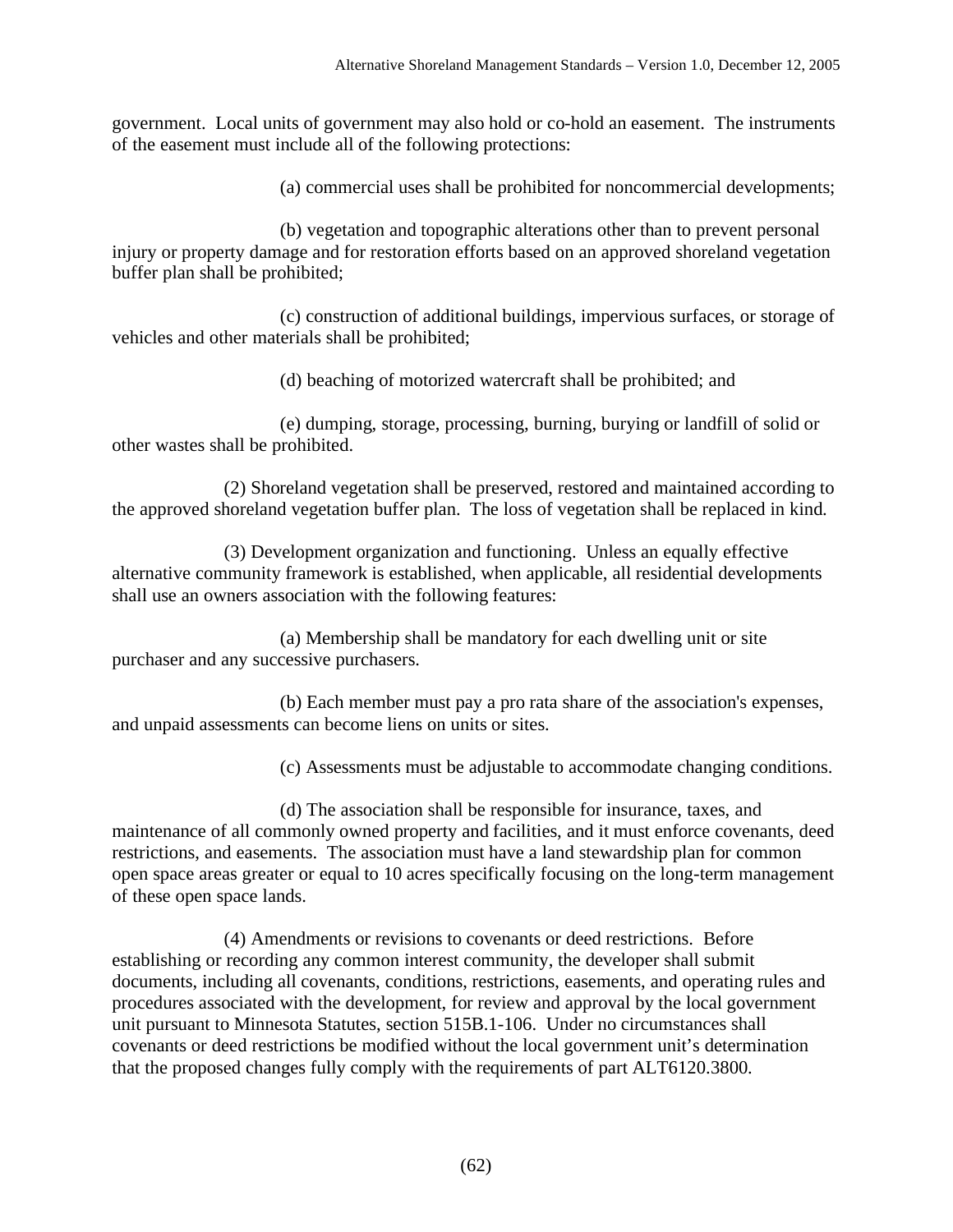government. Local units of government may also hold or co-hold an easement. The instruments of the easement must include all of the following protections:

(a) commercial uses shall be prohibited for noncommercial developments;

 (b) vegetation and topographic alterations other than to prevent personal injury or property damage and for restoration efforts based on an approved shoreland vegetation buffer plan shall be prohibited;

 (c) construction of additional buildings, impervious surfaces, or storage of vehicles and other materials shall be prohibited;

(d) beaching of motorized watercraft shall be prohibited; and

 (e) dumping, storage, processing, burning, burying or landfill of solid or other wastes shall be prohibited.

 (2) Shoreland vegetation shall be preserved, restored and maintained according to the approved shoreland vegetation buffer plan. The loss of vegetation shall be replaced in kind.

 (3) Development organization and functioning. Unless an equally effective alternative community framework is established, when applicable, all residential developments shall use an owners association with the following features:

 (a) Membership shall be mandatory for each dwelling unit or site purchaser and any successive purchasers.

 (b) Each member must pay a pro rata share of the association's expenses, and unpaid assessments can become liens on units or sites.

(c) Assessments must be adjustable to accommodate changing conditions.

 (d) The association shall be responsible for insurance, taxes, and maintenance of all commonly owned property and facilities, and it must enforce covenants, deed restrictions, and easements. The association must have a land stewardship plan for common open space areas greater or equal to 10 acres specifically focusing on the long-term management of these open space lands.

 (4) Amendments or revisions to covenants or deed restrictions. Before establishing or recording any common interest community, the developer shall submit documents, including all covenants, conditions, restrictions, easements, and operating rules and procedures associated with the development, for review and approval by the local government unit pursuant to Minnesota Statutes, section 515B.1-106. Under no circumstances shall covenants or deed restrictions be modified without the local government unit's determination that the proposed changes fully comply with the requirements of part ALT6120.3800.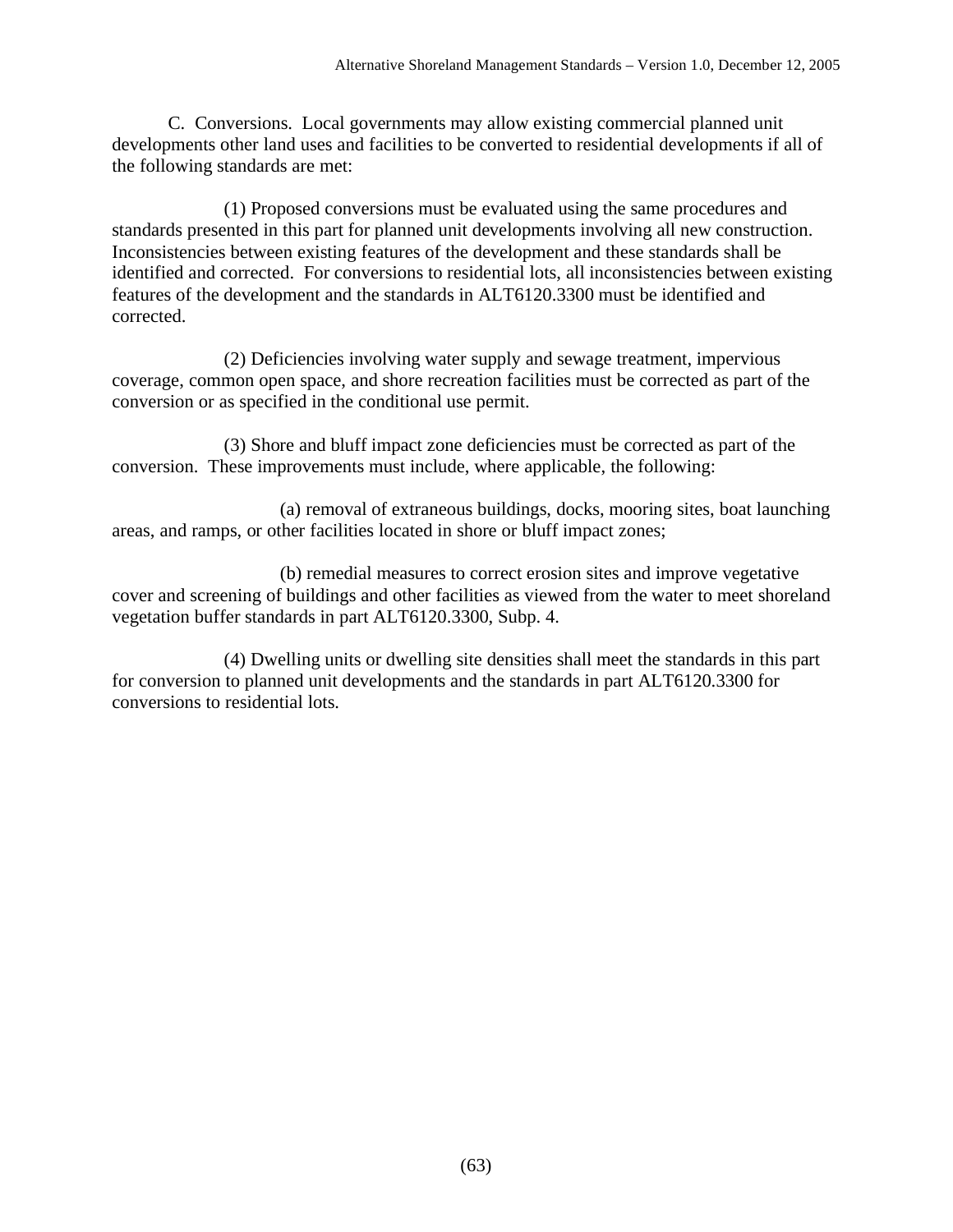C. Conversions. Local governments may allow existing commercial planned unit developments other land uses and facilities to be converted to residential developments if all of the following standards are met:

 (1) Proposed conversions must be evaluated using the same procedures and standards presented in this part for planned unit developments involving all new construction. Inconsistencies between existing features of the development and these standards shall be identified and corrected. For conversions to residential lots, all inconsistencies between existing features of the development and the standards in ALT6120.3300 must be identified and corrected.

 (2) Deficiencies involving water supply and sewage treatment, impervious coverage, common open space, and shore recreation facilities must be corrected as part of the conversion or as specified in the conditional use permit.

 (3) Shore and bluff impact zone deficiencies must be corrected as part of the conversion. These improvements must include, where applicable, the following:

 (a) removal of extraneous buildings, docks, mooring sites, boat launching areas, and ramps, or other facilities located in shore or bluff impact zones;

 (b) remedial measures to correct erosion sites and improve vegetative cover and screening of buildings and other facilities as viewed from the water to meet shoreland vegetation buffer standards in part ALT6120.3300, Subp. 4.

 (4) Dwelling units or dwelling site densities shall meet the standards in this part for conversion to planned unit developments and the standards in part ALT6120.3300 for conversions to residential lots.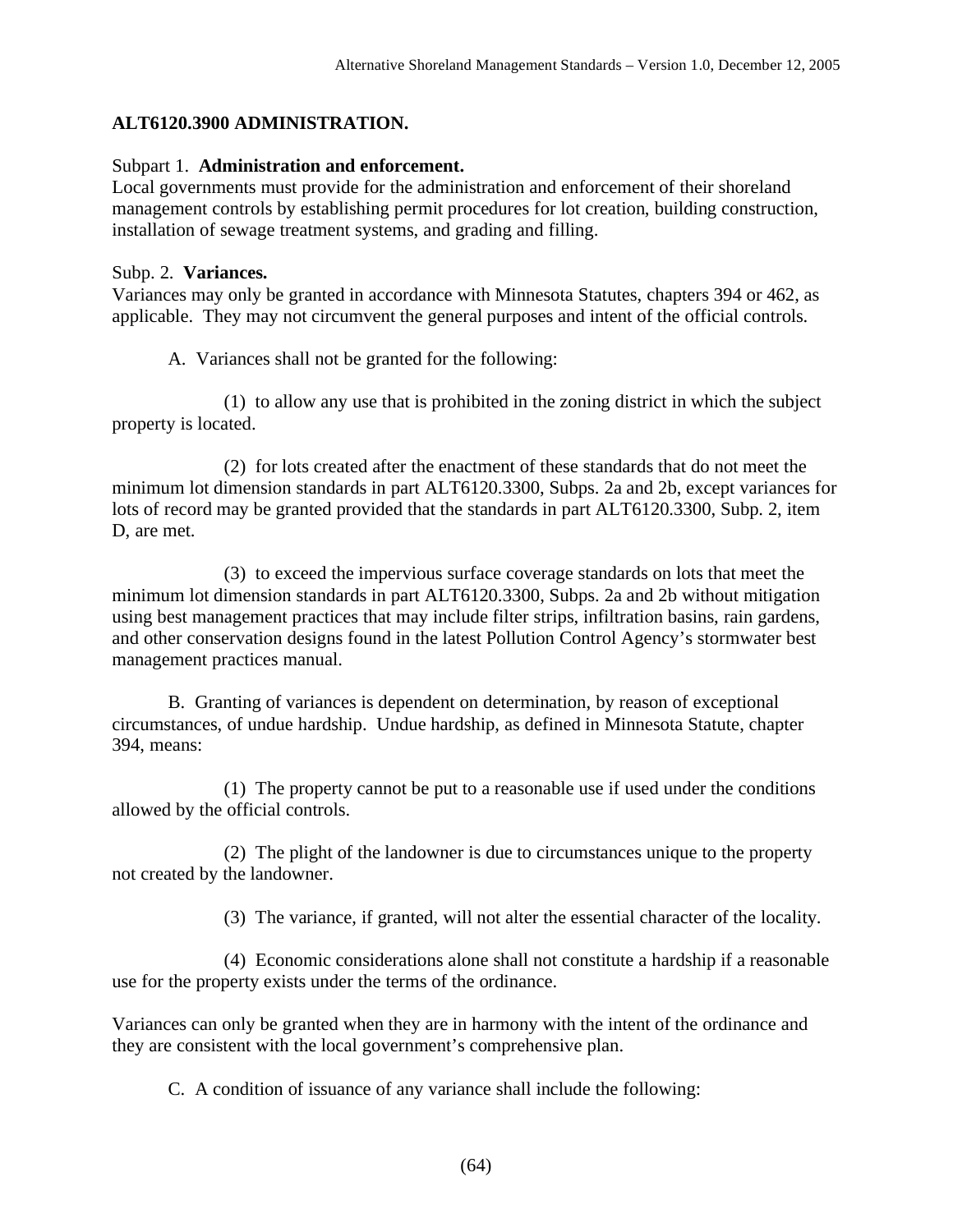## **ALT6120.3900 ADMINISTRATION.**

#### Subpart 1. **Administration and enforcement.**

Local governments must provide for the administration and enforcement of their shoreland management controls by establishing permit procedures for lot creation, building construction, installation of sewage treatment systems, and grading and filling.

#### Subp. 2. **Variances.**

Variances may only be granted in accordance with Minnesota Statutes, chapters 394 or 462, as applicable. They may not circumvent the general purposes and intent of the official controls.

A. Variances shall not be granted for the following:

 (1) to allow any use that is prohibited in the zoning district in which the subject property is located.

 (2) for lots created after the enactment of these standards that do not meet the minimum lot dimension standards in part ALT6120.3300, Subps. 2a and 2b, except variances for lots of record may be granted provided that the standards in part ALT6120.3300, Subp. 2, item D, are met.

 (3) to exceed the impervious surface coverage standards on lots that meet the minimum lot dimension standards in part ALT6120.3300, Subps. 2a and 2b without mitigation using best management practices that may include filter strips, infiltration basins, rain gardens, and other conservation designs found in the latest Pollution Control Agency's stormwater best management practices manual.

 B. Granting of variances is dependent on determination, by reason of exceptional circumstances, of undue hardship. Undue hardship, as defined in Minnesota Statute, chapter 394, means:

 (1) The property cannot be put to a reasonable use if used under the conditions allowed by the official controls.

 (2) The plight of the landowner is due to circumstances unique to the property not created by the landowner.

(3) The variance, if granted, will not alter the essential character of the locality.

 (4) Economic considerations alone shall not constitute a hardship if a reasonable use for the property exists under the terms of the ordinance.

Variances can only be granted when they are in harmony with the intent of the ordinance and they are consistent with the local government's comprehensive plan.

C. A condition of issuance of any variance shall include the following: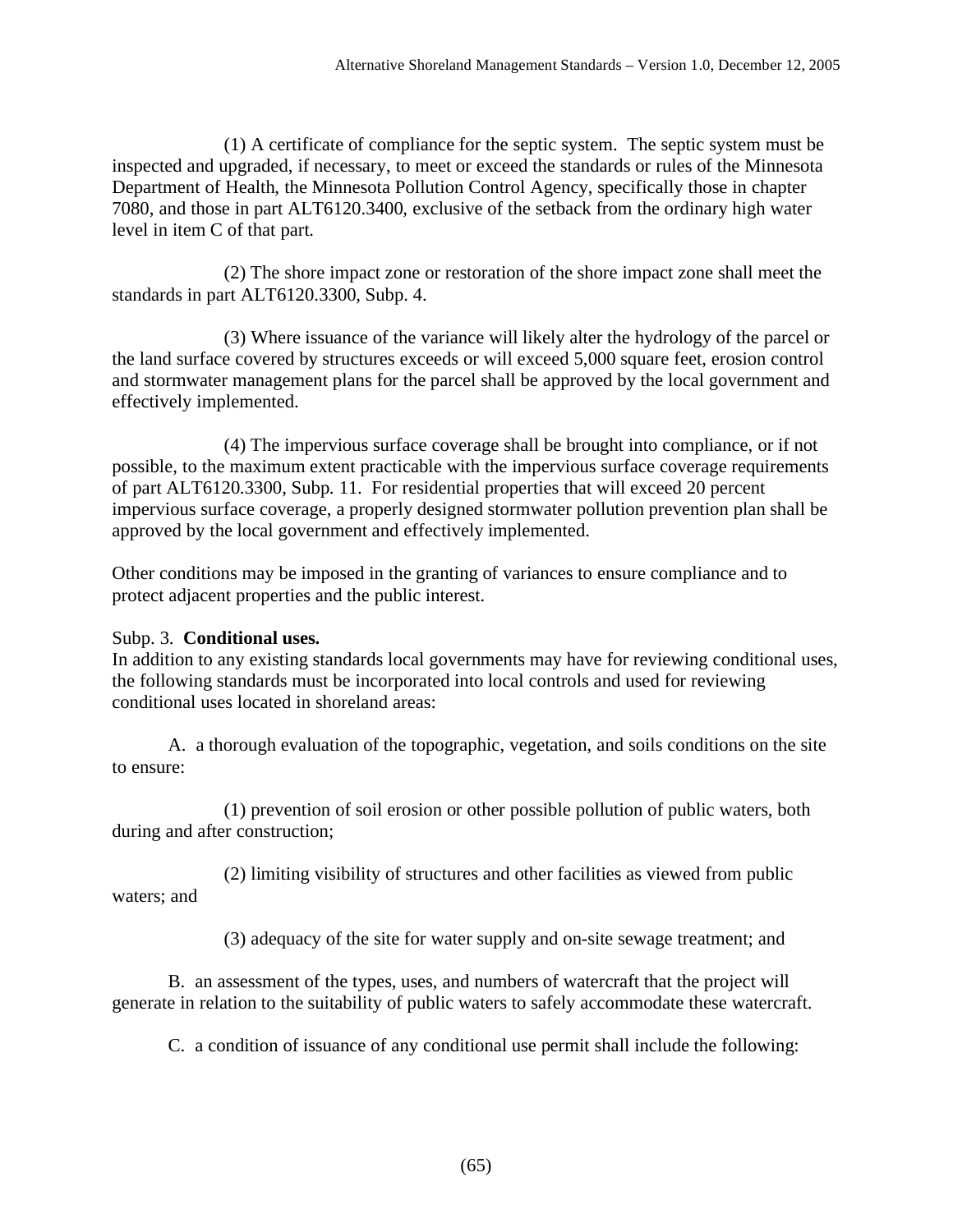(1) A certificate of compliance for the septic system. The septic system must be inspected and upgraded, if necessary, to meet or exceed the standards or rules of the Minnesota Department of Health, the Minnesota Pollution Control Agency, specifically those in chapter 7080, and those in part ALT6120.3400, exclusive of the setback from the ordinary high water level in item C of that part.

 (2) The shore impact zone or restoration of the shore impact zone shall meet the standards in part ALT6120.3300, Subp. 4.

 (3) Where issuance of the variance will likely alter the hydrology of the parcel or the land surface covered by structures exceeds or will exceed 5,000 square feet, erosion control and stormwater management plans for the parcel shall be approved by the local government and effectively implemented.

 (4) The impervious surface coverage shall be brought into compliance, or if not possible, to the maximum extent practicable with the impervious surface coverage requirements of part ALT6120.3300, Subp. 11. For residential properties that will exceed 20 percent impervious surface coverage, a properly designed stormwater pollution prevention plan shall be approved by the local government and effectively implemented.

Other conditions may be imposed in the granting of variances to ensure compliance and to protect adjacent properties and the public interest.

## Subp. 3. **Conditional uses.**

In addition to any existing standards local governments may have for reviewing conditional uses, the following standards must be incorporated into local controls and used for reviewing conditional uses located in shoreland areas:

 A. a thorough evaluation of the topographic, vegetation, and soils conditions on the site to ensure:

 (1) prevention of soil erosion or other possible pollution of public waters, both during and after construction;

 (2) limiting visibility of structures and other facilities as viewed from public waters; and

(3) adequacy of the site for water supply and on-site sewage treatment; and

 B. an assessment of the types, uses, and numbers of watercraft that the project will generate in relation to the suitability of public waters to safely accommodate these watercraft.

C. a condition of issuance of any conditional use permit shall include the following: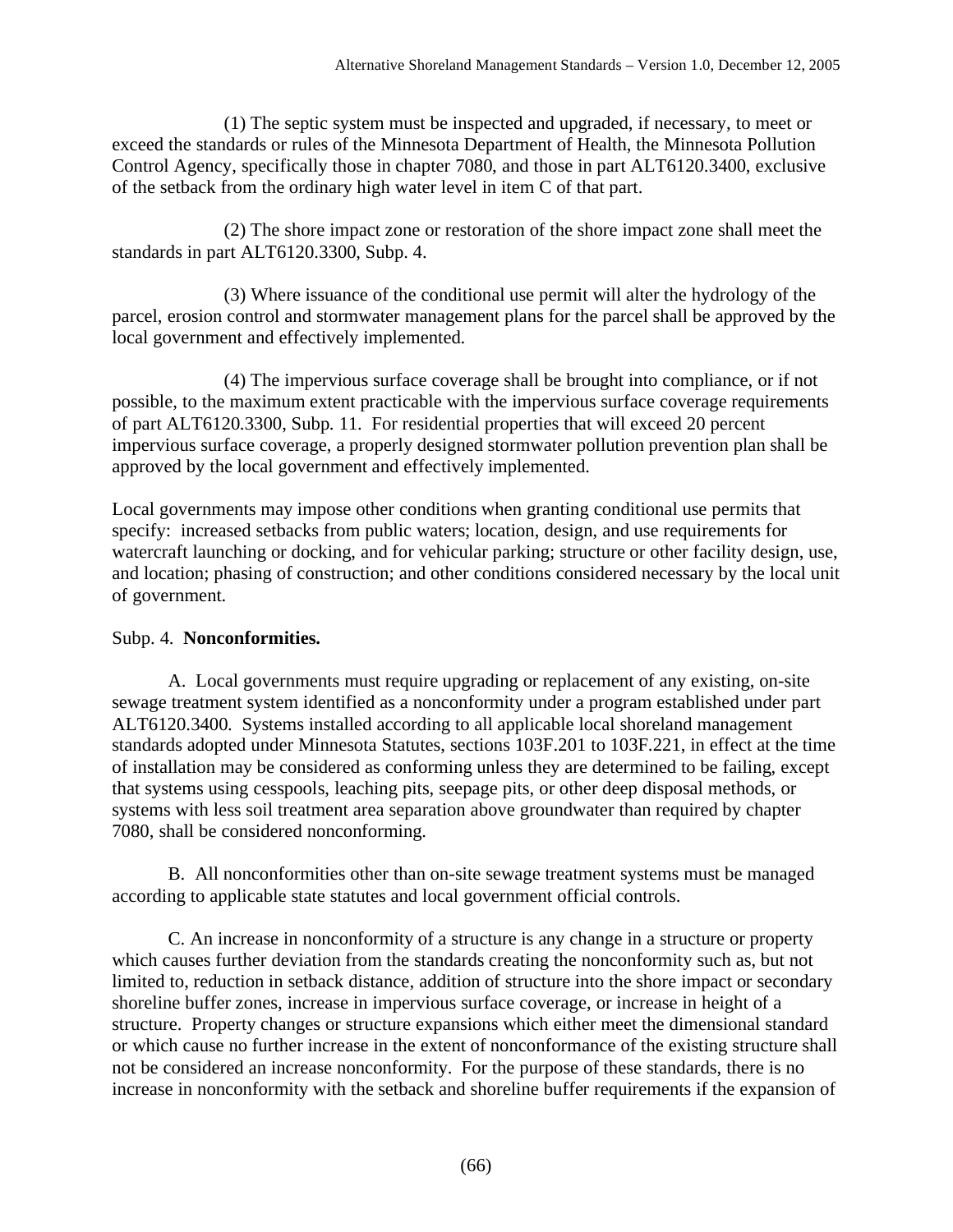(1) The septic system must be inspected and upgraded, if necessary, to meet or exceed the standards or rules of the Minnesota Department of Health, the Minnesota Pollution Control Agency, specifically those in chapter 7080, and those in part ALT6120.3400, exclusive of the setback from the ordinary high water level in item C of that part.

 (2) The shore impact zone or restoration of the shore impact zone shall meet the standards in part ALT6120.3300, Subp. 4.

 (3) Where issuance of the conditional use permit will alter the hydrology of the parcel, erosion control and stormwater management plans for the parcel shall be approved by the local government and effectively implemented.

 (4) The impervious surface coverage shall be brought into compliance, or if not possible, to the maximum extent practicable with the impervious surface coverage requirements of part ALT6120.3300, Subp. 11. For residential properties that will exceed 20 percent impervious surface coverage, a properly designed stormwater pollution prevention plan shall be approved by the local government and effectively implemented.

Local governments may impose other conditions when granting conditional use permits that specify: increased setbacks from public waters; location, design, and use requirements for watercraft launching or docking, and for vehicular parking; structure or other facility design, use, and location; phasing of construction; and other conditions considered necessary by the local unit of government.

## Subp. 4. **Nonconformities.**

 A. Local governments must require upgrading or replacement of any existing, on-site sewage treatment system identified as a nonconformity under a program established under part ALT6120.3400. Systems installed according to all applicable local shoreland management standards adopted under Minnesota Statutes, sections 103F.201 to 103F.221, in effect at the time of installation may be considered as conforming unless they are determined to be failing, except that systems using cesspools, leaching pits, seepage pits, or other deep disposal methods, or systems with less soil treatment area separation above groundwater than required by chapter 7080, shall be considered nonconforming.

 B. All nonconformities other than on-site sewage treatment systems must be managed according to applicable state statutes and local government official controls.

 C. An increase in nonconformity of a structure is any change in a structure or property which causes further deviation from the standards creating the nonconformity such as, but not limited to, reduction in setback distance, addition of structure into the shore impact or secondary shoreline buffer zones, increase in impervious surface coverage, or increase in height of a structure. Property changes or structure expansions which either meet the dimensional standard or which cause no further increase in the extent of nonconformance of the existing structure shall not be considered an increase nonconformity. For the purpose of these standards, there is no increase in nonconformity with the setback and shoreline buffer requirements if the expansion of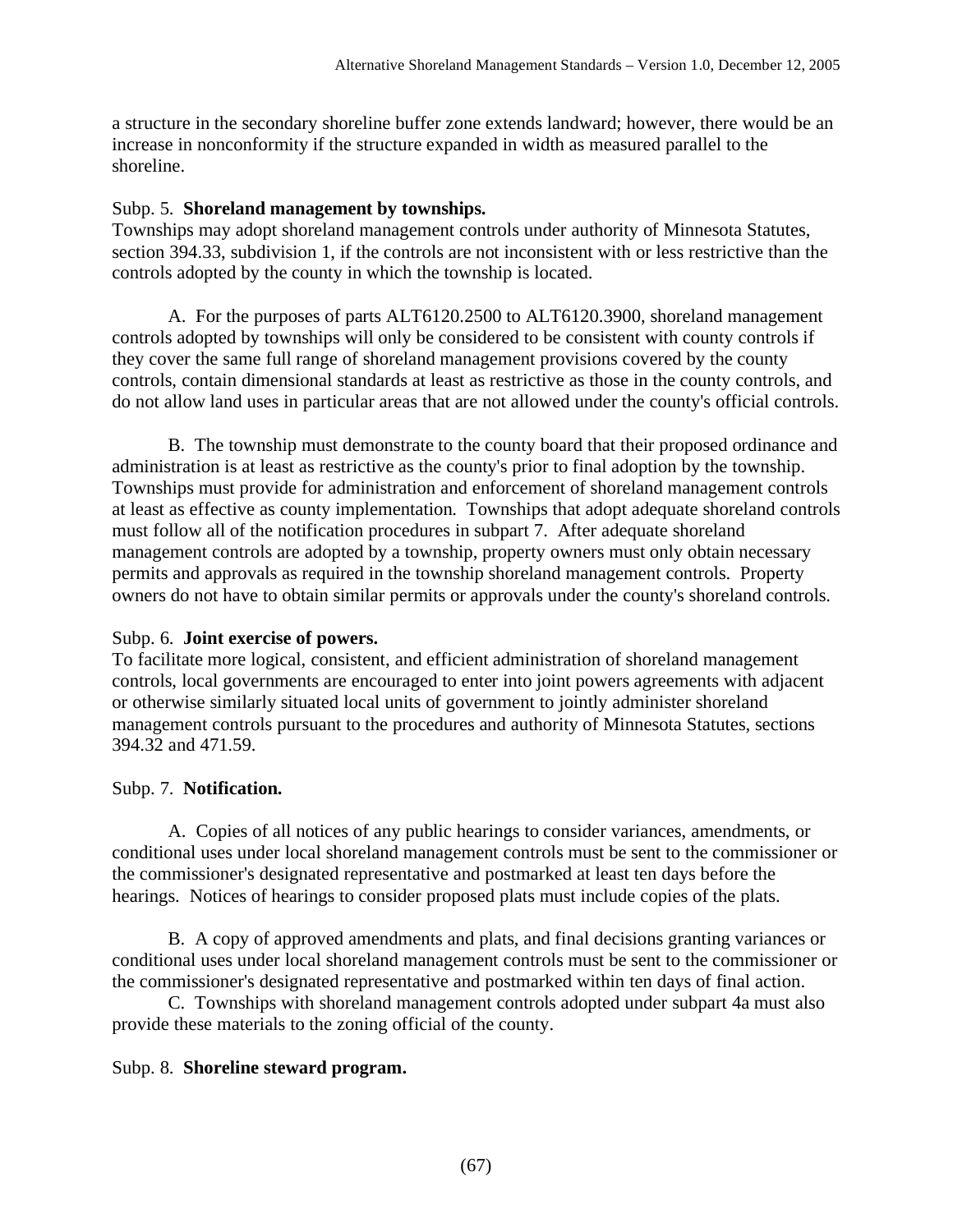a structure in the secondary shoreline buffer zone extends landward; however, there would be an increase in nonconformity if the structure expanded in width as measured parallel to the shoreline.

#### Subp. 5. **Shoreland management by townships.**

Townships may adopt shoreland management controls under authority of Minnesota Statutes, section 394.33, subdivision 1, if the controls are not inconsistent with or less restrictive than the controls adopted by the county in which the township is located.

 A. For the purposes of parts ALT6120.2500 to ALT6120.3900, shoreland management controls adopted by townships will only be considered to be consistent with county controls if they cover the same full range of shoreland management provisions covered by the county controls, contain dimensional standards at least as restrictive as those in the county controls, and do not allow land uses in particular areas that are not allowed under the county's official controls.

 B. The township must demonstrate to the county board that their proposed ordinance and administration is at least as restrictive as the county's prior to final adoption by the township. Townships must provide for administration and enforcement of shoreland management controls at least as effective as county implementation. Townships that adopt adequate shoreland controls must follow all of the notification procedures in subpart 7. After adequate shoreland management controls are adopted by a township, property owners must only obtain necessary permits and approvals as required in the township shoreland management controls. Property owners do not have to obtain similar permits or approvals under the county's shoreland controls.

#### Subp. 6. **Joint exercise of powers.**

To facilitate more logical, consistent, and efficient administration of shoreland management controls, local governments are encouraged to enter into joint powers agreements with adjacent or otherwise similarly situated local units of government to jointly administer shoreland management controls pursuant to the procedures and authority of Minnesota Statutes, sections 394.32 and 471.59.

#### Subp. 7. **Notification.**

 A. Copies of all notices of any public hearings to consider variances, amendments, or conditional uses under local shoreland management controls must be sent to the commissioner or the commissioner's designated representative and postmarked at least ten days before the hearings. Notices of hearings to consider proposed plats must include copies of the plats.

 B. A copy of approved amendments and plats, and final decisions granting variances or conditional uses under local shoreland management controls must be sent to the commissioner or the commissioner's designated representative and postmarked within ten days of final action.

 C. Townships with shoreland management controls adopted under subpart 4a must also provide these materials to the zoning official of the county.

#### Subp. 8. **Shoreline steward program.**